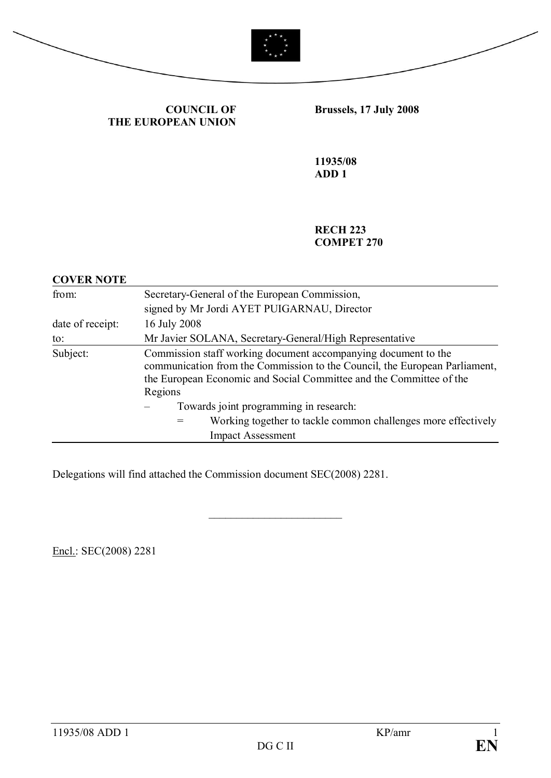



**COUNCIL OF THE EUROPEAN UNION** **Brussels, 17 July 2008** 

**11935/08 ADD 1**

**RECH 223 COMPET 270**

| <b>COVER NOTE</b>        |                                                                                                                                                                                                                                |  |  |  |  |
|--------------------------|--------------------------------------------------------------------------------------------------------------------------------------------------------------------------------------------------------------------------------|--|--|--|--|
| from:                    | Secretary-General of the European Commission,                                                                                                                                                                                  |  |  |  |  |
|                          | signed by Mr Jordi AYET PUIGARNAU, Director                                                                                                                                                                                    |  |  |  |  |
| date of receipt:         | 16 July 2008                                                                                                                                                                                                                   |  |  |  |  |
| to:                      | Mr Javier SOLANA, Secretary-General/High Representative                                                                                                                                                                        |  |  |  |  |
| Subject:                 | Commission staff working document accompanying document to the<br>communication from the Commission to the Council, the European Parliament,<br>the European Economic and Social Committee and the Committee of the<br>Regions |  |  |  |  |
|                          | Towards joint programming in research:                                                                                                                                                                                         |  |  |  |  |
|                          | Working together to tackle common challenges more effectively                                                                                                                                                                  |  |  |  |  |
| <b>Impact Assessment</b> |                                                                                                                                                                                                                                |  |  |  |  |

 $\overline{\phantom{a}}$  , which is a set of the set of the set of the set of the set of the set of the set of the set of the set of the set of the set of the set of the set of the set of the set of the set of the set of the set of th

Delegations will find attached the Commission document SEC(2008) 2281.

Encl.: SEC(2008) 2281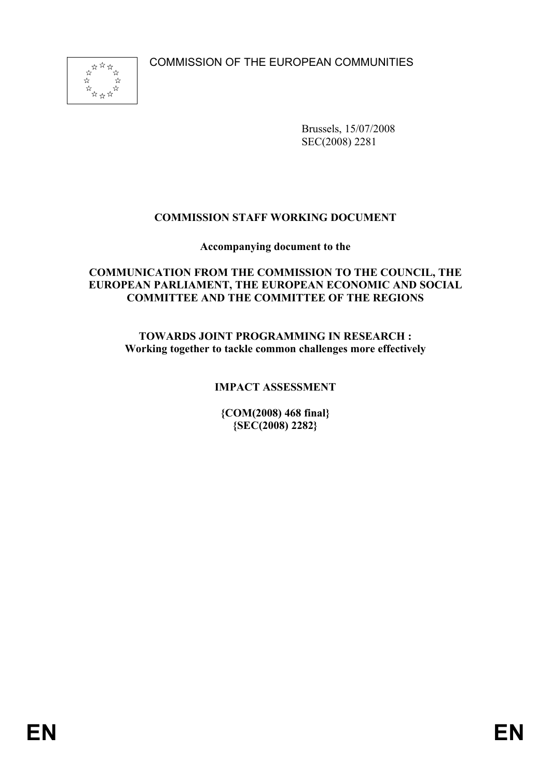COMMISSION OF THE EUROPEAN COMMUNITIES



Brussels, 15/07/2008 SEC(2008) 2281

## **COMMISSION STAFF WORKING DOCUMENT**

**Accompanying document to the**

#### **COMMUNICATION FROM THE COMMISSION TO THE COUNCIL, THE EUROPEAN PARLIAMENT, THE EUROPEAN ECONOMIC AND SOCIAL COMMITTEE AND THE COMMITTEE OF THE REGIONS**

**TOWARDS JOINT PROGRAMMING IN RESEARCH : Working together to tackle common challenges more effectively**

## **IMPACT ASSESSMENT**

**{COM(2008) 468 final} {SEC(2008) 2282}**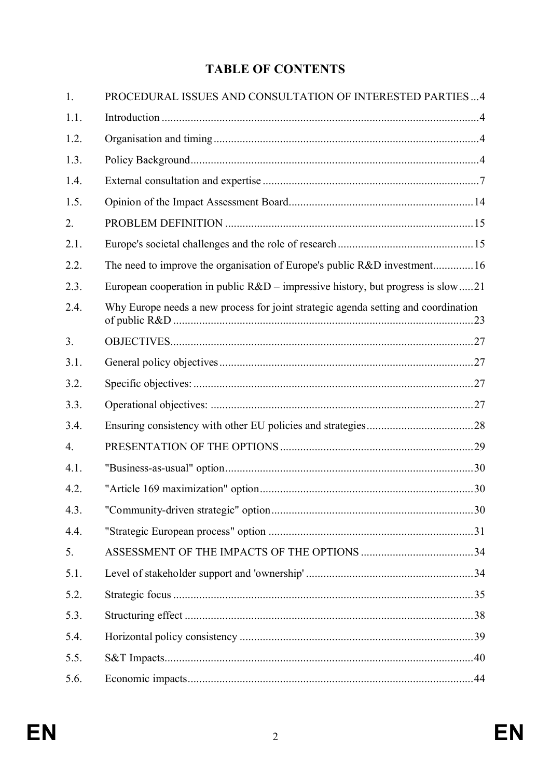# **TABLE OF CONTENTS**

| 1.               | PROCEDURAL ISSUES AND CONSULTATION OF INTERESTED PARTIES4                          |  |
|------------------|------------------------------------------------------------------------------------|--|
| 1.1.             |                                                                                    |  |
| 1.2.             |                                                                                    |  |
| 1.3.             |                                                                                    |  |
| 1.4.             |                                                                                    |  |
| 1.5.             |                                                                                    |  |
| 2.               |                                                                                    |  |
| 2.1.             |                                                                                    |  |
| 2.2.             | The need to improve the organisation of Europe's public R&D investment16           |  |
| 2.3.             | European cooperation in public $R&D$ – impressive history, but progress is slow 21 |  |
| 2.4.             | Why Europe needs a new process for joint strategic agenda setting and coordination |  |
| 3.               |                                                                                    |  |
| 3.1.             |                                                                                    |  |
| 3.2.             |                                                                                    |  |
| 3.3.             |                                                                                    |  |
| 3.4.             |                                                                                    |  |
| $\overline{4}$ . |                                                                                    |  |
| 4.1.             |                                                                                    |  |
| 4.2.             |                                                                                    |  |
| 4.3.             |                                                                                    |  |
| 4.4.             |                                                                                    |  |
| 5.               |                                                                                    |  |
| 5.1.             |                                                                                    |  |
| 5.2.             |                                                                                    |  |
| 5.3.             |                                                                                    |  |
| 5.4.             |                                                                                    |  |
| 5.5.             |                                                                                    |  |
| 5.6.             |                                                                                    |  |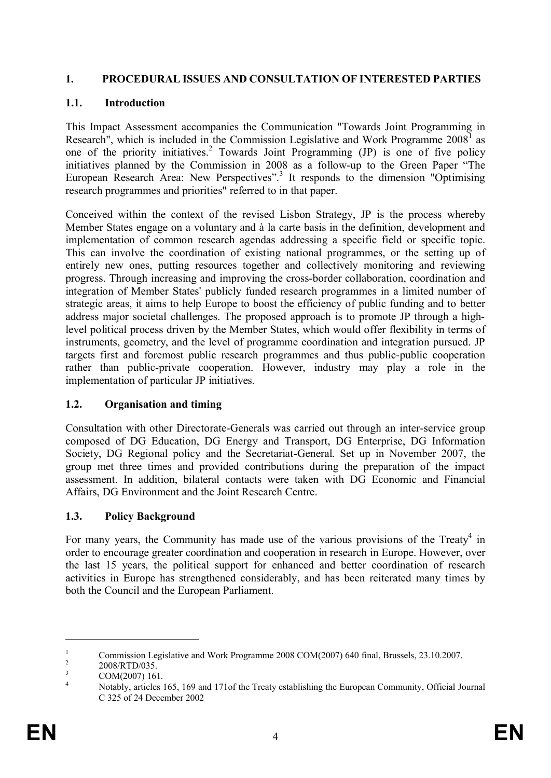#### **1. PROCEDURAL ISSUES AND CONSULTATION OF INTERESTED PARTIES**

## **1.1. Introduction**

This Impact Assessment accompanies the Communication "Towards Joint Programming in Research", which is included in the Commission Legislative and Work Programme  $2008<sup>1</sup>$  as one of the priority initiatives.<sup>2</sup> Towards Joint Programming (JP) is one of five policy initiatives planned by the Commission in 2008 as a follow-up to the Green Paper "The European Research Area: New Perspectives".<sup>3</sup> It responds to the dimension "Optimising research programmes and priorities" referred to in that paper.

Conceived within the context of the revised Lisbon Strategy, JP is the process whereby Member States engage on a voluntary and à la carte basis in the definition, development and implementation of common research agendas addressing a specific field or specific topic. This can involve the coordination of existing national programmes, or the setting up of entirely new ones, putting resources together and collectively monitoring and reviewing progress. Through increasing and improving the cross-border collaboration, coordination and integration of Member States' publicly funded research programmes in a limited number of strategic areas, it aims to help Europe to boost the efficiency of public funding and to better address major societal challenges. The proposed approach is to promote JP through a highlevel political process driven by the Member States, which would offer flexibility in terms of instruments, geometry, and the level of programme coordination and integration pursued. JP targets first and foremost public research programmes and thus public-public cooperation rather than public-private cooperation. However, industry may play a role in the implementation of particular JP initiatives.

## **1.2. Organisation and timing**

Consultation with other Directorate-Generals was carried out through an inter-service group composed of DG Education, DG Energy and Transport, DG Enterprise, DG Information Society, DG Regional policy and the Secretariat-General. Set up in November 2007, the group met three times and provided contributions during the preparation of the impact assessment. In addition, bilateral contacts were taken with DG Economic and Financial Affairs, DG Environment and the Joint Research Centre.

## **1.3. Policy Background**

For many years, the Community has made use of the various provisions of the Treaty<sup>4</sup> in order to encourage greater coordination and cooperation in research in Europe. However, over the last 15 years, the political support for enhanced and better coordination of research activities in Europe has strengthened considerably, and has been reiterated many times by both the Council and the European Parliament.

<sup>&</sup>lt;sup>1</sup> Commission Legislative and Work Programme 2008 COM(2007) 640 final, Brussels, 23.10.2007.

<sup>2</sup> 2008/RTD/035.

 $\frac{3}{4}$  COM(2007) 161.

Notably, articles 165, 169 and 171of the Treaty establishing the European Community, Official Journal C 325 of 24 December 2002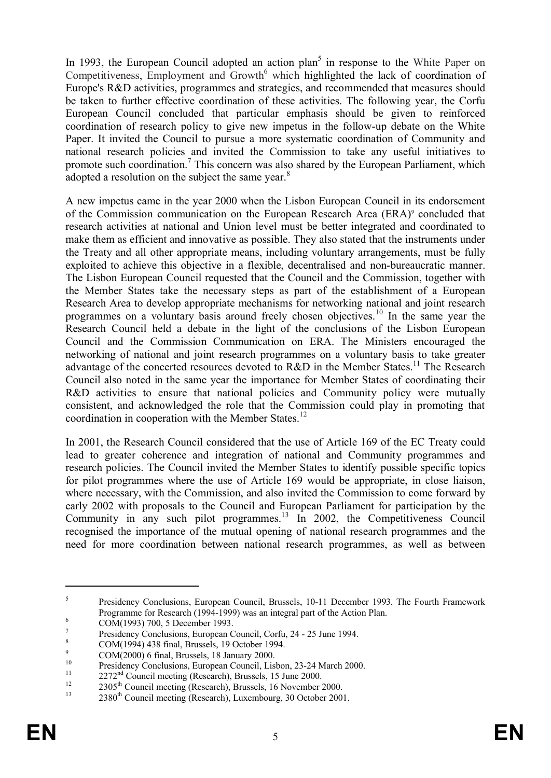In 1993, the European Council adopted an action plan<sup>5</sup> in response to the White Paper on Competitiveness, Employment and Growth<sup>6</sup> which highlighted the lack of coordination of Europe's R&D activities, programmes and strategies, and recommended that measures should be taken to further effective coordination of these activities. The following year, the Corfu European Council concluded that particular emphasis should be given to reinforced coordination of research policy to give new impetus in the follow-up debate on the White Paper. It invited the Council to pursue a more systematic coordination of Community and national research policies and invited the Commission to take any useful initiatives to promote such coordination.<sup>7</sup> This concern was also shared by the European Parliament, which adopted a resolution on the subject the same year.<sup>8</sup>

A new impetus came in the year 2000 when the Lisbon European Council in its endorsement of the Commission communication on the European Research Area (ERA)<sup>9</sup> concluded that research activities at national and Union level must be better integrated and coordinated to make them as efficient and innovative as possible. They also stated that the instruments under the Treaty and all other appropriate means, including voluntary arrangements, must be fully exploited to achieve this objective in a flexible, decentralised and non-bureaucratic manner. The Lisbon European Council requested that the Council and the Commission, together with the Member States take the necessary steps as part of the establishment of a European Research Area to develop appropriate mechanisms for networking national and joint research programmes on a voluntary basis around freely chosen objectives.<sup>10</sup> In the same year the Research Council held a debate in the light of the conclusions of the Lisbon European Council and the Commission Communication on ERA. The Ministers encouraged the networking of national and joint research programmes on a voluntary basis to take greater advantage of the concerted resources devoted to R&D in the Member States.<sup>11</sup> The Research Council also noted in the same year the importance for Member States of coordinating their R&D activities to ensure that national policies and Community policy were mutually consistent, and acknowledged the role that the Commission could play in promoting that coordination in cooperation with the Member States.<sup>12</sup>

In 2001, the Research Council considered that the use of Article 169 of the EC Treaty could lead to greater coherence and integration of national and Community programmes and research policies. The Council invited the Member States to identify possible specific topics for pilot programmes where the use of Article 169 would be appropriate, in close liaison, where necessary, with the Commission, and also invited the Commission to come forward by early 2002 with proposals to the Council and European Parliament for participation by the Community in any such pilot programmes.<sup>13</sup> In 2002, the Competitiveness Council recognised the importance of the mutual opening of national research programmes and the need for more coordination between national research programmes, as well as between

<sup>5</sup> Presidency Conclusions, European Council, Brussels, 10-11 December 1993. The Fourth Framework Programme for Research (1994-1999) was an integral part of the Action Plan.

<sup>6</sup> COM(1993) 700, 5 December 1993.

<sup>7</sup> Presidency Conclusions, European Council, Corfu, 24 - 25 June 1994.

 $\frac{8}{9}$  COM(1994) 438 final, Brussels, 19 October 1994.

 $\frac{9}{10}$  COM(2000) 6 final, Brussels, 18 January 2000.

<sup>&</sup>lt;sup>10</sup><br>Presidency Conclusions, European Council, Lisbon, 23-24 March 2000.

<sup>&</sup>lt;sup>11</sup> 2272<sup>nd</sup> Council meeting (Research), Brussels, 15 June 2000.

<sup>&</sup>lt;sup>12</sup> 2305<sup>th</sup> Council meeting (Research), Brussels, 16 November 2000.

<sup>2380&</sup>lt;sup>th</sup> Council meeting (Research), Luxembourg, 30 October 2001.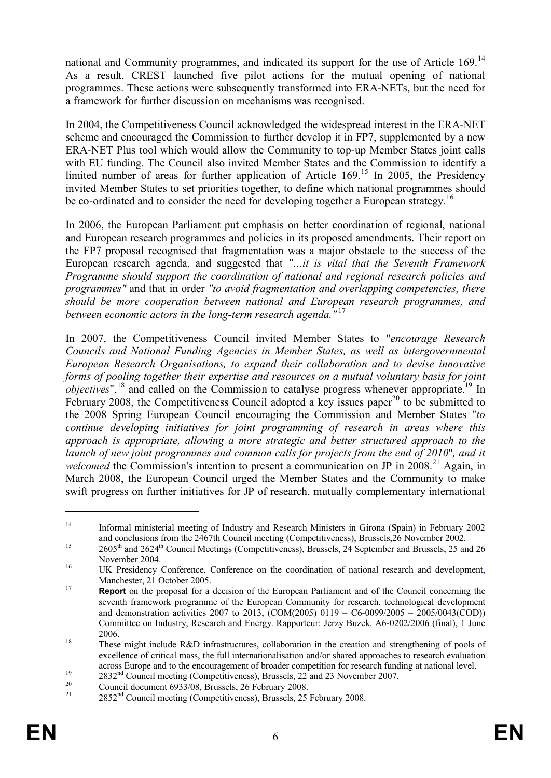national and Community programmes, and indicated its support for the use of Article 169.<sup>14</sup> As a result, CREST launched five pilot actions for the mutual opening of national programmes. These actions were subsequently transformed into ERA-NETs, but the need for a framework for further discussion on mechanisms was recognised.

In 2004, the Competitiveness Council acknowledged the widespread interest in the ERA-NET scheme and encouraged the Commission to further develop it in FP7, supplemented by a new ERA-NET Plus tool which would allow the Community to top-up Member States joint calls with EU funding. The Council also invited Member States and the Commission to identify a limited number of areas for further application of Article  $169<sup>15</sup>$  In 2005, the Presidency invited Member States to set priorities together, to define which national programmes should be co-ordinated and to consider the need for developing together a European strategy.<sup>16</sup>

In 2006, the European Parliament put emphasis on better coordination of regional, national and European research programmes and policies in its proposed amendments. Their report on the FP7 proposal recognised that fragmentation was a major obstacle to the success of the European research agenda, and suggested that *"…it is vital that the Seventh Framework Programme should support the coordination of national and regional research policies and programmes"* and that in order *"to avoid fragmentation and overlapping competencies, there should be more cooperation between national and European research programmes, and between economic actors in the long-term research agenda."* <sup>17</sup>

In 2007, the Competitiveness Council invited Member States to "*encourage Research Councils and National Funding Agencies in Member States, as well as intergovernmental European Research Organisations, to expand their collaboration and to devise innovative forms of pooling together their expertise and resources on a mutual voluntary basis for joint objectives*",<sup>18</sup> and called on the Commission to catalyse progress whenever appropriate.<sup>19</sup> In February 2008, the Competitiveness Council adopted a key issues paper<sup>20</sup> to be submitted to the 2008 Spring European Council encouraging the Commission and Member States "*to continue developing initiatives for joint programming of research in areas where this approach is appropriate, allowing a more strategic and better structured approach to the launch of new joint programmes and common calls for projects from the end of 2010*"*, and it welcomed* the Commission's intention to present a communication on JP in 2008.<sup>21</sup> Again, in March 2008, the European Council urged the Member States and the Community to make swift progress on further initiatives for JP of research, mutually complementary international

<sup>14</sup> Informal ministerial meeting of Industry and Research Ministers in Girona (Spain) in February 2002 and conclusions from the 2467th Council meeting (Competitiveness), Brussels,26 November 2002.

<sup>&</sup>lt;sup>15</sup> 2605<sup>th</sup> and 2624<sup>th</sup> Council Meetings (Competitiveness), Brussels, 24 September and Brussels, 25 and 26 November 2004.

<sup>&</sup>lt;sup>16</sup> UK Presidency Conference, Conference on the coordination of national research and development, Manchester, 21 October 2005.

<sup>&</sup>lt;sup>17</sup> **Report** on the proposal for a decision of the European Parliament and of the Council concerning the seventh framework programme of the European Community for research, technological development and demonstration activities 2007 to 2013, (COM(2005) 0119 – C6-0099/2005 – 2005/0043(COD)) Committee on Industry, Research and Energy. Rapporteur: Jerzy Buzek. A6-0202/2006 (final), 1 June 2006.

<sup>&</sup>lt;sup>18</sup> These might include R&D infrastructures, collaboration in the creation and strengthening of pools of excellence of critical mass, the full internationalisation and/or shared approaches to research evaluation across Europe and to the encouragement of broader competition for research funding at national level.

<sup>&</sup>lt;sup>19</sup> 2832<sup>nd</sup> Council meeting (Competitiveness), Brussels, 22 and 23 November 2007.

<sup>&</sup>lt;sup>20</sup> Council document 6933/08, Brussels, 26 February 2008.

<sup>2852&</sup>lt;sup>nd</sup> Council meeting (Competitiveness), Brussels, 25 February 2008.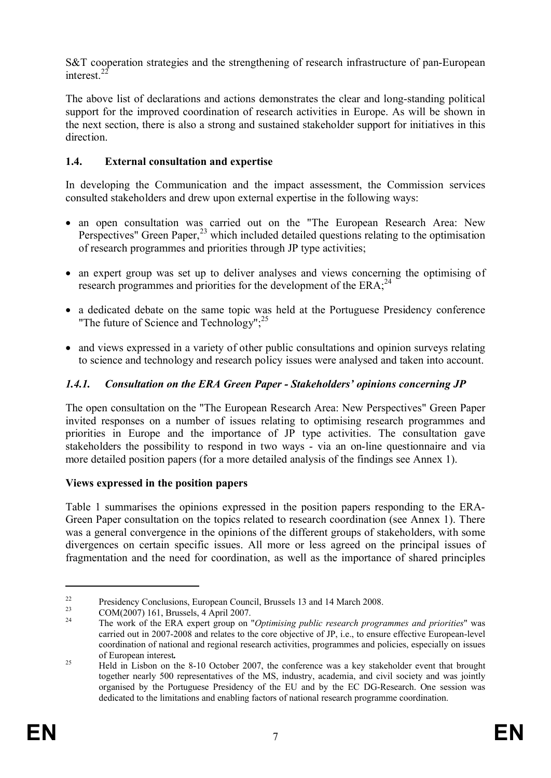S&T cooperation strategies and the strengthening of research infrastructure of pan-European interest. $2$ 

The above list of declarations and actions demonstrates the clear and long-standing political support for the improved coordination of research activities in Europe. As will be shown in the next section, there is also a strong and sustained stakeholder support for initiatives in this direction.

## **1.4. External consultation and expertise**

In developing the Communication and the impact assessment, the Commission services consulted stakeholders and drew upon external expertise in the following ways:

- · an open consultation was carried out on the "The European Research Area: New Perspectives" Green Paper,<sup>23</sup> which included detailed questions relating to the optimisation of research programmes and priorities through JP type activities;
- an expert group was set up to deliver analyses and views concerning the optimising of research programmes and priorities for the development of the ERA;<sup>24</sup>
- a dedicated debate on the same topic was held at the Portuguese Presidency conference "The future of Science and Technology";<sup>25</sup>
- and views expressed in a variety of other public consultations and opinion surveys relating to science and technology and research policy issues were analysed and taken into account.

## *1.4.1. Consultation on the ERA Green Paper - Stakeholders' opinions concerning JP*

The open consultation on the "The European Research Area: New Perspectives" Green Paper invited responses on a number of issues relating to optimising research programmes and priorities in Europe and the importance of JP type activities. The consultation gave stakeholders the possibility to respond in two ways - via an on-line questionnaire and via more detailed position papers (for a more detailed analysis of the findings see Annex 1).

#### **Views expressed in the position papers**

Table 1 summarises the opinions expressed in the position papers responding to the ERA-Green Paper consultation on the topics related to research coordination (see Annex 1). There was a general convergence in the opinions of the different groups of stakeholders, with some divergences on certain specific issues. All more or less agreed on the principal issues of fragmentation and the need for coordination, as well as the importance of shared principles

<sup>&</sup>lt;sup>22</sup> Presidency Conclusions, European Council, Brussels 13 and 14 March 2008.<br>  $COM(2007) 161$  Presents 4 April 2007.

<sup>&</sup>lt;sup>23</sup> COM(2007) 161, Brussels, 4 April 2007.

<sup>24</sup> The work of the ERA expert group on "*Optimising public research programmes and priorities*" was carried out in 2007-2008 and relates to the core objective of JP, i.e., to ensure effective European-level coordination of national and regional research activities, programmes and policies, especially on issues of European interest*.*

<sup>&</sup>lt;sup>25</sup> Held in Lisbon on the 8-10 October 2007, the conference was a key stakeholder event that brought together nearly 500 representatives of the MS, industry, academia, and civil society and was jointly organised by the Portuguese Presidency of the EU and by the EC DG-Research. One session was dedicated to the limitations and enabling factors of national research programme coordination.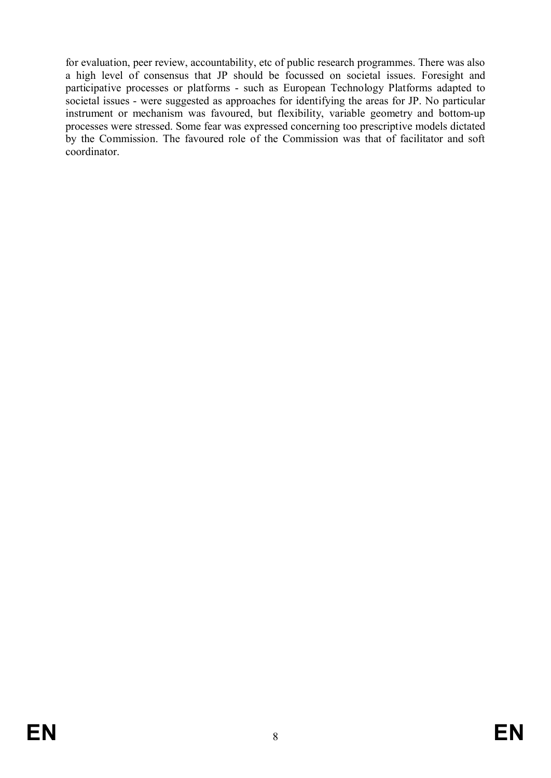for evaluation, peer review, accountability, etc of public research programmes. There was also a high level of consensus that JP should be focussed on societal issues. Foresight and participative processes or platforms - such as European Technology Platforms adapted to societal issues - were suggested as approaches for identifying the areas for JP. No particular instrument or mechanism was favoured, but flexibility, variable geometry and bottom-up processes were stressed. Some fear was expressed concerning too prescriptive models dictated by the Commission. The favoured role of the Commission was that of facilitator and soft coordinator.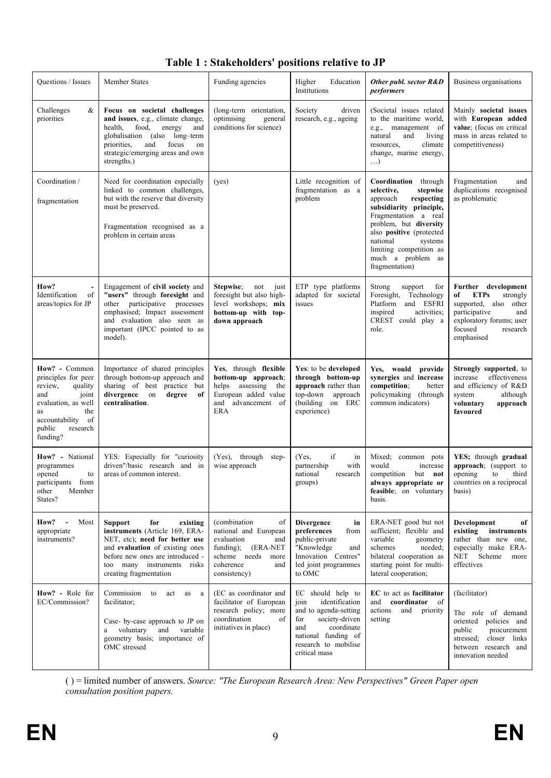| Questions / Issues |                                                                                                                                                                          | <b>Member States</b>                                                                                                                                                                                                                 | Funding agencies                                                                                                                                          | Higher<br>Education<br>Institutions                                                                                                                                                | Other publ. sector R&D<br>performers                                                                                                                                                                                                                                          | Business organisations                                                                                                                                                       |
|--------------------|--------------------------------------------------------------------------------------------------------------------------------------------------------------------------|--------------------------------------------------------------------------------------------------------------------------------------------------------------------------------------------------------------------------------------|-----------------------------------------------------------------------------------------------------------------------------------------------------------|------------------------------------------------------------------------------------------------------------------------------------------------------------------------------------|-------------------------------------------------------------------------------------------------------------------------------------------------------------------------------------------------------------------------------------------------------------------------------|------------------------------------------------------------------------------------------------------------------------------------------------------------------------------|
|                    | Challenges<br>&<br>priorities                                                                                                                                            | Focus on societal challenges<br>and issues, e.g., climate change,<br>food,<br>health,<br>energy<br>and<br>globalisation (also long-term<br>focus<br>priorities,<br>and<br>on<br>strategic/emerging areas and own<br>strengths.)      | (long-term orientation,<br>optimising<br>general<br>conditions for science)                                                                               | Society<br>driven<br>research, e.g., ageing                                                                                                                                        | (Societal issues related<br>to the maritime world,<br>e.g., management of<br>and<br>natural<br>living<br>climate<br>resources,<br>change, marine energy,<br>$\ldots$                                                                                                          | Mainly societal issues<br>with European added<br>value; (focus on critical<br>mass in areas related to<br>competitiveness)                                                   |
|                    | Coordination /<br>fragmentation                                                                                                                                          | Need for coordination especially<br>linked to common challenges,<br>but with the reserve that diversity<br>must be preserved.<br>Fragmentation recognised as a<br>problem in certain areas                                           | (yes)                                                                                                                                                     | Little recognition of<br>fragmentation as a<br>problem                                                                                                                             | Coordination<br>through<br>selective,<br>stepwise<br>respecting<br>approach<br>subsidiarity principle,<br>Fragmentation a real<br>problem, but diversity<br>also positive (protected<br>national<br>systems<br>limiting competition as<br>much a problem as<br>fragmentation) | Fragmentation<br>and<br>duplications recognised<br>as problematic                                                                                                            |
|                    | How?<br>Identification<br>of<br>areas/topics for JP                                                                                                                      | Engagement of civil society and<br>"users" through foresight and<br>other participative processes<br>emphasised; Impact assessment<br>and evaluation also seen as<br>important (IPCC pointed to as<br>model).                        | Stepwise;<br>not<br>just<br>foresight but also high-<br>level workshops; mix<br>bottom-up with top-<br>down approach                                      | ETP type platforms<br>adapted for societal<br>issues                                                                                                                               | support<br>Strong<br>for<br>Foresight,<br>Technology<br>Platform<br>and ESFRI<br>inspired<br>activities;<br>CREST could play a<br>role.                                                                                                                                       | development<br>Further<br><b>ETPs</b><br>of<br>strongly<br>supported,<br>also other<br>participative<br>and<br>exploratory forums; user<br>focused<br>research<br>emphasised |
|                    | How? - Common<br>principles for peer<br>review,<br>quality<br>joint<br>and<br>evaluation, as well<br>the<br>as<br>accountability<br>of<br>public<br>research<br>funding? | Importance of shared principles<br>through bottom-up approach and<br>sharing of best practice but<br>divergence on<br>degree<br>of<br>centralisation.                                                                                | Yes, through flexible<br>bottom-up approach;<br>helps assessing<br>the<br>European added value<br>and advancement of<br>ERA                               | Yes: to be developed<br>through bottom-up<br>approach rather than<br>top-down<br>approach<br>(building)<br>on ERC<br>experience)                                                   | Yes, would<br>provide<br>synergies and increase<br>competition;<br>better<br>policymaking (through<br>common indicators)                                                                                                                                                      | Strongly supported, to<br>increase<br>effectiveness<br>and efficiency of R&D<br>system<br>although<br>approach<br>voluntary<br>favoured                                      |
|                    | How? - National<br>programmes<br>opened<br>to<br>participants from<br>Member<br>other<br>States?                                                                         | YES: Especially for "curiosity<br>driven"/basic research and in<br>areas of common interest.                                                                                                                                         | (Yes), through step-<br>wise approach                                                                                                                     | if<br>(Yes,<br>in<br>partnership<br>with<br>research<br>national<br>groups)                                                                                                        | Mixed; common pots<br>would<br>increase<br>competition but not<br>always appropriate or<br>feasible; on voluntary<br>basis.                                                                                                                                                   | YES; through gradual<br>approach; (support to<br>opening<br>third<br>to<br>countries on a reciprocal<br>basis)                                                               |
|                    | How?<br>Most<br>appropriate<br>instruments?                                                                                                                              | <b>Support</b><br>for<br>existing<br>instruments (Article 169, ERA-<br>NET, etc); need for better use<br>and evaluation of existing ones<br>before new ones are introduced -<br>too many instruments risks<br>creating fragmentation | (combination)<br>of<br>national and European<br>evaluation<br>and<br>$funding)$ :<br>(ERA-NET<br>scheme needs<br>more<br>coherence<br>and<br>consistency) | <b>Divergence</b><br>in<br>preferences<br>from<br>public-private<br>"Knowledge<br>and<br>Innovation Centres"<br>led joint programmes<br>to OMC                                     | ERA-NET good but not<br>sufficient; flexible and<br>variable<br>geometry<br>schemes<br>needed;<br>bilateral cooperation as<br>starting point for multi-<br>lateral cooperation;                                                                                               | Development<br>of<br>existing<br>instruments<br>rather than new one,<br>especially make ERA-<br>NET Scheme<br>more<br>effectives                                             |
|                    | How? - Role for<br>EC/Commission?                                                                                                                                        | Commission<br>to<br>act<br>as<br>a<br>facilitator;<br>Case- by-case approach to JP on<br>variable<br>a voluntary<br>and<br>geometry basis; importance of<br>OMC stressed                                                             | (EC as coordinator and<br>facilitator of European<br>research policy; more<br>coordination<br>of<br>initiatives in place)                                 | EC should help to<br>join<br>identification<br>and to agenda-setting<br>society-driven<br>for<br>coordinate<br>and<br>national funding of<br>research to mobilise<br>critical mass | EC to act as facilitator<br>coordinator<br>and<br>-of<br>actions<br>and<br>priority<br>setting                                                                                                                                                                                | (facilitator)<br>The role of demand<br>oriented policies and<br>procurement<br>public<br>stressed;<br>closer links<br>between research and<br>innovation needed              |

## **Table 1 : Stakeholders' positions relative to JP**

( ) = limited number of answers. *Source: "The European Research Area: New Perspectives" Green Paper open consultation position papers.*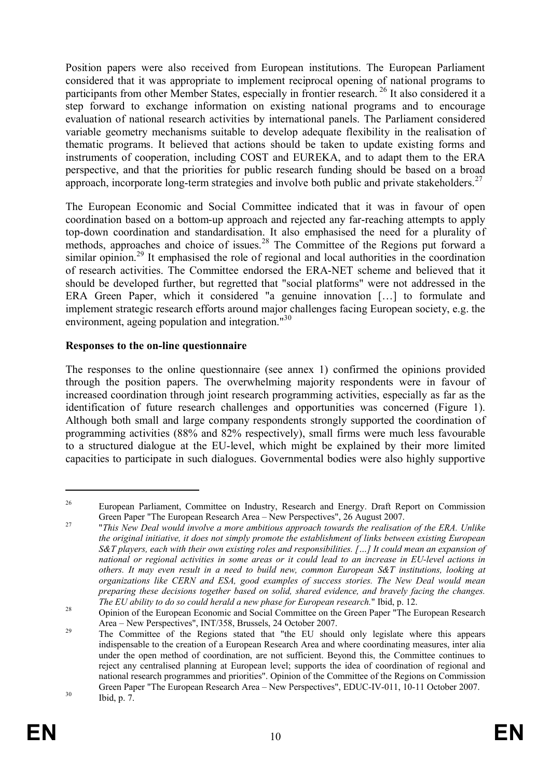Position papers were also received from European institutions. The European Parliament considered that it was appropriate to implement reciprocal opening of national programs to participants from other Member States, especially in frontier research.<sup>26</sup> It also considered it a step forward to exchange information on existing national programs and to encourage evaluation of national research activities by international panels. The Parliament considered variable geometry mechanisms suitable to develop adequate flexibility in the realisation of thematic programs. It believed that actions should be taken to update existing forms and instruments of cooperation, including COST and EUREKA, and to adapt them to the ERA perspective, and that the priorities for public research funding should be based on a broad approach, incorporate long-term strategies and involve both public and private stakeholders.<sup>27</sup>

The European Economic and Social Committee indicated that it was in favour of open coordination based on a bottom-up approach and rejected any far-reaching attempts to apply top-down coordination and standardisation. It also emphasised the need for a plurality of methods, approaches and choice of issues.<sup>28</sup> The Committee of the Regions put forward a similar opinion.<sup>29</sup> It emphasised the role of regional and local authorities in the coordination of research activities. The Committee endorsed the ERA-NET scheme and believed that it should be developed further, but regretted that "social platforms" were not addressed in the ERA Green Paper, which it considered "a genuine innovation […] to formulate and implement strategic research efforts around major challenges facing European society, e.g. the environment, ageing population and integration."<sup>30</sup>

#### **Responses to the on-line questionnaire**

The responses to the online questionnaire (see annex 1) confirmed the opinions provided through the position papers. The overwhelming majority respondents were in favour of increased coordination through joint research programming activities, especially as far as the identification of future research challenges and opportunities was concerned (Figure 1). Although both small and large company respondents strongly supported the coordination of programming activities (88% and 82% respectively), small firms were much less favourable to a structured dialogue at the EU-level, which might be explained by their more limited capacities to participate in such dialogues. Governmental bodies were also highly supportive

<sup>&</sup>lt;sup>26</sup> European Parliament, Committee on Industry, Research and Energy. Draft Report on Commission Green Paper "The European Research Area – New Perspectives", 26 August 2007.

<sup>27</sup> "*This New Deal would involve a more ambitious approach towards the realisation of the ERA. Unlike the original initiative, it does not simply promote the establishment of links between existing European S&T players, each with their own existing roles and responsibilities. […] It could mean an expansion of national or regional activities in some areas or it could lead to an increase in EU-level actions in others. It may even result in a need to build new, common European S&T institutions, looking at organizations like CERN and ESA, good examples of success stories. The New Deal would mean preparing these decisions together based on solid, shared evidence, and bravely facing the changes. The EU ability to do so could herald a new phase for European research.*" Ibid, p. 12.

<sup>&</sup>lt;sup>28</sup> Opinion of the European Economic and Social Committee on the Green Paper "The European Research Area – New Perspectives", INT/358, Brussels, 24 October 2007.

<sup>&</sup>lt;sup>29</sup> The Committee of the Regions stated that "the EU should only legislate where this appears indispensable to the creation of a European Research Area and where coordinating measures, inter alia under the open method of coordination, are not sufficient. Beyond this, the Committee continues to reject any centralised planning at European level; supports the idea of coordination of regional and national research programmes and priorities". Opinion of the Committee of the Regions on Commission Green Paper "The European Research Area – New Perspectives", EDUC-IV-011, 10-11 October 2007.  $30$  Ibid, p. 7.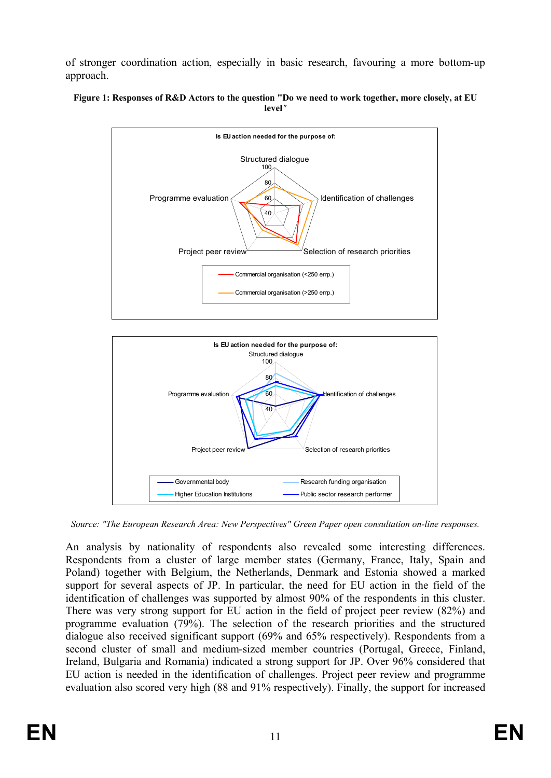of stronger coordination action, especially in basic research, favouring a more bottom-up approach.





*Source: "The European Research Area: New Perspectives" Green Paper open consultation on-line responses.*

An analysis by nationality of respondents also revealed some interesting differences. Respondents from a cluster of large member states (Germany, France, Italy, Spain and Poland) together with Belgium, the Netherlands, Denmark and Estonia showed a marked support for several aspects of JP. In particular, the need for EU action in the field of the identification of challenges was supported by almost 90% of the respondents in this cluster. There was very strong support for EU action in the field of project peer review (82%) and programme evaluation (79%). The selection of the research priorities and the structured dialogue also received significant support (69% and 65% respectively). Respondents from a second cluster of small and medium-sized member countries (Portugal, Greece, Finland, Ireland, Bulgaria and Romania) indicated a strong support for JP. Over 96% considered that EU action is needed in the identification of challenges. Project peer review and programme evaluation also scored very high (88 and 91% respectively). Finally, the support for increased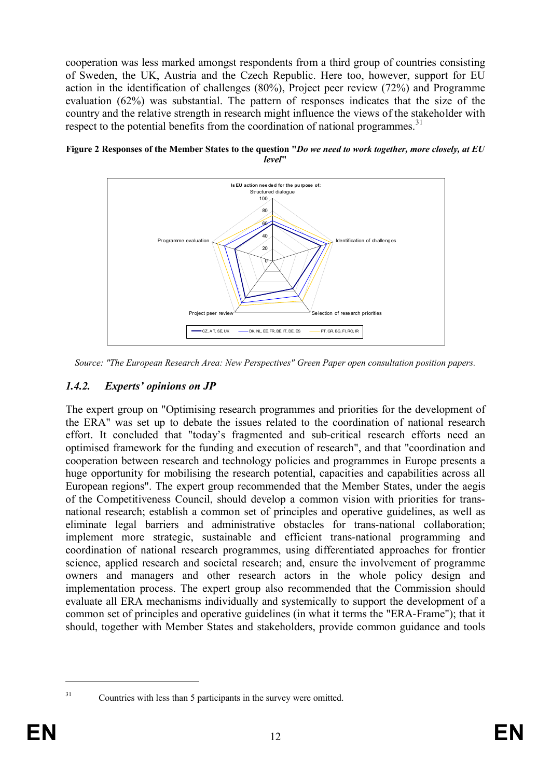cooperation was less marked amongst respondents from a third group of countries consisting of Sweden, the UK, Austria and the Czech Republic. Here too, however, support for EU action in the identification of challenges (80%), Project peer review (72%) and Programme evaluation (62%) was substantial. The pattern of responses indicates that the size of the country and the relative strength in research might influence the views of the stakeholder with respect to the potential benefits from the coordination of national programmes.<sup>31</sup>



**Figure 2 Responses of the Member States to the question "***Do we need to work together, more closely, at EU level***"**

## *1.4.2. Experts' opinions on JP*

The expert group on "Optimising research programmes and priorities for the development of the ERA" was set up to debate the issues related to the coordination of national research effort. It concluded that "today's fragmented and sub-critical research efforts need an optimised framework for the funding and execution of research", and that "coordination and cooperation between research and technology policies and programmes in Europe presents a huge opportunity for mobilising the research potential, capacities and capabilities across all European regions". The expert group recommended that the Member States, under the aegis of the Competitiveness Council, should develop a common vision with priorities for transnational research; establish a common set of principles and operative guidelines, as well as eliminate legal barriers and administrative obstacles for trans-national collaboration; implement more strategic, sustainable and efficient trans-national programming and coordination of national research programmes, using differentiated approaches for frontier science, applied research and societal research; and, ensure the involvement of programme owners and managers and other research actors in the whole policy design and implementation process. The expert group also recommended that the Commission should evaluate all ERA mechanisms individually and systemically to support the development of a common set of principles and operative guidelines (in what it terms the "ERA-Frame"); that it should, together with Member States and stakeholders, provide common guidance and tools

*Source: "The European Research Area: New Perspectives" Green Paper open consultation position papers.*

<sup>&</sup>lt;sup>31</sup> Countries with less than 5 participants in the survey were omitted.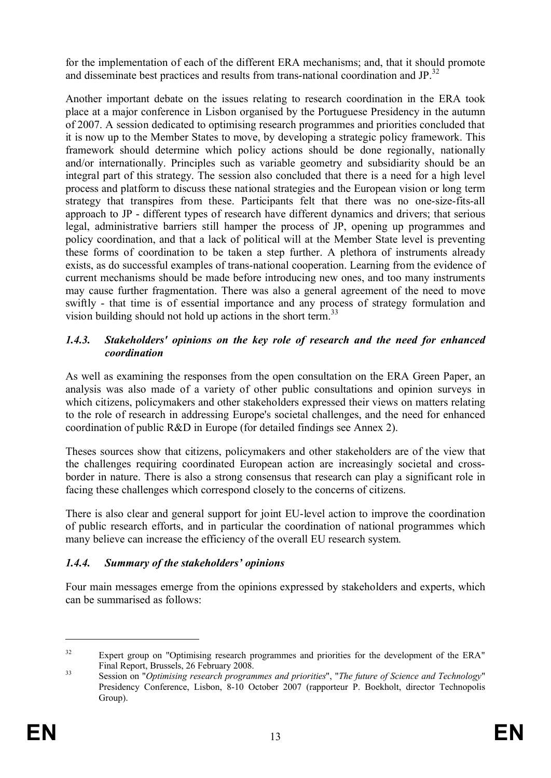for the implementation of each of the different ERA mechanisms; and, that it should promote and disseminate best practices and results from trans-national coordination and JP.<sup>32</sup>

Another important debate on the issues relating to research coordination in the ERA took place at a major conference in Lisbon organised by the Portuguese Presidency in the autumn of 2007. A session dedicated to optimising research programmes and priorities concluded that it is now up to the Member States to move, by developing a strategic policy framework. This framework should determine which policy actions should be done regionally, nationally and/or internationally. Principles such as variable geometry and subsidiarity should be an integral part of this strategy. The session also concluded that there is a need for a high level process and platform to discuss these national strategies and the European vision or long term strategy that transpires from these. Participants felt that there was no one-size-fits-all approach to JP - different types of research have different dynamics and drivers; that serious legal, administrative barriers still hamper the process of JP, opening up programmes and policy coordination, and that a lack of political will at the Member State level is preventing these forms of coordination to be taken a step further. A plethora of instruments already exists, as do successful examples of trans-national cooperation. Learning from the evidence of current mechanisms should be made before introducing new ones, and too many instruments may cause further fragmentation. There was also a general agreement of the need to move swiftly - that time is of essential importance and any process of strategy formulation and vision building should not hold up actions in the short term.<sup>33</sup>

#### *1.4.3. Stakeholders' opinions on the key role of research and the need for enhanced coordination*

As well as examining the responses from the open consultation on the ERA Green Paper, an analysis was also made of a variety of other public consultations and opinion surveys in which citizens, policymakers and other stakeholders expressed their views on matters relating to the role of research in addressing Europe's societal challenges, and the need for enhanced coordination of public R&D in Europe (for detailed findings see Annex 2).

Theses sources show that citizens, policymakers and other stakeholders are of the view that the challenges requiring coordinated European action are increasingly societal and crossborder in nature. There is also a strong consensus that research can play a significant role in facing these challenges which correspond closely to the concerns of citizens.

There is also clear and general support for joint EU-level action to improve the coordination of public research efforts, and in particular the coordination of national programmes which many believe can increase the efficiency of the overall EU research system.

## *1.4.4. Summary of the stakeholders' opinions*

Four main messages emerge from the opinions expressed by stakeholders and experts, which can be summarised as follows:

<sup>&</sup>lt;sup>32</sup> Expert group on "Optimising research programmes and priorities for the development of the ERA" Final Report, Brussels, 26 February 2008.

<sup>33</sup> Session on "*Optimising research programmes and priorities*", "*The future of Science and Technology*" Presidency Conference, Lisbon, 8-10 October 2007 (rapporteur P. Boekholt, director Technopolis Group).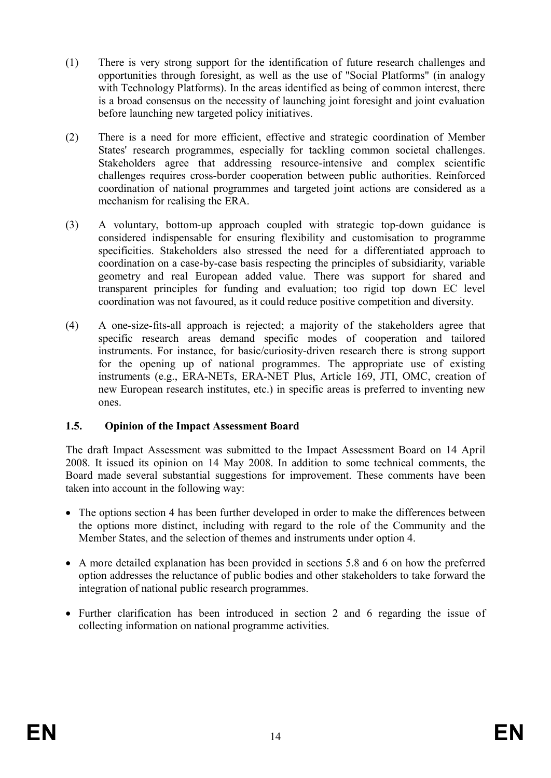- (1) There is very strong support for the identification of future research challenges and opportunities through foresight, as well as the use of "Social Platforms" (in analogy with Technology Platforms). In the areas identified as being of common interest, there is a broad consensus on the necessity of launching joint foresight and joint evaluation before launching new targeted policy initiatives.
- (2) There is a need for more efficient, effective and strategic coordination of Member States' research programmes, especially for tackling common societal challenges. Stakeholders agree that addressing resource-intensive and complex scientific challenges requires cross-border cooperation between public authorities. Reinforced coordination of national programmes and targeted joint actions are considered as a mechanism for realising the ERA.
- (3) A voluntary, bottom-up approach coupled with strategic top-down guidance is considered indispensable for ensuring flexibility and customisation to programme specificities. Stakeholders also stressed the need for a differentiated approach to coordination on a case-by-case basis respecting the principles of subsidiarity, variable geometry and real European added value. There was support for shared and transparent principles for funding and evaluation; too rigid top down EC level coordination was not favoured, as it could reduce positive competition and diversity.
- (4) A one-size-fits-all approach is rejected; a majority of the stakeholders agree that specific research areas demand specific modes of cooperation and tailored instruments. For instance, for basic/curiosity-driven research there is strong support for the opening up of national programmes. The appropriate use of existing instruments (e.g., ERA-NETs, ERA-NET Plus, Article 169, JTI, OMC, creation of new European research institutes, etc.) in specific areas is preferred to inventing new ones.

#### **1.5. Opinion of the Impact Assessment Board**

The draft Impact Assessment was submitted to the Impact Assessment Board on 14 April 2008. It issued its opinion on 14 May 2008. In addition to some technical comments, the Board made several substantial suggestions for improvement. These comments have been taken into account in the following way:

- The options section 4 has been further developed in order to make the differences between the options more distinct, including with regard to the role of the Community and the Member States, and the selection of themes and instruments under option 4.
- · A more detailed explanation has been provided in sections 5.8 and 6 on how the preferred option addresses the reluctance of public bodies and other stakeholders to take forward the integration of national public research programmes.
- Further clarification has been introduced in section 2 and 6 regarding the issue of collecting information on national programme activities.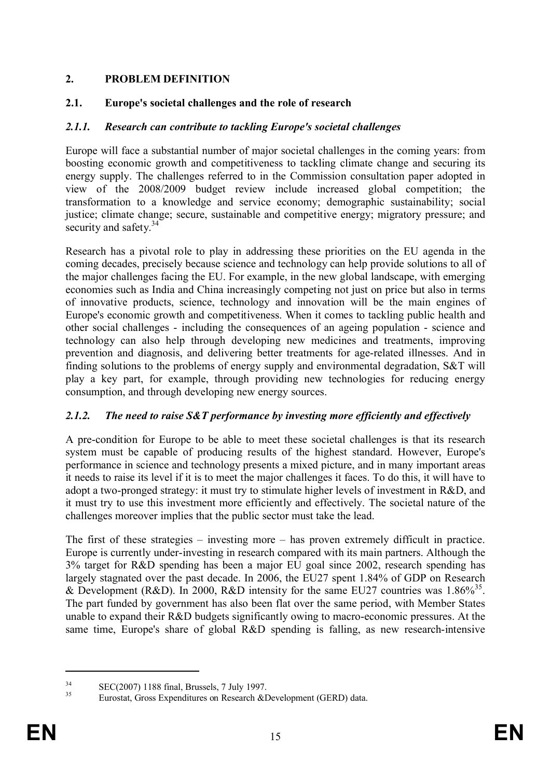## **2. PROBLEM DEFINITION**

#### **2.1. Europe's societal challenges and the role of research**

#### *2.1.1. Research can contribute to tackling Europe's societal challenges*

Europe will face a substantial number of major societal challenges in the coming years: from boosting economic growth and competitiveness to tackling climate change and securing its energy supply. The challenges referred to in the Commission consultation paper adopted in view of the 2008/2009 budget review include increased global competition; the transformation to a knowledge and service economy; demographic sustainability; social justice; climate change; secure, sustainable and competitive energy; migratory pressure; and security and safety.<sup>34</sup>

Research has a pivotal role to play in addressing these priorities on the EU agenda in the coming decades, precisely because science and technology can help provide solutions to all of the major challenges facing the EU. For example, in the new global landscape, with emerging economies such as India and China increasingly competing not just on price but also in terms of innovative products, science, technology and innovation will be the main engines of Europe's economic growth and competitiveness. When it comes to tackling public health and other social challenges - including the consequences of an ageing population - science and technology can also help through developing new medicines and treatments, improving prevention and diagnosis, and delivering better treatments for age-related illnesses. And in finding solutions to the problems of energy supply and environmental degradation, S&T will play a key part, for example, through providing new technologies for reducing energy consumption, and through developing new energy sources.

#### *2.1.2. The need to raise S&T performance by investing more efficiently and effectively*

A pre-condition for Europe to be able to meet these societal challenges is that its research system must be capable of producing results of the highest standard. However, Europe's performance in science and technology presents a mixed picture, and in many important areas it needs to raise its level if it is to meet the major challenges it faces. To do this, it will have to adopt a two-pronged strategy: it must try to stimulate higher levels of investment in R&D, and it must try to use this investment more efficiently and effectively. The societal nature of the challenges moreover implies that the public sector must take the lead.

The first of these strategies – investing more – has proven extremely difficult in practice. Europe is currently under-investing in research compared with its main partners. Although the 3% target for R&D spending has been a major EU goal since 2002, research spending has largely stagnated over the past decade. In 2006, the EU27 spent 1.84% of GDP on Research & Development (R&D). In 2000, R&D intensity for the same EU27 countries was  $1.86\%^{35}$ . The part funded by government has also been flat over the same period, with Member States unable to expand their R&D budgets significantly owing to macro-economic pressures. At the same time, Europe's share of global R&D spending is falling, as new research-intensive

 $\text{SEC}(2007)$  1188 final, Brussels, 7 July 1997.

Eurostat, Gross Expenditures on Research &Development (GERD) data.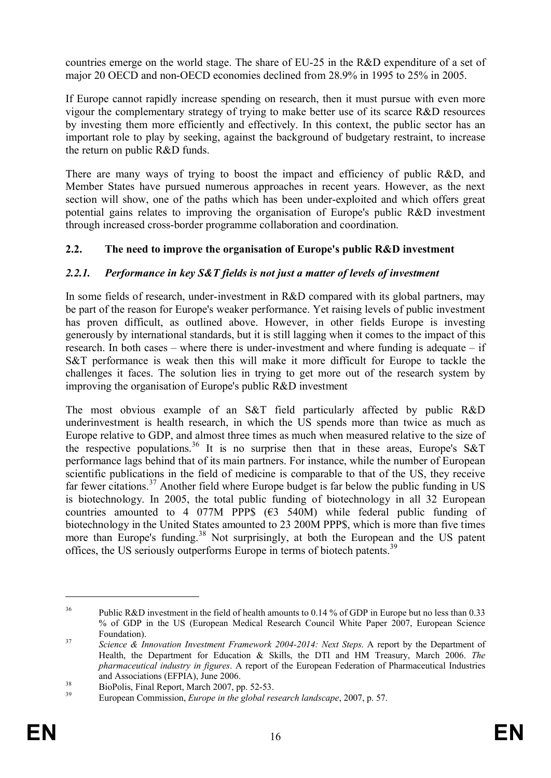countries emerge on the world stage. The share of EU-25 in the R&D expenditure of a set of major 20 OECD and non-OECD economies declined from 28.9% in 1995 to 25% in 2005.

If Europe cannot rapidly increase spending on research, then it must pursue with even more vigour the complementary strategy of trying to make better use of its scarce R&D resources by investing them more efficiently and effectively. In this context, the public sector has an important role to play by seeking, against the background of budgetary restraint, to increase the return on public R&D funds.

There are many ways of trying to boost the impact and efficiency of public R&D, and Member States have pursued numerous approaches in recent years. However, as the next section will show, one of the paths which has been under-exploited and which offers great potential gains relates to improving the organisation of Europe's public R&D investment through increased cross-border programme collaboration and coordination.

## **2.2. The need to improve the organisation of Europe's public R&D investment**

## *2.2.1. Performance in key S&T fields is not just a matter of levels of investment*

In some fields of research, under-investment in R&D compared with its global partners, may be part of the reason for Europe's weaker performance. Yet raising levels of public investment has proven difficult, as outlined above. However, in other fields Europe is investing generously by international standards, but it is still lagging when it comes to the impact of this research. In both cases – where there is under-investment and where funding is adequate – if S&T performance is weak then this will make it more difficult for Europe to tackle the challenges it faces. The solution lies in trying to get more out of the research system by improving the organisation of Europe's public R&D investment

The most obvious example of an S&T field particularly affected by public R&D underinvestment is health research, in which the US spends more than twice as much as Europe relative to GDP, and almost three times as much when measured relative to the size of the respective populations.<sup>36</sup> It is no surprise then that in these areas, Europe's S&T performance lags behind that of its main partners. For instance, while the number of European scientific publications in the field of medicine is comparable to that of the US, they receive far fewer citations.<sup>37</sup> Another field where Europe budget is far below the public funding in US is biotechnology. In 2005, the total public funding of biotechnology in all 32 European countries amounted to 4 077M PPP\$  $(63, 540)$  while federal public funding of biotechnology in the United States amounted to 23 200M PPP\$, which is more than five times more than Europe's funding.<sup>38</sup> Not surprisingly, at both the European and the US patent offices, the US seriously outperforms Europe in terms of biotech patents.<sup>39</sup>

<sup>&</sup>lt;sup>36</sup> Public R&D investment in the field of health amounts to 0.14 % of GDP in Europe but no less than 0.33 % of GDP in the US (European Medical Research Council White Paper 2007, European Science Foundation).

<sup>37</sup> *Science & Innovation Investment Framework 2004-2014: Next Steps*. A report by the Department of Health, the Department for Education & Skills, the DTI and HM Treasury, March 2006. *The pharmaceutical industry in figures*. A report of the European Federation of Pharmaceutical Industries and Associations (EFPIA), June 2006.

 $\frac{38}{39}$  BioPolis, Final Report, March 2007, pp. 52-53.

<sup>39</sup> European Commission, *Europe in the global research landscape*, 2007, p. 57.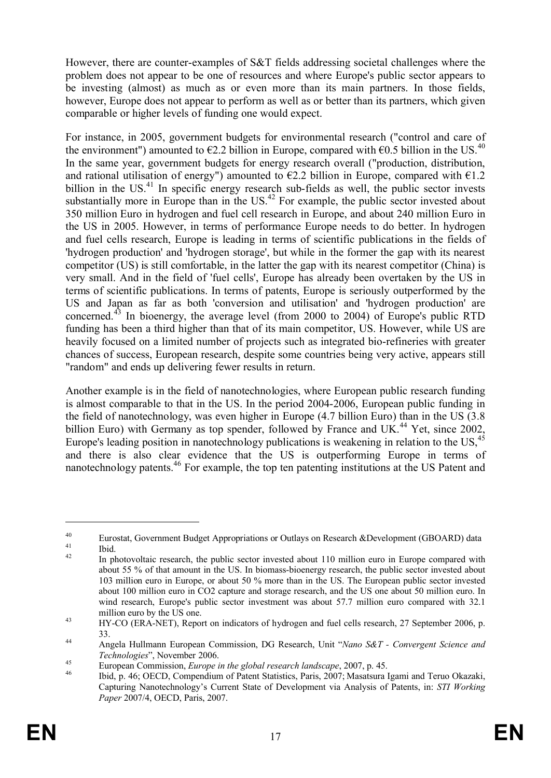However, there are counter-examples of S&T fields addressing societal challenges where the problem does not appear to be one of resources and where Europe's public sector appears to be investing (almost) as much as or even more than its main partners. In those fields, however, Europe does not appear to perform as well as or better than its partners, which given comparable or higher levels of funding one would expect.

For instance, in 2005, government budgets for environmental research ("control and care of the environment") amounted to  $\epsilon$ 2.2 billion in Europe, compared with  $\epsilon$ 0.5 billion in the US.<sup>40</sup> In the same year, government budgets for energy research overall ("production, distribution, and rational utilisation of energy") amounted to  $\epsilon$ 2.2 billion in Europe, compared with  $\epsilon$ 1.2 billion in the  $US<sup>41</sup>$  In specific energy research sub-fields as well, the public sector invests substantially more in Europe than in the US.<sup>42</sup> For example, the public sector invested about 350 million Euro in hydrogen and fuel cell research in Europe, and about 240 million Euro in the US in 2005. However, in terms of performance Europe needs to do better. In hydrogen and fuel cells research, Europe is leading in terms of scientific publications in the fields of 'hydrogen production' and 'hydrogen storage', but while in the former the gap with its nearest competitor (US) is still comfortable, in the latter the gap with its nearest competitor (China) is very small. And in the field of 'fuel cells', Europe has already been overtaken by the US in terms of scientific publications. In terms of patents, Europe is seriously outperformed by the US and Japan as far as both 'conversion and utilisation' and 'hydrogen production' are concerned.<sup>43</sup> In bioenergy, the average level (from 2000 to 2004) of Europe's public RTD funding has been a third higher than that of its main competitor, US. However, while US are heavily focused on a limited number of projects such as integrated bio-refineries with greater chances of success, European research, despite some countries being very active, appears still "random" and ends up delivering fewer results in return.

Another example is in the field of nanotechnologies, where European public research funding is almost comparable to that in the US. In the period 2004-2006, European public funding in the field of nanotechnology, was even higher in Europe (4.7 billion Euro) than in the US (3.8 billion Euro) with Germany as top spender, followed by France and UK.<sup>44</sup> Yet, since 2002, Europe's leading position in nanotechnology publications is weakening in relation to the US,<sup>45</sup> and there is also clear evidence that the US is outperforming Europe in terms of nanotechnology patents.<sup>46</sup> For example, the top ten patenting institutions at the US Patent and

<sup>&</sup>lt;sup>40</sup> Eurostat, Government Budget Appropriations or Outlays on Research &Development (GBOARD) data  $\frac{41}{42}$  Ibid.

In photovoltaic research, the public sector invested about 110 million euro in Europe compared with about 55 % of that amount in the US. In biomass-bioenergy research, the public sector invested about 103 million euro in Europe, or about 50 % more than in the US. The European public sector invested about 100 million euro in CO2 capture and storage research, and the US one about 50 million euro. In wind research, Europe's public sector investment was about 57.7 million euro compared with 32.1 million euro by the US one.

<sup>&</sup>lt;sup>43</sup> HY-CO (ERA-NET), Report on indicators of hydrogen and fuel cells research, 27 September 2006, p. 33.

<sup>44</sup> Angela Hullmann European Commission, DG Research, Unit "*Nano S&T - Convergent Science and Technologies*", November 2006.

<sup>45</sup> European Commission, *Europe in the global research landscape*, 2007, p. 45.

<sup>46</sup> Ibid, p. 46; OECD, Compendium of Patent Statistics, Paris, 2007; Masatsura Igami and Teruo Okazaki, Capturing Nanotechnology's Current State of Development via Analysis of Patents, in: *STI Working Paper* 2007/4, OECD, Paris, 2007.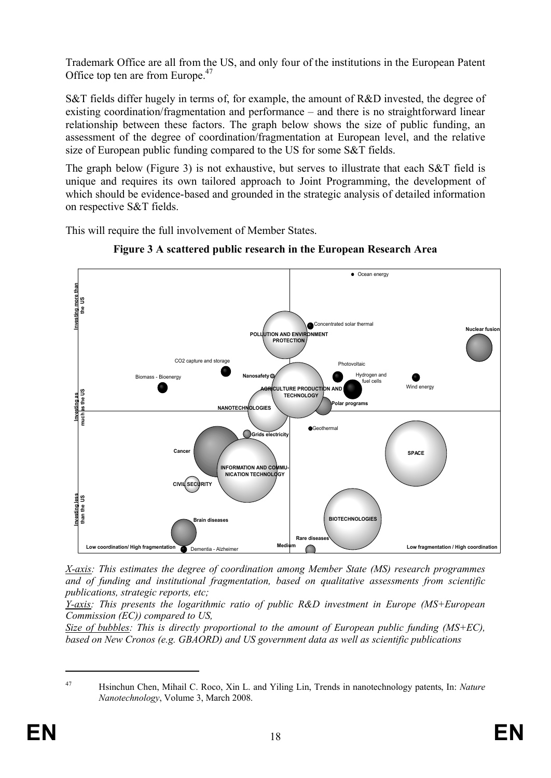Trademark Office are all from the US, and only four of the institutions in the European Patent Office top ten are from Europe.<sup>47</sup>

S&T fields differ hugely in terms of, for example, the amount of R&D invested, the degree of existing coordination/fragmentation and performance – and there is no straightforward linear relationship between these factors. The graph below shows the size of public funding, an assessment of the degree of coordination/fragmentation at European level, and the relative size of European public funding compared to the US for some S&T fields.

The graph below (Figure 3) is not exhaustive, but serves to illustrate that each S&T field is unique and requires its own tailored approach to Joint Programming, the development of which should be evidence-based and grounded in the strategic analysis of detailed information on respective S&T fields.

This will require the full involvement of Member States.



**Figure 3 A scattered public research in the European Research Area**

*X-axis: This estimates the degree of coordination among Member State (MS) research programmes and of funding and institutional fragmentation, based on qualitative assessments from scientific publications, strategic reports, etc;* 

*Y-axis: This presents the logarithmic ratio of public R&D investment in Europe (MS+European Commission (EC)) compared to US,*

*Size of bubbles: This is directly proportional to the amount of European public funding (MS+EC), based on New Cronos (e.g. GBAORD) and US government data as well as scientific publications*

<sup>47</sup> Hsinchun Chen, Mihail C. Roco, Xin L. and Yiling Lin, Trends in nanotechnology patents, In: *Nature Nanotechnology*, Volume 3, March 2008.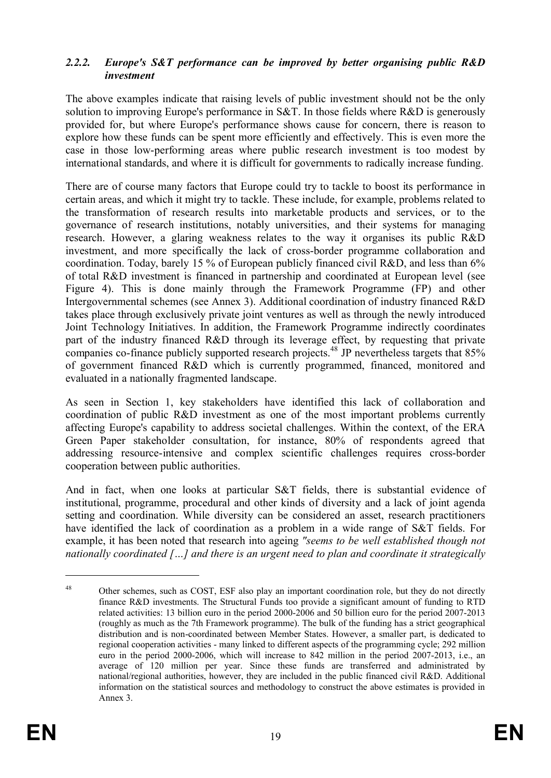#### *2.2.2. Europe's S&T performance can be improved by better organising public R&D investment*

The above examples indicate that raising levels of public investment should not be the only solution to improving Europe's performance in S&T. In those fields where R&D is generously provided for, but where Europe's performance shows cause for concern, there is reason to explore how these funds can be spent more efficiently and effectively. This is even more the case in those low-performing areas where public research investment is too modest by international standards, and where it is difficult for governments to radically increase funding.

There are of course many factors that Europe could try to tackle to boost its performance in certain areas, and which it might try to tackle. These include, for example, problems related to the transformation of research results into marketable products and services, or to the governance of research institutions, notably universities, and their systems for managing research. However, a glaring weakness relates to the way it organises its public R&D investment, and more specifically the lack of cross-border programme collaboration and coordination. Today, barely 15 % of European publicly financed civil R&D, and less than 6% of total R&D investment is financed in partnership and coordinated at European level (see Figure 4). This is done mainly through the Framework Programme (FP) and other Intergovernmental schemes (see Annex 3). Additional coordination of industry financed R&D takes place through exclusively private joint ventures as well as through the newly introduced Joint Technology Initiatives. In addition, the Framework Programme indirectly coordinates part of the industry financed R&D through its leverage effect, by requesting that private companies co-finance publicly supported research projects.<sup>48</sup> JP nevertheless targets that 85% of government financed R&D which is currently programmed, financed, monitored and evaluated in a nationally fragmented landscape.

As seen in Section 1, key stakeholders have identified this lack of collaboration and coordination of public R&D investment as one of the most important problems currently affecting Europe's capability to address societal challenges. Within the context, of the ERA Green Paper stakeholder consultation, for instance, 80% of respondents agreed that addressing resource-intensive and complex scientific challenges requires cross-border cooperation between public authorities.

And in fact, when one looks at particular S&T fields, there is substantial evidence of institutional, programme, procedural and other kinds of diversity and a lack of joint agenda setting and coordination. While diversity can be considered an asset, research practitioners have identified the lack of coordination as a problem in a wide range of S&T fields. For example, it has been noted that research into ageing *"seems to be well established though not nationally coordinated […] and there is an urgent need to plan and coordinate it strategically* 

<sup>&</sup>lt;sup>48</sup> Other schemes, such as COST, ESF also play an important coordination role, but they do not directly finance R&D investments. The Structural Funds too provide a significant amount of funding to RTD related activities: 13 billion euro in the period 2000-2006 and 50 billion euro for the period 2007-2013 (roughly as much as the 7th Framework programme). The bulk of the funding has a strict geographical distribution and is non-coordinated between Member States. However, a smaller part, is dedicated to regional cooperation activities - many linked to different aspects of the programming cycle; 292 million euro in the period 2000-2006, which will increase to 842 million in the period 2007-2013, i.e., an average of 120 million per year. Since these funds are transferred and administrated by national/regional authorities, however, they are included in the public financed civil R&D. Additional information on the statistical sources and methodology to construct the above estimates is provided in Annex 3.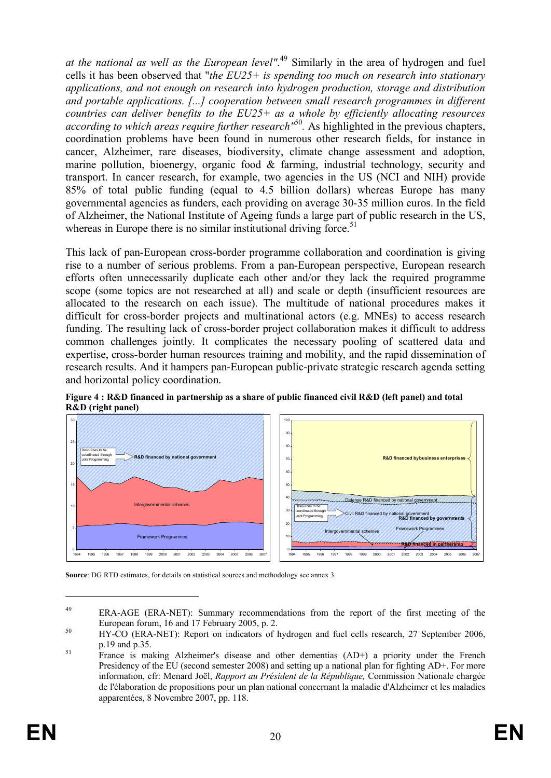*at the national as well as the European level"*. <sup>49</sup> Similarly in the area of hydrogen and fuel cells it has been observed that "*the EU25+ is spending too much on research into stationary applications, and not enough on research into hydrogen production, storage and distribution and portable applications. [...] cooperation between small research programmes in different countries can deliver benefits to the EU25+ as a whole by efficiently allocating resources according to which areas require further research"*<sup>50</sup> *.* As highlighted in the previous chapters, coordination problems have been found in numerous other research fields, for instance in cancer, Alzheimer, rare diseases, biodiversity, climate change assessment and adoption, marine pollution, bioenergy, organic food & farming, industrial technology, security and transport. In cancer research, for example, two agencies in the US (NCI and NIH) provide 85% of total public funding (equal to 4.5 billion dollars) whereas Europe has many governmental agencies as funders, each providing on average 30-35 million euros. In the field of Alzheimer, the National Institute of Ageing funds a large part of public research in the US, whereas in Europe there is no similar institutional driving force.<sup>51</sup>

This lack of pan-European cross-border programme collaboration and coordination is giving rise to a number of serious problems. From a pan-European perspective, European research efforts often unnecessarily duplicate each other and/or they lack the required programme scope (some topics are not researched at all) and scale or depth (insufficient resources are allocated to the research on each issue). The multitude of national procedures makes it difficult for cross-border projects and multinational actors (e.g. MNEs) to access research funding. The resulting lack of cross-border project collaboration makes it difficult to address common challenges jointly. It complicates the necessary pooling of scattered data and expertise, cross-border human resources training and mobility, and the rapid dissemination of research results. And it hampers pan-European public-private strategic research agenda setting and horizontal policy coordination.





**Source**: DG RTD estimates, for details on statistical sources and methodology see annex 3.

<sup>&</sup>lt;sup>49</sup> ERA-AGE (ERA-NET): Summary recommendations from the report of the first meeting of the European forum, 16 and 17 February 2005, p. 2.

<sup>&</sup>lt;sup>50</sup> HY-CO (ERA-NET): Report on indicators of hydrogen and fuel cells research, 27 September 2006, p.19 and p.35.

<sup>&</sup>lt;sup>51</sup> France is making Alzheimer's disease and other dementias (AD+) a priority under the French Presidency of the EU (second semester 2008) and setting up a national plan for fighting AD+. For more information, cfr: Menard Joël, *Rapport au Président de la République,* Commission Nationale chargée de l'élaboration de propositions pour un plan national concernant la maladie d'Alzheimer et les maladies apparentées, 8 Novembre 2007, pp. 118.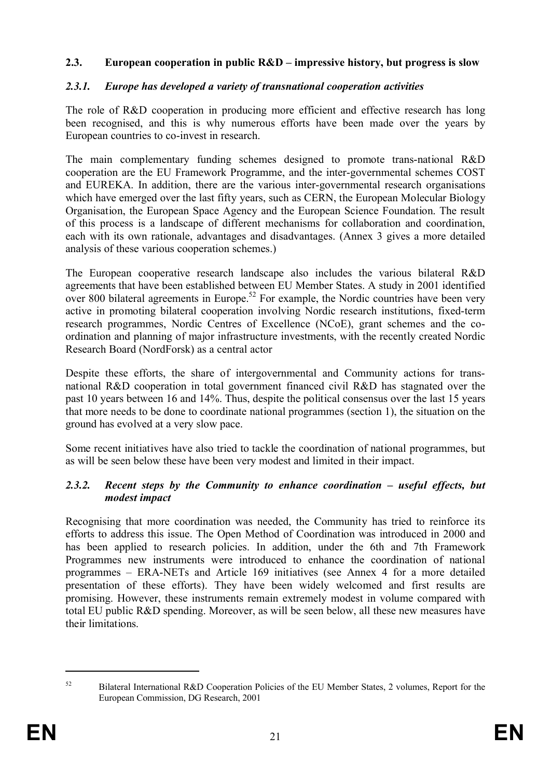#### **2.3. European cooperation in public R&D – impressive history, but progress is slow**

#### *2.3.1. Europe has developed a variety of transnational cooperation activities*

The role of R&D cooperation in producing more efficient and effective research has long been recognised, and this is why numerous efforts have been made over the years by European countries to co-invest in research.

The main complementary funding schemes designed to promote trans-national R&D cooperation are the EU Framework Programme, and the inter-governmental schemes COST and EUREKA. In addition, there are the various inter-governmental research organisations which have emerged over the last fifty years, such as CERN, the European Molecular Biology Organisation, the European Space Agency and the European Science Foundation. The result of this process is a landscape of different mechanisms for collaboration and coordination, each with its own rationale, advantages and disadvantages. (Annex 3 gives a more detailed analysis of these various cooperation schemes.)

The European cooperative research landscape also includes the various bilateral R&D agreements that have been established between EU Member States. A study in 2001 identified over 800 bilateral agreements in Europe.<sup>52</sup> For example, the Nordic countries have been very active in promoting bilateral cooperation involving Nordic research institutions, fixed-term research programmes, Nordic Centres of Excellence (NCoE), grant schemes and the coordination and planning of major infrastructure investments, with the recently created Nordic Research Board (NordForsk) as a central actor

Despite these efforts, the share of intergovernmental and Community actions for transnational R&D cooperation in total government financed civil R&D has stagnated over the past 10 years between 16 and 14%. Thus, despite the political consensus over the last 15 years that more needs to be done to coordinate national programmes (section 1), the situation on the ground has evolved at a very slow pace.

Some recent initiatives have also tried to tackle the coordination of national programmes, but as will be seen below these have been very modest and limited in their impact.

#### *2.3.2. Recent steps by the Community to enhance coordination – useful effects, but modest impact*

Recognising that more coordination was needed, the Community has tried to reinforce its efforts to address this issue. The Open Method of Coordination was introduced in 2000 and has been applied to research policies. In addition, under the 6th and 7th Framework Programmes new instruments were introduced to enhance the coordination of national programmes – ERA-NETs and Article 169 initiatives (see Annex 4 for a more detailed presentation of these efforts). They have been widely welcomed and first results are promising. However, these instruments remain extremely modest in volume compared with total EU public R&D spending. Moreover, as will be seen below, all these new measures have their limitations.

<sup>&</sup>lt;sup>52</sup> Bilateral International R&D Cooperation Policies of the EU Member States, 2 volumes, Report for the European Commission, DG Research, 2001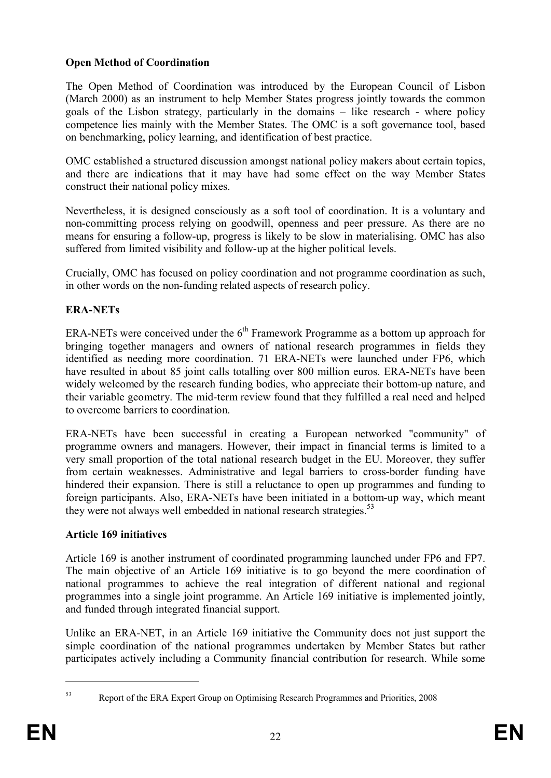## **Open Method of Coordination**

The Open Method of Coordination was introduced by the European Council of Lisbon (March 2000) as an instrument to help Member States progress jointly towards the common goals of the Lisbon strategy, particularly in the domains – like research - where policy competence lies mainly with the Member States. The OMC is a soft governance tool, based on benchmarking, policy learning, and identification of best practice.

OMC established a structured discussion amongst national policy makers about certain topics, and there are indications that it may have had some effect on the way Member States construct their national policy mixes.

Nevertheless, it is designed consciously as a soft tool of coordination. It is a voluntary and non-committing process relying on goodwill, openness and peer pressure. As there are no means for ensuring a follow-up, progress is likely to be slow in materialising. OMC has also suffered from limited visibility and follow-up at the higher political levels.

Crucially, OMC has focused on policy coordination and not programme coordination as such, in other words on the non-funding related aspects of research policy.

#### **ERA-NETs**

ERA-NETs were conceived under the  $6<sup>th</sup>$  Framework Programme as a bottom up approach for bringing together managers and owners of national research programmes in fields they identified as needing more coordination. 71 ERA-NETs were launched under FP6, which have resulted in about 85 joint calls totalling over 800 million euros. ERA-NETs have been widely welcomed by the research funding bodies, who appreciate their bottom-up nature, and their variable geometry. The mid-term review found that they fulfilled a real need and helped to overcome barriers to coordination.

ERA-NETs have been successful in creating a European networked "community" of programme owners and managers. However, their impact in financial terms is limited to a very small proportion of the total national research budget in the EU. Moreover, they suffer from certain weaknesses. Administrative and legal barriers to cross-border funding have hindered their expansion. There is still a reluctance to open up programmes and funding to foreign participants. Also, ERA-NETs have been initiated in a bottom-up way, which meant they were not always well embedded in national research strategies.<sup>53</sup>

#### **Article 169 initiatives**

Article 169 is another instrument of coordinated programming launched under FP6 and FP7. The main objective of an Article 169 initiative is to go beyond the mere coordination of national programmes to achieve the real integration of different national and regional programmes into a single joint programme. An Article 169 initiative is implemented jointly, and funded through integrated financial support.

Unlike an ERA-NET, in an Article 169 initiative the Community does not just support the simple coordination of the national programmes undertaken by Member States but rather participates actively including a Community financial contribution for research. While some

<sup>53</sup> Report of the ERA Expert Group on Optimising Research Programmes and Priorities, 2008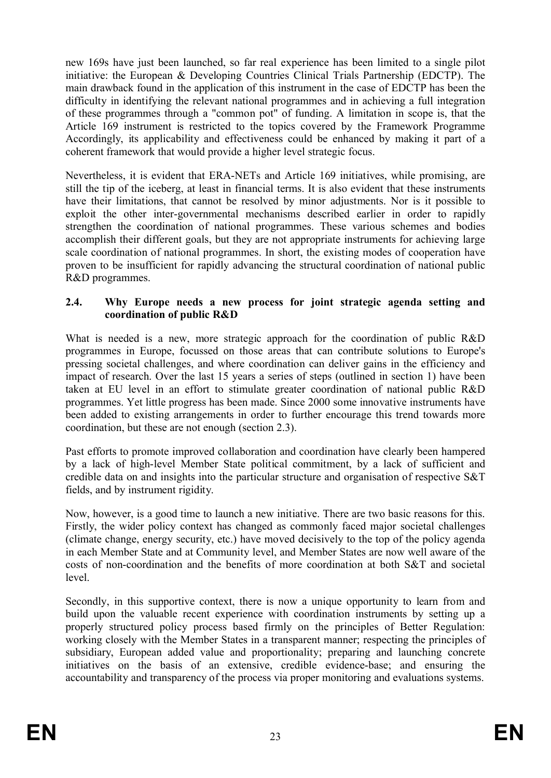new 169s have just been launched, so far real experience has been limited to a single pilot initiative: the European & Developing Countries Clinical Trials Partnership (EDCTP). The main drawback found in the application of this instrument in the case of EDCTP has been the difficulty in identifying the relevant national programmes and in achieving a full integration of these programmes through a "common pot" of funding. A limitation in scope is, that the Article 169 instrument is restricted to the topics covered by the Framework Programme Accordingly, its applicability and effectiveness could be enhanced by making it part of a coherent framework that would provide a higher level strategic focus.

Nevertheless, it is evident that ERA-NETs and Article 169 initiatives, while promising, are still the tip of the iceberg, at least in financial terms. It is also evident that these instruments have their limitations, that cannot be resolved by minor adjustments. Nor is it possible to exploit the other inter-governmental mechanisms described earlier in order to rapidly strengthen the coordination of national programmes. These various schemes and bodies accomplish their different goals, but they are not appropriate instruments for achieving large scale coordination of national programmes. In short, the existing modes of cooperation have proven to be insufficient for rapidly advancing the structural coordination of national public R&D programmes.

#### **2.4. Why Europe needs a new process for joint strategic agenda setting and coordination of public R&D**

What is needed is a new, more strategic approach for the coordination of public R&D programmes in Europe, focussed on those areas that can contribute solutions to Europe's pressing societal challenges, and where coordination can deliver gains in the efficiency and impact of research. Over the last 15 years a series of steps (outlined in section 1) have been taken at EU level in an effort to stimulate greater coordination of national public R&D programmes. Yet little progress has been made. Since 2000 some innovative instruments have been added to existing arrangements in order to further encourage this trend towards more coordination, but these are not enough (section 2.3).

Past efforts to promote improved collaboration and coordination have clearly been hampered by a lack of high-level Member State political commitment, by a lack of sufficient and credible data on and insights into the particular structure and organisation of respective S&T fields, and by instrument rigidity.

Now, however, is a good time to launch a new initiative. There are two basic reasons for this. Firstly, the wider policy context has changed as commonly faced major societal challenges (climate change, energy security, etc.) have moved decisively to the top of the policy agenda in each Member State and at Community level, and Member States are now well aware of the costs of non-coordination and the benefits of more coordination at both S&T and societal level.

Secondly, in this supportive context, there is now a unique opportunity to learn from and build upon the valuable recent experience with coordination instruments by setting up a properly structured policy process based firmly on the principles of Better Regulation: working closely with the Member States in a transparent manner; respecting the principles of subsidiary, European added value and proportionality; preparing and launching concrete initiatives on the basis of an extensive, credible evidence-base; and ensuring the accountability and transparency of the process via proper monitoring and evaluations systems.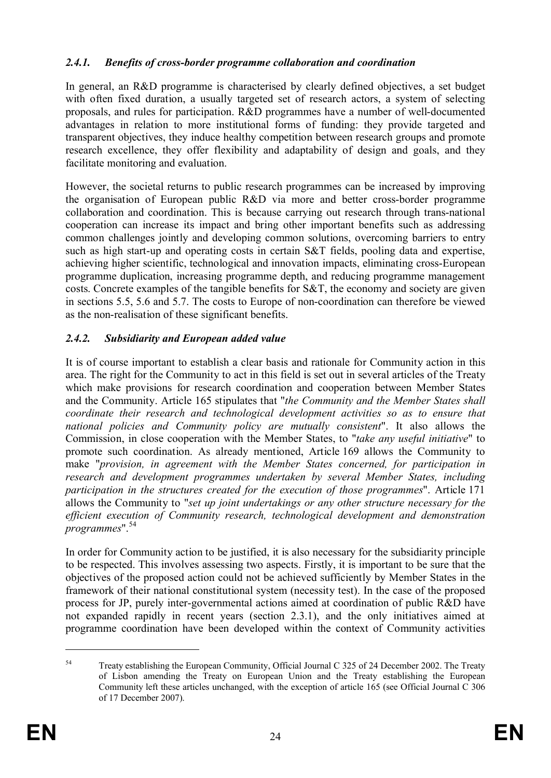## *2.4.1. Benefits of cross-border programme collaboration and coordination*

In general, an R&D programme is characterised by clearly defined objectives, a set budget with often fixed duration, a usually targeted set of research actors, a system of selecting proposals, and rules for participation. R&D programmes have a number of well-documented advantages in relation to more institutional forms of funding: they provide targeted and transparent objectives, they induce healthy competition between research groups and promote research excellence, they offer flexibility and adaptability of design and goals, and they facilitate monitoring and evaluation.

However, the societal returns to public research programmes can be increased by improving the organisation of European public R&D via more and better cross-border programme collaboration and coordination. This is because carrying out research through trans-national cooperation can increase its impact and bring other important benefits such as addressing common challenges jointly and developing common solutions, overcoming barriers to entry such as high start-up and operating costs in certain S&T fields, pooling data and expertise, achieving higher scientific, technological and innovation impacts, eliminating cross-European programme duplication, increasing programme depth, and reducing programme management costs. Concrete examples of the tangible benefits for S&T, the economy and society are given in sections 5.5, 5.6 and 5.7. The costs to Europe of non-coordination can therefore be viewed as the non-realisation of these significant benefits.

## *2.4.2. Subsidiarity and European added value*

It is of course important to establish a clear basis and rationale for Community action in this area. The right for the Community to act in this field is set out in several articles of the Treaty which make provisions for research coordination and cooperation between Member States and the Community. Article 165 stipulates that "*the Community and the Member States shall coordinate their research and technological development activities so as to ensure that national policies and Community policy are mutually consistent*". It also allows the Commission, in close cooperation with the Member States, to "*take any useful initiative*" to promote such coordination. As already mentioned, Article 169 allows the Community to make "*provision, in agreement with the Member States concerned, for participation in research and development programmes undertaken by several Member States, including participation in the structures created for the execution of those programmes*". Article 171 allows the Community to "*set up joint undertakings or any other structure necessary for the efficient execution of Community research, technological development and demonstration programmes*".<sup>54</sup>

In order for Community action to be justified, it is also necessary for the subsidiarity principle to be respected. This involves assessing two aspects. Firstly, it is important to be sure that the objectives of the proposed action could not be achieved sufficiently by Member States in the framework of their national constitutional system (necessity test). In the case of the proposed process for JP, purely inter-governmental actions aimed at coordination of public R&D have not expanded rapidly in recent years (section 2.3.1), and the only initiatives aimed at programme coordination have been developed within the context of Community activities

<sup>&</sup>lt;sup>54</sup> Treaty establishing the European Community, Official Journal C 325 of 24 December 2002. The Treaty of Lisbon amending the Treaty on European Union and the Treaty establishing the European Community left these articles unchanged, with the exception of article 165 (see Official Journal C 306 of 17 December 2007).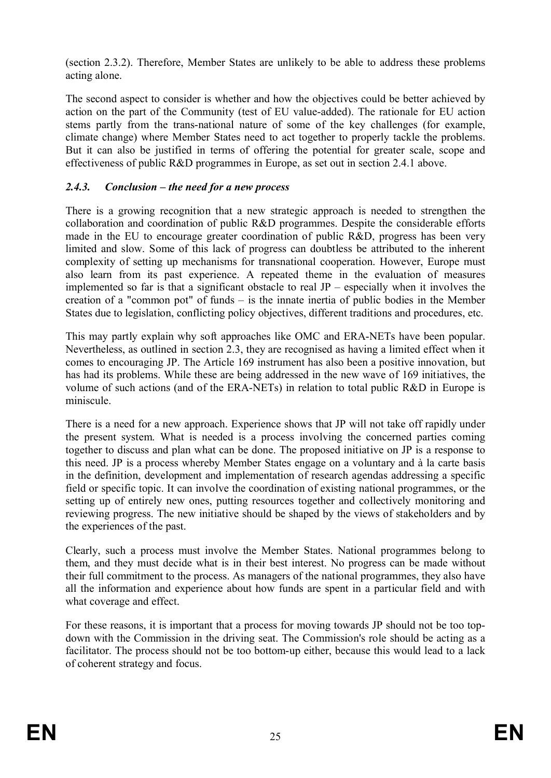(section 2.3.2). Therefore, Member States are unlikely to be able to address these problems acting alone.

The second aspect to consider is whether and how the objectives could be better achieved by action on the part of the Community (test of EU value-added). The rationale for EU action stems partly from the trans-national nature of some of the key challenges (for example, climate change) where Member States need to act together to properly tackle the problems. But it can also be justified in terms of offering the potential for greater scale, scope and effectiveness of public R&D programmes in Europe, as set out in section 2.4.1 above.

#### *2.4.3. Conclusion – the need for a new process*

There is a growing recognition that a new strategic approach is needed to strengthen the collaboration and coordination of public R&D programmes. Despite the considerable efforts made in the EU to encourage greater coordination of public R&D, progress has been very limited and slow. Some of this lack of progress can doubtless be attributed to the inherent complexity of setting up mechanisms for transnational cooperation. However, Europe must also learn from its past experience. A repeated theme in the evaluation of measures implemented so far is that a significant obstacle to real  $JP$  – especially when it involves the creation of a "common pot" of funds – is the innate inertia of public bodies in the Member States due to legislation, conflicting policy objectives, different traditions and procedures, etc.

This may partly explain why soft approaches like OMC and ERA-NETs have been popular. Nevertheless, as outlined in section 2.3, they are recognised as having a limited effect when it comes to encouraging JP. The Article 169 instrument has also been a positive innovation, but has had its problems. While these are being addressed in the new wave of 169 initiatives, the volume of such actions (and of the ERA-NETs) in relation to total public R&D in Europe is miniscule.

There is a need for a new approach. Experience shows that JP will not take off rapidly under the present system. What is needed is a process involving the concerned parties coming together to discuss and plan what can be done. The proposed initiative on JP is a response to this need. JP is a process whereby Member States engage on a voluntary and à la carte basis in the definition, development and implementation of research agendas addressing a specific field or specific topic. It can involve the coordination of existing national programmes, or the setting up of entirely new ones, putting resources together and collectively monitoring and reviewing progress. The new initiative should be shaped by the views of stakeholders and by the experiences of the past.

Clearly, such a process must involve the Member States. National programmes belong to them, and they must decide what is in their best interest. No progress can be made without their full commitment to the process. As managers of the national programmes, they also have all the information and experience about how funds are spent in a particular field and with what coverage and effect.

For these reasons, it is important that a process for moving towards JP should not be too topdown with the Commission in the driving seat. The Commission's role should be acting as a facilitator. The process should not be too bottom-up either, because this would lead to a lack of coherent strategy and focus.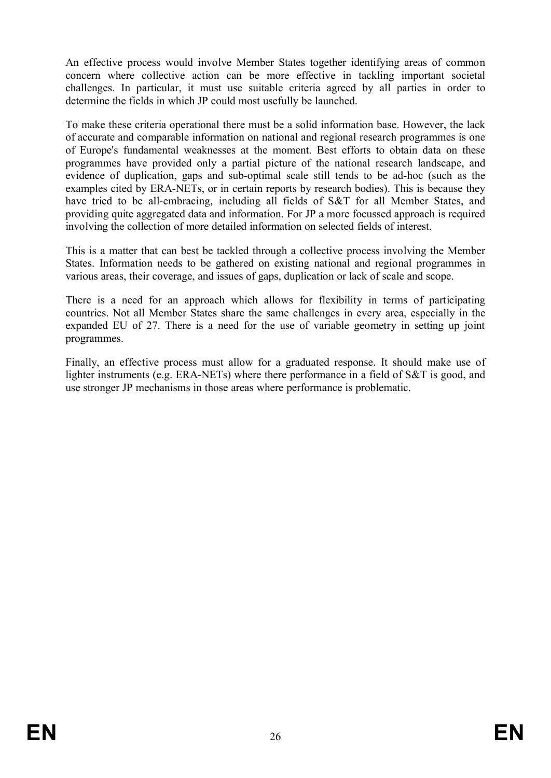An effective process would involve Member States together identifying areas of common concern where collective action can be more effective in tackling important societal challenges. In particular, it must use suitable criteria agreed by all parties in order to determine the fields in which JP could most usefully be launched.

To make these criteria operational there must be a solid information base. However, the lack of accurate and comparable information on national and regional research programmes is one of Europe's fundamental weaknesses at the moment. Best efforts to obtain data on these programmes have provided only a partial picture of the national research landscape, and evidence of duplication, gaps and sub-optimal scale still tends to be ad-hoc (such as the examples cited by ERA-NETs, or in certain reports by research bodies). This is because they have tried to be all-embracing, including all fields of S&T for all Member States, and providing quite aggregated data and information. For JP a more focussed approach is required involving the collection of more detailed information on selected fields of interest.

This is a matter that can best be tackled through a collective process involving the Member States. Information needs to be gathered on existing national and regional programmes in various areas, their coverage, and issues of gaps, duplication or lack of scale and scope.

There is a need for an approach which allows for flexibility in terms of participating countries. Not all Member States share the same challenges in every area, especially in the expanded EU of 27. There is a need for the use of variable geometry in setting up joint programmes.

Finally, an effective process must allow for a graduated response. It should make use of lighter instruments (e.g. ERA-NETs) where there performance in a field of S&T is good, and use stronger JP mechanisms in those areas where performance is problematic.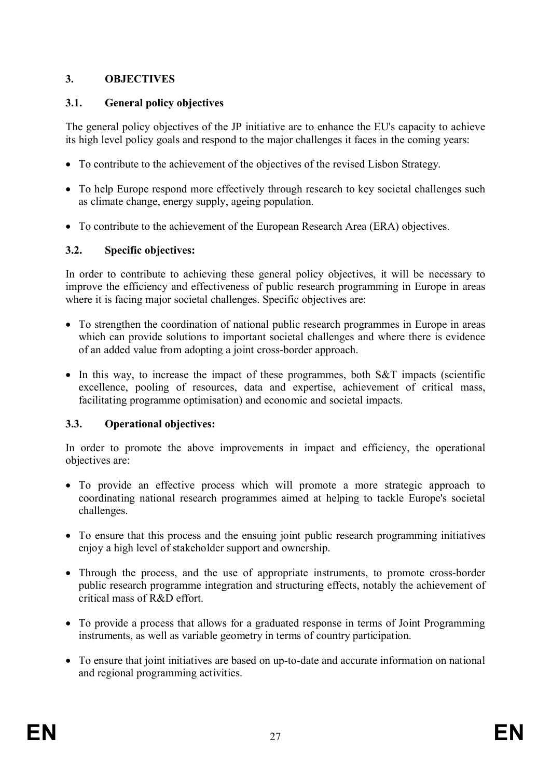## **3. OBJECTIVES**

## **3.1. General policy objectives**

The general policy objectives of the JP initiative are to enhance the EU's capacity to achieve its high level policy goals and respond to the major challenges it faces in the coming years:

- · To contribute to the achievement of the objectives of the revised Lisbon Strategy.
- · To help Europe respond more effectively through research to key societal challenges such as climate change, energy supply, ageing population.
- · To contribute to the achievement of the European Research Area (ERA) objectives.

## **3.2. Specific objectives:**

In order to contribute to achieving these general policy objectives, it will be necessary to improve the efficiency and effectiveness of public research programming in Europe in areas where it is facing major societal challenges. Specific objectives are:

- · To strengthen the coordination of national public research programmes in Europe in areas which can provide solutions to important societal challenges and where there is evidence of an added value from adopting a joint cross-border approach.
- In this way, to increase the impact of these programmes, both S&T impacts (scientific excellence, pooling of resources, data and expertise, achievement of critical mass, facilitating programme optimisation) and economic and societal impacts.

## **3.3. Operational objectives:**

In order to promote the above improvements in impact and efficiency, the operational objectives are:

- · To provide an effective process which will promote a more strategic approach to coordinating national research programmes aimed at helping to tackle Europe's societal challenges.
- · To ensure that this process and the ensuing joint public research programming initiatives enjoy a high level of stakeholder support and ownership.
- Through the process, and the use of appropriate instruments, to promote cross-border public research programme integration and structuring effects, notably the achievement of critical mass of R&D effort.
- · To provide a process that allows for a graduated response in terms of Joint Programming instruments, as well as variable geometry in terms of country participation.
- · To ensure that joint initiatives are based on up-to-date and accurate information on national and regional programming activities.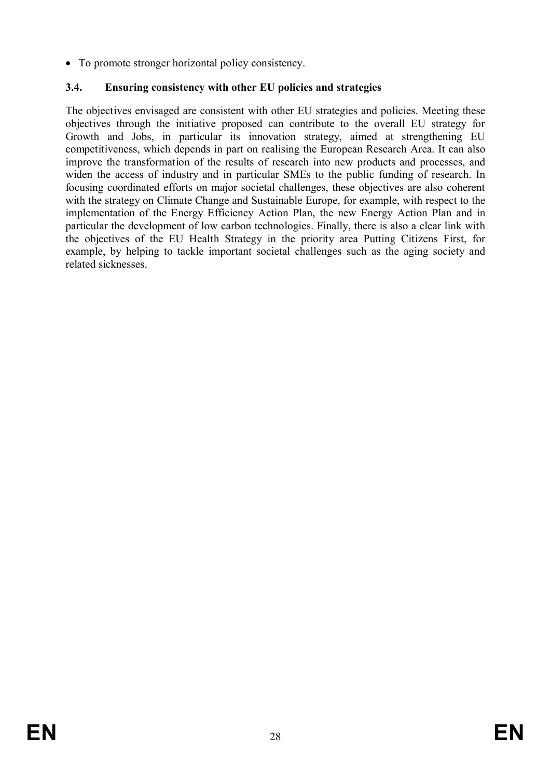• To promote stronger horizontal policy consistency.

## **3.4. Ensuring consistency with other EU policies and strategies**

The objectives envisaged are consistent with other EU strategies and policies. Meeting these objectives through the initiative proposed can contribute to the overall EU strategy for Growth and Jobs, in particular its innovation strategy, aimed at strengthening EU competitiveness, which depends in part on realising the European Research Area. It can also improve the transformation of the results of research into new products and processes, and widen the access of industry and in particular SMEs to the public funding of research. In focusing coordinated efforts on major societal challenges, these objectives are also coherent with the strategy on Climate Change and Sustainable Europe, for example, with respect to the implementation of the Energy Efficiency Action Plan, the new Energy Action Plan and in particular the development of low carbon technologies. Finally, there is also a clear link with the objectives of the EU Health Strategy in the priority area Putting Citizens First, for example, by helping to tackle important societal challenges such as the aging society and related sicknesses.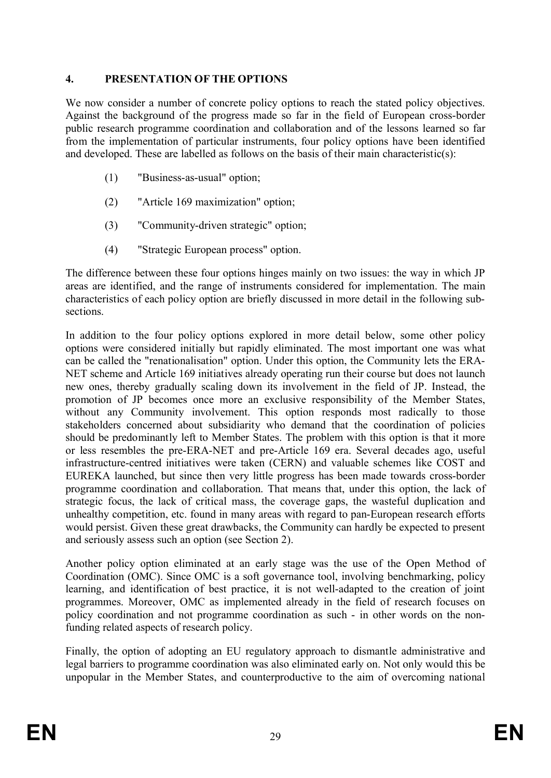#### **4. PRESENTATION OF THE OPTIONS**

We now consider a number of concrete policy options to reach the stated policy objectives. Against the background of the progress made so far in the field of European cross-border public research programme coordination and collaboration and of the lessons learned so far from the implementation of particular instruments, four policy options have been identified and developed. These are labelled as follows on the basis of their main characteristic(s):

- (1) "Business-as-usual" option;
- (2) "Article 169 maximization" option;
- (3) "Community-driven strategic" option;
- (4) "Strategic European process" option.

The difference between these four options hinges mainly on two issues: the way in which JP areas are identified, and the range of instruments considered for implementation. The main characteristics of each policy option are briefly discussed in more detail in the following subsections.

In addition to the four policy options explored in more detail below, some other policy options were considered initially but rapidly eliminated. The most important one was what can be called the "renationalisation" option. Under this option, the Community lets the ERA-NET scheme and Article 169 initiatives already operating run their course but does not launch new ones, thereby gradually scaling down its involvement in the field of JP. Instead, the promotion of JP becomes once more an exclusive responsibility of the Member States, without any Community involvement. This option responds most radically to those stakeholders concerned about subsidiarity who demand that the coordination of policies should be predominantly left to Member States. The problem with this option is that it more or less resembles the pre-ERA-NET and pre-Article 169 era. Several decades ago, useful infrastructure-centred initiatives were taken (CERN) and valuable schemes like COST and EUREKA launched, but since then very little progress has been made towards cross-border programme coordination and collaboration. That means that, under this option, the lack of strategic focus, the lack of critical mass, the coverage gaps, the wasteful duplication and unhealthy competition, etc. found in many areas with regard to pan-European research efforts would persist. Given these great drawbacks, the Community can hardly be expected to present and seriously assess such an option (see Section 2).

Another policy option eliminated at an early stage was the use of the Open Method of Coordination (OMC). Since OMC is a soft governance tool, involving benchmarking, policy learning, and identification of best practice, it is not well-adapted to the creation of joint programmes. Moreover, OMC as implemented already in the field of research focuses on policy coordination and not programme coordination as such - in other words on the nonfunding related aspects of research policy.

Finally, the option of adopting an EU regulatory approach to dismantle administrative and legal barriers to programme coordination was also eliminated early on. Not only would this be unpopular in the Member States, and counterproductive to the aim of overcoming national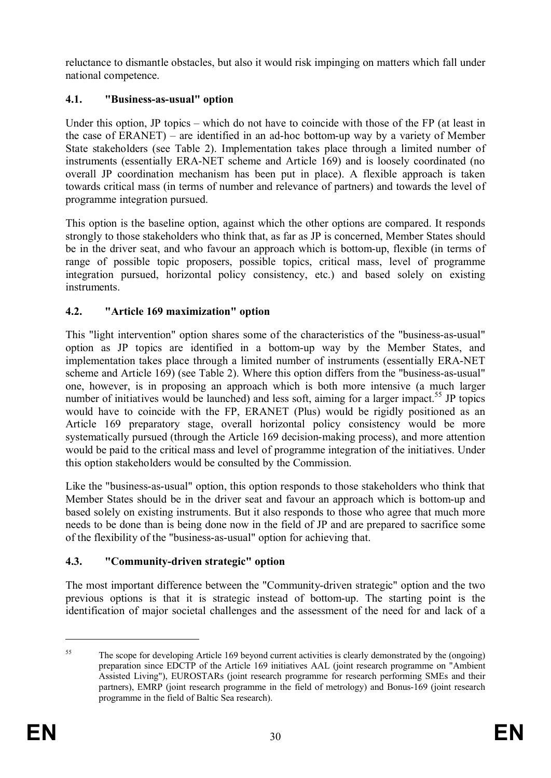reluctance to dismantle obstacles, but also it would risk impinging on matters which fall under national competence.

## **4.1. "Business-as-usual" option**

Under this option, JP topics – which do not have to coincide with those of the FP (at least in the case of ERANET) – are identified in an ad-hoc bottom-up way by a variety of Member State stakeholders (see Table 2). Implementation takes place through a limited number of instruments (essentially ERA-NET scheme and Article 169) and is loosely coordinated (no overall JP coordination mechanism has been put in place). A flexible approach is taken towards critical mass (in terms of number and relevance of partners) and towards the level of programme integration pursued.

This option is the baseline option, against which the other options are compared. It responds strongly to those stakeholders who think that, as far as JP is concerned, Member States should be in the driver seat, and who favour an approach which is bottom-up, flexible (in terms of range of possible topic proposers, possible topics, critical mass, level of programme integration pursued, horizontal policy consistency, etc.) and based solely on existing **instruments** 

## **4.2. "Article 169 maximization" option**

This "light intervention" option shares some of the characteristics of the "business-as-usual" option as JP topics are identified in a bottom-up way by the Member States, and implementation takes place through a limited number of instruments (essentially ERA-NET scheme and Article 169) (see Table 2). Where this option differs from the "business-as-usual" one, however, is in proposing an approach which is both more intensive (a much larger number of initiatives would be launched) and less soft, aiming for a larger impact.<sup>55</sup> JP topics would have to coincide with the FP, ERANET (Plus) would be rigidly positioned as an Article 169 preparatory stage, overall horizontal policy consistency would be more systematically pursued (through the Article 169 decision-making process), and more attention would be paid to the critical mass and level of programme integration of the initiatives. Under this option stakeholders would be consulted by the Commission.

Like the "business-as-usual" option, this option responds to those stakeholders who think that Member States should be in the driver seat and favour an approach which is bottom-up and based solely on existing instruments. But it also responds to those who agree that much more needs to be done than is being done now in the field of JP and are prepared to sacrifice some of the flexibility of the "business-as-usual" option for achieving that.

## **4.3. "Community-driven strategic" option**

The most important difference between the "Community-driven strategic" option and the two previous options is that it is strategic instead of bottom-up. The starting point is the identification of major societal challenges and the assessment of the need for and lack of a

<sup>&</sup>lt;sup>55</sup> The scope for developing Article 169 beyond current activities is clearly demonstrated by the (ongoing) preparation since EDCTP of the Article 169 initiatives AAL (joint research programme on "Ambient Assisted Living"), EUROSTARs (joint research programme for research performing SMEs and their partners), EMRP (joint research programme in the field of metrology) and Bonus-169 (joint research programme in the field of Baltic Sea research).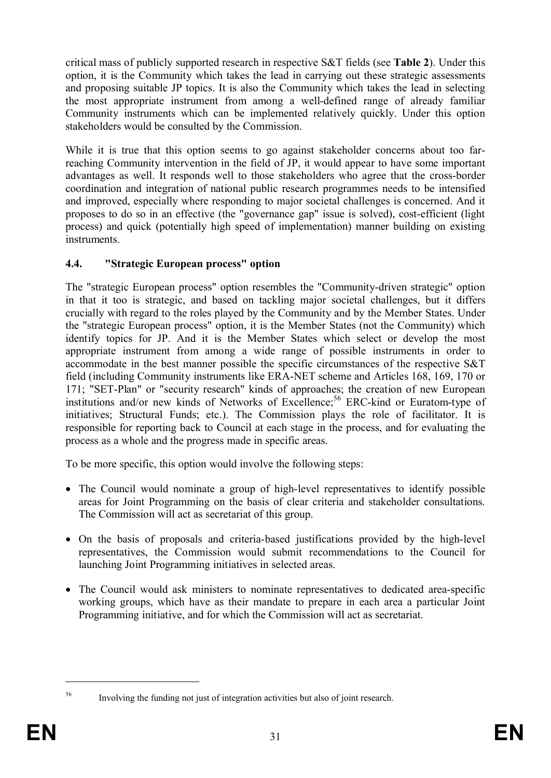critical mass of publicly supported research in respective S&T fields (see **Table 2**). Under this option, it is the Community which takes the lead in carrying out these strategic assessments and proposing suitable JP topics. It is also the Community which takes the lead in selecting the most appropriate instrument from among a well-defined range of already familiar Community instruments which can be implemented relatively quickly. Under this option stakeholders would be consulted by the Commission.

While it is true that this option seems to go against stakeholder concerns about too farreaching Community intervention in the field of JP, it would appear to have some important advantages as well. It responds well to those stakeholders who agree that the cross-border coordination and integration of national public research programmes needs to be intensified and improved, especially where responding to major societal challenges is concerned. And it proposes to do so in an effective (the "governance gap" issue is solved), cost-efficient (light process) and quick (potentially high speed of implementation) manner building on existing **instruments** 

## **4.4. "Strategic European process" option**

The "strategic European process" option resembles the "Community-driven strategic" option in that it too is strategic, and based on tackling major societal challenges, but it differs crucially with regard to the roles played by the Community and by the Member States. Under the "strategic European process" option, it is the Member States (not the Community) which identify topics for JP. And it is the Member States which select or develop the most appropriate instrument from among a wide range of possible instruments in order to accommodate in the best manner possible the specific circumstances of the respective S&T field (including Community instruments like ERA-NET scheme and Articles 168, 169, 170 or 171; "SET-Plan" or "security research" kinds of approaches; the creation of new European institutions and/or new kinds of Networks of Excellence;<sup>56</sup> ERC-kind or Euratom-type of initiatives; Structural Funds; etc.). The Commission plays the role of facilitator. It is responsible for reporting back to Council at each stage in the process, and for evaluating the process as a whole and the progress made in specific areas.

To be more specific, this option would involve the following steps:

- The Council would nominate a group of high-level representatives to identify possible areas for Joint Programming on the basis of clear criteria and stakeholder consultations. The Commission will act as secretariat of this group.
- · On the basis of proposals and criteria-based justifications provided by the high-level representatives, the Commission would submit recommendations to the Council for launching Joint Programming initiatives in selected areas.
- · The Council would ask ministers to nominate representatives to dedicated area-specific working groups, which have as their mandate to prepare in each area a particular Joint Programming initiative, and for which the Commission will act as secretariat.

<sup>56</sup> Involving the funding not just of integration activities but also of joint research.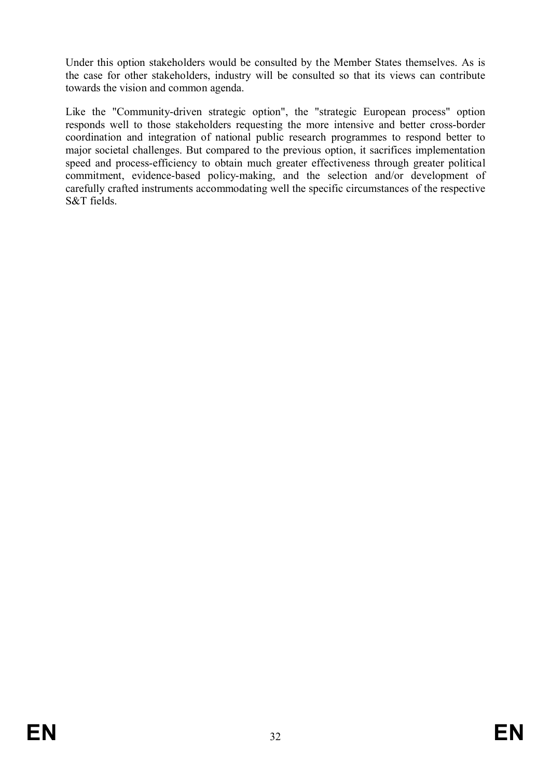Under this option stakeholders would be consulted by the Member States themselves. As is the case for other stakeholders, industry will be consulted so that its views can contribute towards the vision and common agenda.

Like the "Community-driven strategic option", the "strategic European process" option responds well to those stakeholders requesting the more intensive and better cross-border coordination and integration of national public research programmes to respond better to major societal challenges. But compared to the previous option, it sacrifices implementation speed and process-efficiency to obtain much greater effectiveness through greater political commitment, evidence-based policy-making, and the selection and/or development of carefully crafted instruments accommodating well the specific circumstances of the respective S&T fields.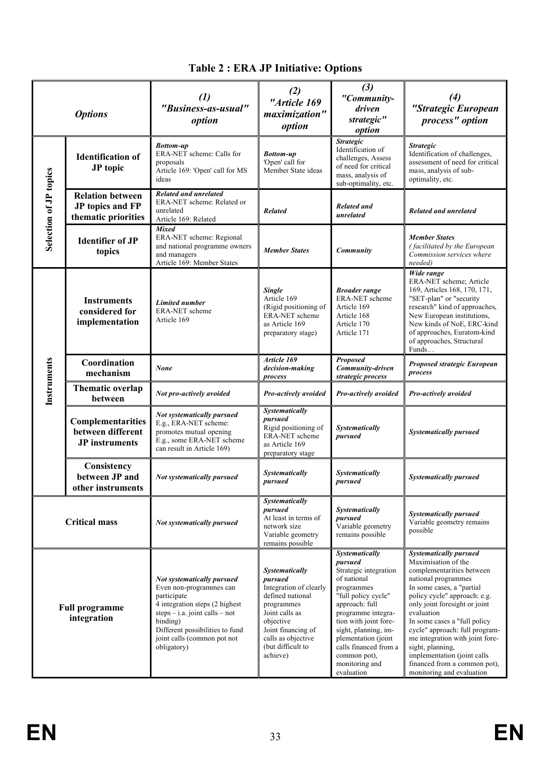| <b>Options</b>                                               |                                                                    | $\left( l\right)$<br>"Business-as-usual"<br>option                                                                                                                                                                                                   | (2)<br>"Article 169<br>maximization"<br>option                                                                                                                                                    | (3)<br>"Community-<br>driven<br>strategic"<br>option                                                                                                                                                                                                                                            | $\left(4\right)$<br>"Strategic European<br>process" option                                                                                                                                                                                                                                                                                                                                                                                |
|--------------------------------------------------------------|--------------------------------------------------------------------|------------------------------------------------------------------------------------------------------------------------------------------------------------------------------------------------------------------------------------------------------|---------------------------------------------------------------------------------------------------------------------------------------------------------------------------------------------------|-------------------------------------------------------------------------------------------------------------------------------------------------------------------------------------------------------------------------------------------------------------------------------------------------|-------------------------------------------------------------------------------------------------------------------------------------------------------------------------------------------------------------------------------------------------------------------------------------------------------------------------------------------------------------------------------------------------------------------------------------------|
|                                                              | <b>Identification of</b><br>JP topic                               | <b>Bottom-up</b><br>ERA-NET scheme: Calls for<br>proposals<br>Article 169: 'Open' call for MS<br>ideas                                                                                                                                               | <b>Bottom-up</b><br>'Open' call for<br>Member State ideas                                                                                                                                         | <b>Strategic</b><br>Identification of<br>challenges, Assess<br>of need for critical<br>mass, analysis of<br>sub-optimality, etc.                                                                                                                                                                | <b>Strategic</b><br>Identification of challenges,<br>assessment of need for critical<br>mass, analysis of sub-<br>optimality, etc.                                                                                                                                                                                                                                                                                                        |
| Selection of JP topics                                       | <b>Relation between</b><br>JP topics and FP<br>thematic priorities | <b>Related and unrelated</b><br>ERA-NET scheme: Related or<br>unrelated<br>Article 169: Related                                                                                                                                                      | <b>Related</b>                                                                                                                                                                                    | Related and<br>unrelated                                                                                                                                                                                                                                                                        | <b>Related and unrelated</b>                                                                                                                                                                                                                                                                                                                                                                                                              |
|                                                              | <b>Identifier of JP</b><br>topics                                  | <b>Mixed</b><br>ERA-NET scheme: Regional<br>and national programme owners<br>and managers<br>Article 169: Member States                                                                                                                              | <b>Member States</b>                                                                                                                                                                              | Community                                                                                                                                                                                                                                                                                       | <b>Member States</b><br>(facilitated by the European<br>Commission services where<br>needed)                                                                                                                                                                                                                                                                                                                                              |
|                                                              | <b>Instruments</b><br>considered for<br>implementation             | <b>Limited number</b><br>ERA-NET scheme<br>Article 169                                                                                                                                                                                               | <b>Single</b><br>Article 169<br>(Rigid positioning of<br>ERA-NET scheme<br>as Article 169<br>preparatory stage)                                                                                   | <b>Broader range</b><br>ERA-NET scheme<br>Article 169<br>Article 168<br>Article 170<br>Article 171                                                                                                                                                                                              | Wide range<br>ERA-NET scheme; Article<br>169, Articles 168, 170, 171,<br>"SET-plan" or "security<br>research" kind of approaches,<br>New European institutions,<br>New kinds of NoE, ERC-kind<br>of approaches, Euratom-kind<br>of approaches, Structural<br>Funds                                                                                                                                                                        |
|                                                              | Coordination<br>mechanism                                          | <b>None</b>                                                                                                                                                                                                                                          | Article 169<br>decision-making<br>process                                                                                                                                                         | <b>Proposed</b><br>Community-driven<br>strategic process                                                                                                                                                                                                                                        | Proposed strategic European<br>process                                                                                                                                                                                                                                                                                                                                                                                                    |
| Instruments                                                  | Thematic overlap<br>between                                        | Not pro-actively avoided                                                                                                                                                                                                                             | Pro-actively avoided                                                                                                                                                                              | Pro-actively avoided                                                                                                                                                                                                                                                                            | Pro-actively avoided                                                                                                                                                                                                                                                                                                                                                                                                                      |
|                                                              | Complementarities<br>between different<br><b>JP</b> instruments    | Not systematically pursued<br>E.g., ERA-NET scheme:<br>promotes mutual opening<br>E.g., some ERA-NET scheme<br>can result in Article 169)                                                                                                            | Systematically<br>pursued<br>Rigid positioning of<br>ERA-NET scheme<br>as Article 169<br>preparatory stage                                                                                        | Systematically<br>pursued                                                                                                                                                                                                                                                                       | <b>Systematically pursued</b>                                                                                                                                                                                                                                                                                                                                                                                                             |
|                                                              | Consistency<br>between JP and<br>other instruments                 | Not systematically pursued                                                                                                                                                                                                                           | <b>Systematically</b><br>pursued                                                                                                                                                                  | Systematically<br>pursued                                                                                                                                                                                                                                                                       | <b>Systematically pursued</b>                                                                                                                                                                                                                                                                                                                                                                                                             |
| <b>Critical mass</b><br><b>Full programme</b><br>integration |                                                                    | Not systematically pursued                                                                                                                                                                                                                           | Systematically<br>pursued<br>At least in terms of<br>network size<br>Variable geometry<br>remains possible                                                                                        | Systematically<br>pursued<br>Variable geometry<br>remains possible                                                                                                                                                                                                                              | <b>Systematically pursued</b><br>Variable geometry remains<br>possible                                                                                                                                                                                                                                                                                                                                                                    |
|                                                              |                                                                    | Not systematically pursued<br>Even non-programmes can<br>participate<br>$\frac{1}{4}$ integration steps (2 highest)<br>$steps - i.a. joint calls - not$<br>binding)<br>Different possibilities to fund<br>joint calls (common pot not<br>obligatory) | Systematically<br>pursued<br>Integration of clearly<br>defined national<br>programmes<br>Joint calls as<br>objective<br>Joint financing of<br>calls as objective<br>(but difficult to<br>achieve) | Systematically<br>pursued<br>Strategic integration<br>of national<br>programmes<br>"full policy cycle"<br>approach: full<br>programme integra-<br>tion with joint fore-<br>sight, planning, im-<br>plementation (joint<br>calls financed from a<br>common pot),<br>monitoring and<br>evaluation | <b>Systematically pursued</b><br>Maximisation of the<br>complementarities between<br>national programmes<br>In some cases, a "partial<br>policy cycle" approach: e.g.<br>only joint foresight or joint<br>evaluation<br>In some cases a "full policy<br>cycle" approach: full program-<br>me integration with joint fore-<br>sight, planning,<br>implementation (joint calls<br>financed from a common pot),<br>monitoring and evaluation |

# **Table 2 : ERA JP Initiative: Options**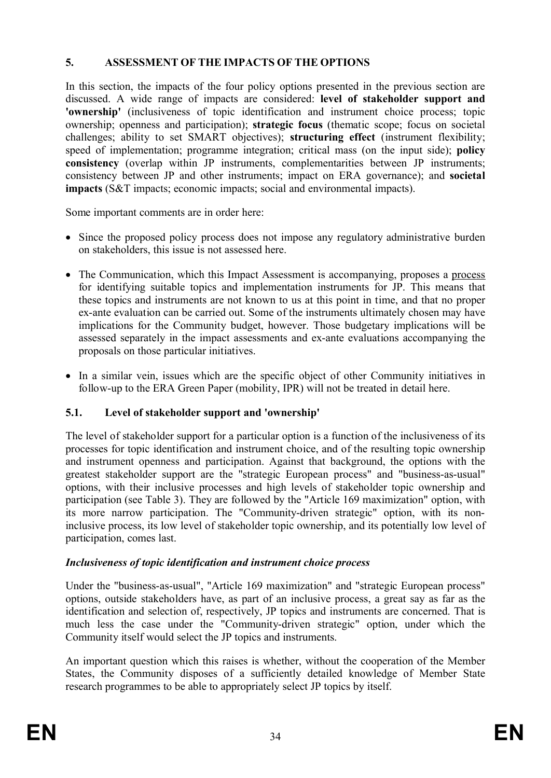## **5. ASSESSMENT OF THE IMPACTS OF THE OPTIONS**

In this section, the impacts of the four policy options presented in the previous section are discussed. A wide range of impacts are considered: **level of stakeholder support and 'ownership'** (inclusiveness of topic identification and instrument choice process; topic ownership; openness and participation); **strategic focus** (thematic scope; focus on societal challenges; ability to set SMART objectives); **structuring effect** (instrument flexibility; speed of implementation; programme integration; critical mass (on the input side); **policy consistency** (overlap within JP instruments, complementarities between JP instruments; consistency between JP and other instruments; impact on ERA governance); and **societal impacts** (S&T impacts; economic impacts; social and environmental impacts).

Some important comments are in order here:

- Since the proposed policy process does not impose any regulatory administrative burden on stakeholders, this issue is not assessed here.
- The Communication, which this Impact Assessment is accompanying, proposes a process for identifying suitable topics and implementation instruments for JP. This means that these topics and instruments are not known to us at this point in time, and that no proper ex-ante evaluation can be carried out. Some of the instruments ultimately chosen may have implications for the Community budget, however. Those budgetary implications will be assessed separately in the impact assessments and ex-ante evaluations accompanying the proposals on those particular initiatives.
- · In a similar vein, issues which are the specific object of other Community initiatives in follow-up to the ERA Green Paper (mobility, IPR) will not be treated in detail here.

#### **5.1. Level of stakeholder support and 'ownership'**

The level of stakeholder support for a particular option is a function of the inclusiveness of its processes for topic identification and instrument choice, and of the resulting topic ownership and instrument openness and participation. Against that background, the options with the greatest stakeholder support are the "strategic European process" and "business-as-usual" options, with their inclusive processes and high levels of stakeholder topic ownership and participation (see Table 3). They are followed by the "Article 169 maximization" option, with its more narrow participation. The "Community-driven strategic" option, with its noninclusive process, its low level of stakeholder topic ownership, and its potentially low level of participation, comes last.

#### *Inclusiveness of topic identification and instrument choice process*

Under the "business-as-usual", "Article 169 maximization" and "strategic European process" options, outside stakeholders have, as part of an inclusive process, a great say as far as the identification and selection of, respectively, JP topics and instruments are concerned. That is much less the case under the "Community-driven strategic" option, under which the Community itself would select the JP topics and instruments.

An important question which this raises is whether, without the cooperation of the Member States, the Community disposes of a sufficiently detailed knowledge of Member State research programmes to be able to appropriately select JP topics by itself.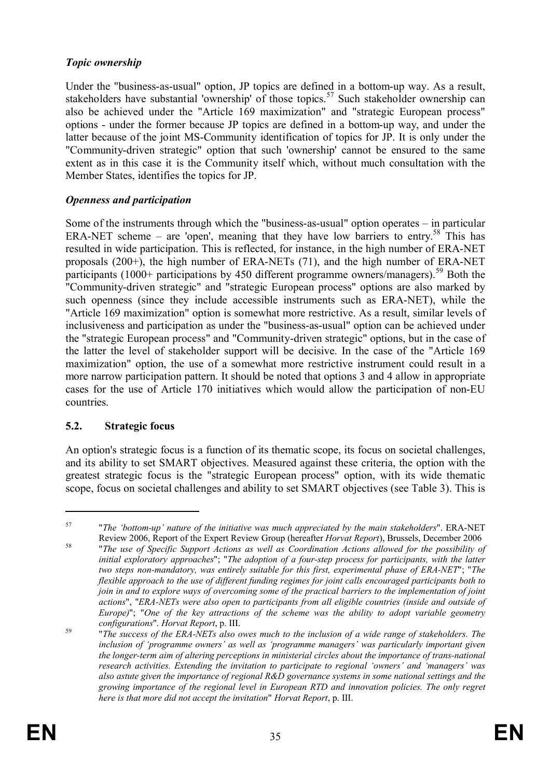#### *Topic ownership*

Under the "business-as-usual" option, JP topics are defined in a bottom-up way. As a result, stakeholders have substantial 'ownership' of those topics.<sup>57</sup> Such stakeholder ownership can also be achieved under the "Article 169 maximization" and "strategic European process" options - under the former because JP topics are defined in a bottom-up way, and under the latter because of the joint MS-Community identification of topics for JP. It is only under the "Community-driven strategic" option that such 'ownership' cannot be ensured to the same extent as in this case it is the Community itself which, without much consultation with the Member States, identifies the topics for JP.

## *Openness and participation*

Some of the instruments through which the "business-as-usual" option operates – in particular ERA-NET scheme – are 'open', meaning that they have low barriers to entry.<sup>58</sup> This has resulted in wide participation. This is reflected, for instance, in the high number of ERA-NET proposals (200+), the high number of ERA-NETs (71), and the high number of ERA-NET participants (1000+ participations by 450 different programme owners/managers).<sup>59</sup> Both the "Community-driven strategic" and "strategic European process" options are also marked by such openness (since they include accessible instruments such as ERA-NET), while the "Article 169 maximization" option is somewhat more restrictive. As a result, similar levels of inclusiveness and participation as under the "business-as-usual" option can be achieved under the "strategic European process" and "Community-driven strategic" options, but in the case of the latter the level of stakeholder support will be decisive. In the case of the "Article 169 maximization" option, the use of a somewhat more restrictive instrument could result in a more narrow participation pattern. It should be noted that options 3 and 4 allow in appropriate cases for the use of Article 170 initiatives which would allow the participation of non-EU countries.

#### **5.2. Strategic focus**

An option's strategic focus is a function of its thematic scope, its focus on societal challenges, and its ability to set SMART objectives. Measured against these criteria, the option with the greatest strategic focus is the "strategic European process" option, with its wide thematic scope, focus on societal challenges and ability to set SMART objectives (see Table 3). This is

<sup>57</sup> "*The 'bottom-up' nature of the initiative was much appreciated by the main stakeholders*". ERA-NET Review 2006, Report of the Expert Review Group (hereafter *Horvat Report*), Brussels, December 2006

<sup>58</sup> "*The use of Specific Support Actions as well as Coordination Actions allowed for the possibility of initial exploratory approaches*"; "*The adoption of a four-step process for participants, with the latter two steps non-mandatory, was entirely suitable for this first, experimental phase of ERA-NET*"; "*The flexible approach to the use of different funding regimes for joint calls encouraged participants both to join in and to explore ways of overcoming some of the practical barriers to the implementation of joint actions*", "*ERA-NETs were also open to participants from all eligible countries (inside and outside of Europe)*"; "*One of the key attractions of the scheme was the ability to adopt variable geometry configurations*". *Horvat Report*, p. III.

<sup>59</sup> "*The success of the ERA-NETs also owes much to the inclusion of a wide range of stakeholders. The inclusion of 'programme owners' as well as 'programme managers' was particularly important given the longer-term aim of altering perceptions in ministerial circles about the importance of trans-national research activities. Extending the invitation to participate to regional 'owners' and 'managers' was also astute given the importance of regional R&D governance systems in some national settings and the growing importance of the regional level in European RTD and innovation policies. The only regret here is that more did not accept the invitation*" *Horvat Report*, p. III.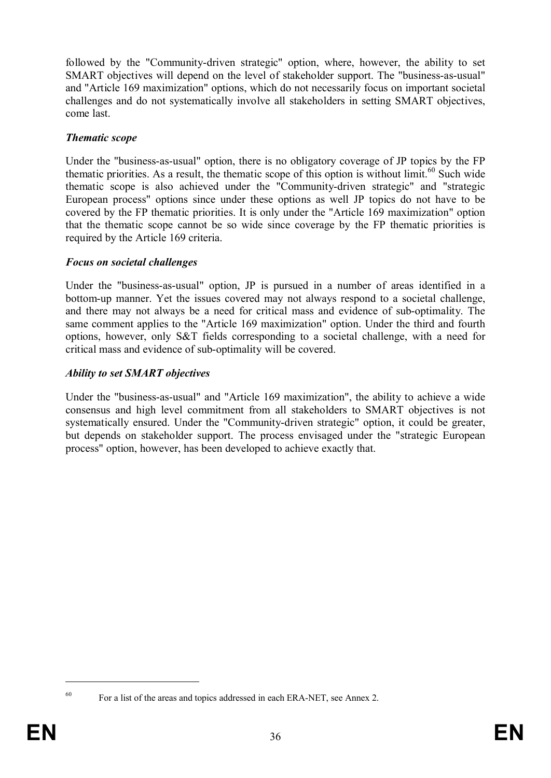followed by the "Community-driven strategic" option, where, however, the ability to set SMART objectives will depend on the level of stakeholder support. The "business-as-usual" and "Article 169 maximization" options, which do not necessarily focus on important societal challenges and do not systematically involve all stakeholders in setting SMART objectives, come last.

#### *Thematic scope*

Under the "business-as-usual" option, there is no obligatory coverage of JP topics by the FP thematic priorities. As a result, the thematic scope of this option is without limit.<sup>60</sup> Such wide thematic scope is also achieved under the "Community-driven strategic" and "strategic European process" options since under these options as well JP topics do not have to be covered by the FP thematic priorities. It is only under the "Article 169 maximization" option that the thematic scope cannot be so wide since coverage by the FP thematic priorities is required by the Article 169 criteria.

#### *Focus on societal challenges*

Under the "business-as-usual" option, JP is pursued in a number of areas identified in a bottom-up manner. Yet the issues covered may not always respond to a societal challenge, and there may not always be a need for critical mass and evidence of sub-optimality. The same comment applies to the "Article 169 maximization" option. Under the third and fourth options, however, only S&T fields corresponding to a societal challenge, with a need for critical mass and evidence of sub-optimality will be covered.

#### *Ability to set SMART objectives*

Under the "business-as-usual" and "Article 169 maximization", the ability to achieve a wide consensus and high level commitment from all stakeholders to SMART objectives is not systematically ensured. Under the "Community-driven strategic" option, it could be greater, but depends on stakeholder support. The process envisaged under the "strategic European process" option, however, has been developed to achieve exactly that.

<sup>&</sup>lt;sup>60</sup> For a list of the areas and topics addressed in each ERA-NET, see Annex 2.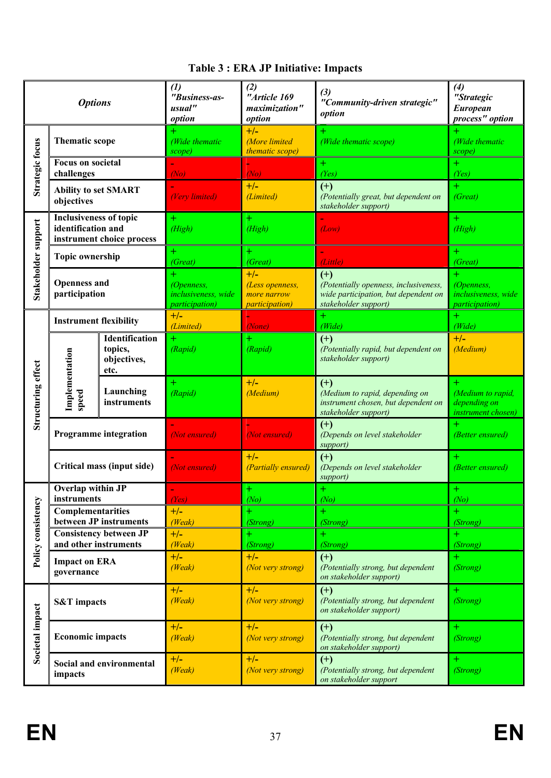|                        | <b>Options</b>                                      |                                                         | (1)<br>"Business-as-<br>usual"<br>option                    | (2)<br>"Article 169<br>maximization"<br>option                    | (3)<br>"Community-driven strategic"<br>option                                                                  | (4)<br>"Strategic<br><b>European</b><br>process" option     |
|------------------------|-----------------------------------------------------|---------------------------------------------------------|-------------------------------------------------------------|-------------------------------------------------------------------|----------------------------------------------------------------------------------------------------------------|-------------------------------------------------------------|
|                        | <b>Thematic scope</b>                               |                                                         | (Wide thematic<br>scope)                                    | $+/-$<br><b>More</b> limited<br>thematic scope)                   | (Wide thematic scope)                                                                                          | (Wide thematic<br>scope)                                    |
| <b>Strategic focus</b> | <b>Focus on societal</b><br>challenges              |                                                         | (No)                                                        | (No)                                                              | $\pm$<br>(Yes)                                                                                                 | $\pm$<br>(Yes)                                              |
|                        | <b>Ability to set SMART</b><br>objectives           |                                                         | (Very limited)                                              | $+/-$<br>(Limited)                                                | $(+)$<br>(Potentially great, but dependent on<br>stakeholder support)                                          | $\pm$<br>(Great)                                            |
|                        | <b>Inclusiveness of topic</b><br>identification and | instrument choice process                               | $\pm$<br>(High)                                             | $+$<br>(High)                                                     | (Low)                                                                                                          | $\pm$<br>(High)                                             |
|                        | <b>Topic ownership</b>                              |                                                         | (Great)                                                     | $+$<br>(Great)                                                    | (Little)                                                                                                       | $\pm$<br>(Great)                                            |
| Stakeholder support    | <b>Openness and</b><br>participation                |                                                         | (Openness,<br>inclusiveness, wide<br><i>participation</i> ) | $+/-$<br>(Less openness,<br>more narrow<br><i>participation</i> ) | $(+)$<br>(Potentially openness, inclusiveness,<br>wide participation, but dependent on<br>stakeholder support) | (Openness,<br>inclusiveness, wide<br><i>participation</i> ) |
|                        | <b>Instrument flexibility</b>                       |                                                         | $+/-$<br>(Limited)                                          | (None)                                                            | $+$<br>(Wide)                                                                                                  | $+$<br>(Wide)                                               |
|                        |                                                     | <b>Identification</b><br>topics,<br>objectives,<br>etc. | $\pm$<br>(Rapid)                                            | $+$<br>(Rapid)                                                    | $(+)$<br>(Potentially rapid, but dependent on<br>stakeholder support)                                          | $+/-$<br>(Medium)                                           |
| Structuring effect     | Implementation<br>speed                             | Launching<br>instruments                                | $\pm$<br>(Rapid)                                            | $+/-$<br>(Medium)                                                 | $(+)$<br>(Medium to rapid, depending on<br>instrument chosen, but dependent on<br>stakeholder support)         | (Medium to rapid,<br>depending on<br>instrument chosen)     |
|                        |                                                     | <b>Programme integration</b>                            | (Not ensured)                                               | (Not ensured)                                                     | $(+)$<br>(Depends on level stakeholder<br>support)                                                             | $\pm$<br>(Better ensured)                                   |
|                        |                                                     | Critical mass (input side)                              | (Not ensured)                                               | $+/-$<br>(Partially ensured)                                      | $(+)$<br>(Depends on level stakeholder<br>support)                                                             | (Better ensured)                                            |
|                        | Overlap within JP<br>instruments                    |                                                         | (Yes)                                                       | $\pm$<br>(No)                                                     | $+$<br>(No)                                                                                                    | $+$<br>(No)                                                 |
| Policy consistency     | <b>Complementarities</b>                            | between JP instruments                                  | $+/-$<br>(Weak)                                             | $+$<br>(Strong)                                                   | $+$<br>(Strong)                                                                                                | $+$<br>(Strong)                                             |
|                        |                                                     | <b>Consistency between JP</b>                           | $+/-$                                                       | $+$                                                               |                                                                                                                |                                                             |
|                        | and other instruments<br><b>Impact on ERA</b>       |                                                         | (Weak)<br>$+/-$                                             | (Strong)<br>$+/-$                                                 | (Strong)<br>$(+)$                                                                                              | (Strong)<br>$\pm$                                           |
|                        | governance                                          |                                                         | (Weak)                                                      | (Not very strong)                                                 | (Potentially strong, but dependent<br>on stakeholder support)                                                  | (Strong)                                                    |
|                        | <b>S&amp;T</b> impacts                              |                                                         | $+/-$<br>(Weak)                                             | $+/-$<br>(Not very strong)                                        | $(+)$<br>(Potentially strong, but dependent<br>on stakeholder support)                                         | $\pm$<br>(Strong)                                           |
| Societal impact        | <b>Economic impacts</b>                             |                                                         | $+/-$<br>(Weak)                                             | $+/-$<br>(Not very strong)                                        | $(+)$<br>(Potentially strong, but dependent<br>on stakeholder support)                                         | $\pm$<br>(Strong)                                           |
|                        | impacts                                             | Social and environmental                                | $+/-$<br>(Weak)                                             | $+/-$<br>(Not very strong)                                        | $(+)$<br>(Potentially strong, but dependent<br>on stakeholder support                                          | Ŧ<br>(Strong)                                               |

# **Table 3 : ERA JP Initiative: Impacts**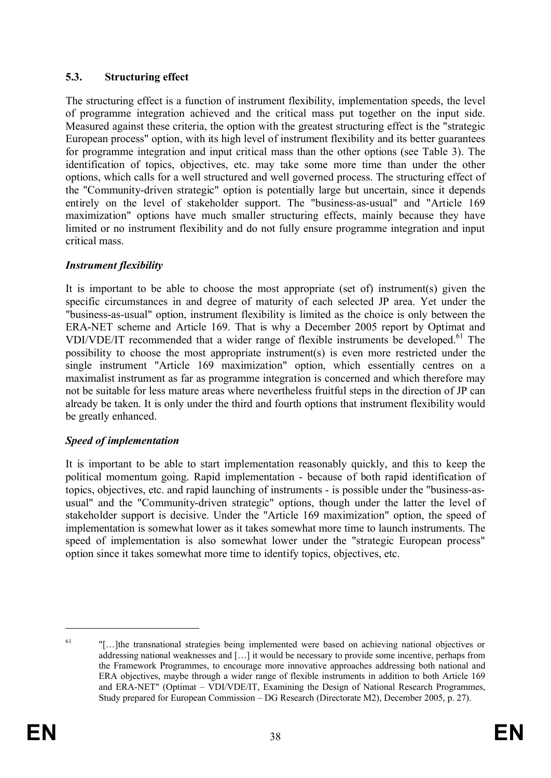#### **5.3. Structuring effect**

The structuring effect is a function of instrument flexibility, implementation speeds, the level of programme integration achieved and the critical mass put together on the input side. Measured against these criteria, the option with the greatest structuring effect is the "strategic European process" option, with its high level of instrument flexibility and its better guarantees for programme integration and input critical mass than the other options (see Table 3). The identification of topics, objectives, etc. may take some more time than under the other options, which calls for a well structured and well governed process. The structuring effect of the "Community-driven strategic" option is potentially large but uncertain, since it depends entirely on the level of stakeholder support. The "business-as-usual" and "Article 169 maximization" options have much smaller structuring effects, mainly because they have limited or no instrument flexibility and do not fully ensure programme integration and input critical mass.

### *Instrument flexibility*

It is important to be able to choose the most appropriate (set of) instrument(s) given the specific circumstances in and degree of maturity of each selected JP area. Yet under the "business-as-usual" option, instrument flexibility is limited as the choice is only between the ERA-NET scheme and Article 169. That is why a December 2005 report by Optimat and VDI/VDE/IT recommended that a wider range of flexible instruments be developed.<sup>61</sup> The possibility to choose the most appropriate instrument(s) is even more restricted under the single instrument "Article 169 maximization" option, which essentially centres on a maximalist instrument as far as programme integration is concerned and which therefore may not be suitable for less mature areas where nevertheless fruitful steps in the direction of JP can already be taken. It is only under the third and fourth options that instrument flexibility would be greatly enhanced.

# *Speed of implementation*

It is important to be able to start implementation reasonably quickly, and this to keep the political momentum going. Rapid implementation - because of both rapid identification of topics, objectives, etc. and rapid launching of instruments - is possible under the "business-asusual" and the "Community-driven strategic" options, though under the latter the level of stakeholder support is decisive. Under the "Article 169 maximization" option, the speed of implementation is somewhat lower as it takes somewhat more time to launch instruments. The speed of implementation is also somewhat lower under the "strategic European process" option since it takes somewhat more time to identify topics, objectives, etc.

<sup>&</sup>lt;sup>61</sup> "[...]the transnational strategies being implemented were based on achieving national objectives or addressing national weaknesses and […] it would be necessary to provide some incentive, perhaps from the Framework Programmes, to encourage more innovative approaches addressing both national and ERA objectives, maybe through a wider range of flexible instruments in addition to both Article 169 and ERA-NET" (Optimat – VDI/VDE/IT, Examining the Design of National Research Programmes, Study prepared for European Commission – DG Research (Directorate M2), December 2005, p. 27).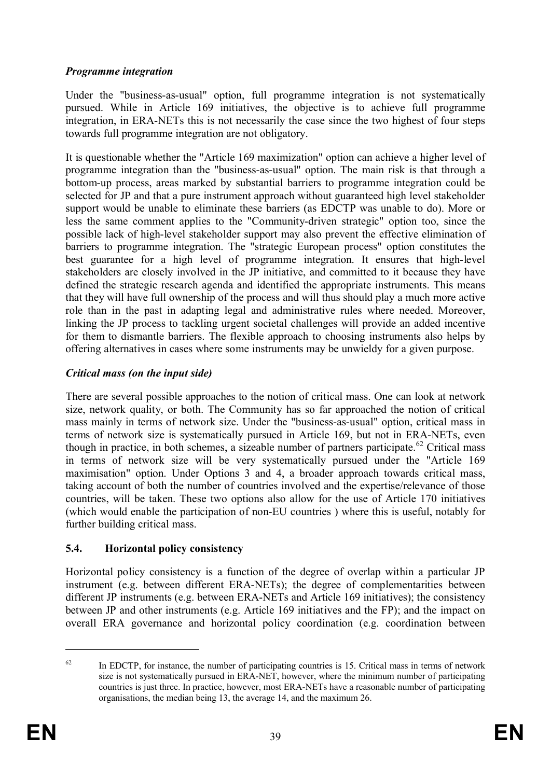### *Programme integration*

Under the "business-as-usual" option, full programme integration is not systematically pursued. While in Article 169 initiatives, the objective is to achieve full programme integration, in ERA-NETs this is not necessarily the case since the two highest of four steps towards full programme integration are not obligatory.

It is questionable whether the "Article 169 maximization" option can achieve a higher level of programme integration than the "business-as-usual" option. The main risk is that through a bottom-up process, areas marked by substantial barriers to programme integration could be selected for JP and that a pure instrument approach without guaranteed high level stakeholder support would be unable to eliminate these barriers (as EDCTP was unable to do). More or less the same comment applies to the "Community-driven strategic" option too, since the possible lack of high-level stakeholder support may also prevent the effective elimination of barriers to programme integration. The "strategic European process" option constitutes the best guarantee for a high level of programme integration. It ensures that high-level stakeholders are closely involved in the JP initiative, and committed to it because they have defined the strategic research agenda and identified the appropriate instruments. This means that they will have full ownership of the process and will thus should play a much more active role than in the past in adapting legal and administrative rules where needed. Moreover, linking the JP process to tackling urgent societal challenges will provide an added incentive for them to dismantle barriers. The flexible approach to choosing instruments also helps by offering alternatives in cases where some instruments may be unwieldy for a given purpose.

# *Critical mass (on the input side)*

There are several possible approaches to the notion of critical mass. One can look at network size, network quality, or both. The Community has so far approached the notion of critical mass mainly in terms of network size. Under the "business-as-usual" option, critical mass in terms of network size is systematically pursued in Article 169, but not in ERA-NETs, even though in practice, in both schemes, a sizeable number of partners participate.<sup>62</sup> Critical mass in terms of network size will be very systematically pursued under the "Article 169 maximisation" option. Under Options 3 and 4, a broader approach towards critical mass, taking account of both the number of countries involved and the expertise/relevance of those countries, will be taken. These two options also allow for the use of Article 170 initiatives (which would enable the participation of non-EU countries ) where this is useful, notably for further building critical mass.

# **5.4. Horizontal policy consistency**

Horizontal policy consistency is a function of the degree of overlap within a particular JP instrument (e.g. between different ERA-NETs); the degree of complementarities between different JP instruments (e.g. between ERA-NETs and Article 169 initiatives); the consistency between JP and other instruments (e.g. Article 169 initiatives and the FP); and the impact on overall ERA governance and horizontal policy coordination (e.g. coordination between

 $62$  In EDCTP, for instance, the number of participating countries is 15. Critical mass in terms of network size is not systematically pursued in ERA-NET, however, where the minimum number of participating countries is just three. In practice, however, most ERA-NETs have a reasonable number of participating organisations, the median being 13, the average 14, and the maximum 26.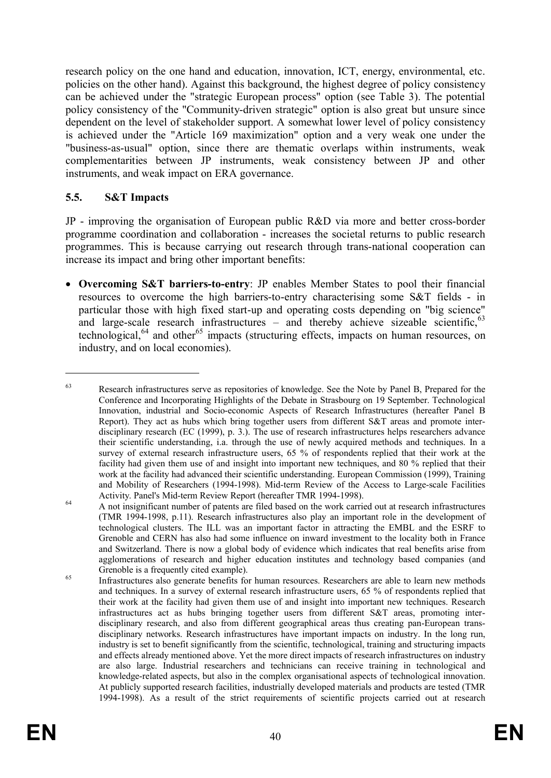research policy on the one hand and education, innovation, ICT, energy, environmental, etc. policies on the other hand). Against this background, the highest degree of policy consistency can be achieved under the "strategic European process" option (see Table 3). The potential policy consistency of the "Community-driven strategic" option is also great but unsure since dependent on the level of stakeholder support. A somewhat lower level of policy consistency is achieved under the "Article 169 maximization" option and a very weak one under the "business-as-usual" option, since there are thematic overlaps within instruments, weak complementarities between JP instruments, weak consistency between JP and other instruments, and weak impact on ERA governance.

#### **5.5. S&T Impacts**

JP - improving the organisation of European public R&D via more and better cross-border programme coordination and collaboration - increases the societal returns to public research programmes. This is because carrying out research through trans-national cooperation can increase its impact and bring other important benefits:

· **Overcoming S&T barriers-to-entry**: JP enables Member States to pool their financial resources to overcome the high barriers-to-entry characterising some S&T fields - in particular those with high fixed start-up and operating costs depending on "big science" and large-scale research infrastructures – and thereby achieve sizeable scientific,  $63$ technological,  $64$  and other<sup>65</sup> impacts (structuring effects, impacts on human resources, on industry, and on local economies).

<sup>&</sup>lt;sup>63</sup> Research infrastructures serve as repositories of knowledge. See the Note by Panel B, Prepared for the Conference and Incorporating Highlights of the Debate in Strasbourg on 19 September. Technological Innovation, industrial and Socio-economic Aspects of Research Infrastructures (hereafter Panel B Report). They act as hubs which bring together users from different S&T areas and promote interdisciplinary research (EC (1999), p. 3.). The use of research infrastructures helps researchers advance their scientific understanding, i.a. through the use of newly acquired methods and techniques. In a survey of external research infrastructure users, 65 % of respondents replied that their work at the facility had given them use of and insight into important new techniques, and 80 % replied that their work at the facility had advanced their scientific understanding. European Commission (1999), Training and Mobility of Researchers (1994-1998). Mid-term Review of the Access to Large-scale Facilities Activity. Panel's Mid-term Review Report (hereafter TMR 1994-1998).

<sup>&</sup>lt;sup>64</sup> A not insignificant number of patents are filed based on the work carried out at research infrastructures (TMR 1994-1998, p.11). Research infrastructures also play an important role in the development of technological clusters. The ILL was an important factor in attracting the EMBL and the ESRF to Grenoble and CERN has also had some influence on inward investment to the locality both in France and Switzerland. There is now a global body of evidence which indicates that real benefits arise from agglomerations of research and higher education institutes and technology based companies (and Grenoble is a frequently cited example).

<sup>&</sup>lt;sup>65</sup> Infrastructures also generate benefits for human resources. Researchers are able to learn new methods and techniques. In a survey of external research infrastructure users, 65 % of respondents replied that their work at the facility had given them use of and insight into important new techniques. Research infrastructures act as hubs bringing together users from different S&T areas, promoting interdisciplinary research, and also from different geographical areas thus creating pan-European transdisciplinary networks. Research infrastructures have important impacts on industry. In the long run, industry is set to benefit significantly from the scientific, technological, training and structuring impacts and effects already mentioned above. Yet the more direct impacts of research infrastructures on industry are also large. Industrial researchers and technicians can receive training in technological and knowledge-related aspects, but also in the complex organisational aspects of technological innovation. At publicly supported research facilities, industrially developed materials and products are tested (TMR 1994-1998). As a result of the strict requirements of scientific projects carried out at research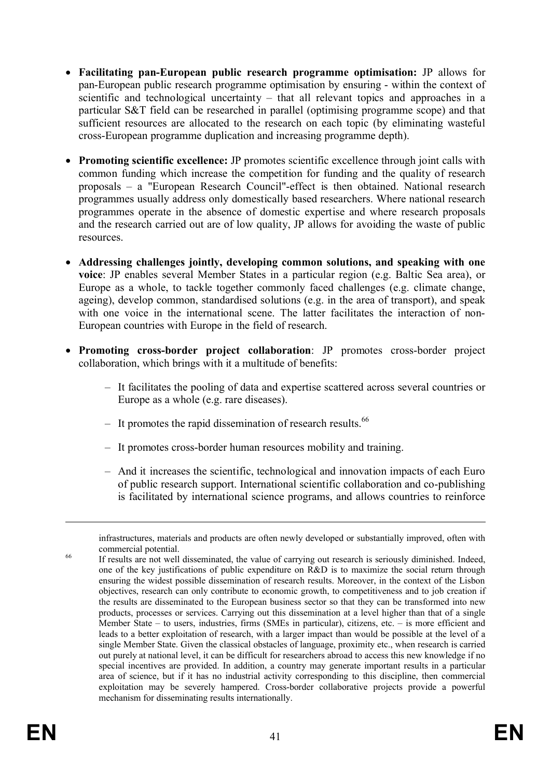- · **Facilitating pan-European public research programme optimisation:** JP allows for pan-European public research programme optimisation by ensuring - within the context of scientific and technological uncertainty – that all relevant topics and approaches in a particular S&T field can be researched in parallel (optimising programme scope) and that sufficient resources are allocated to the research on each topic (by eliminating wasteful cross-European programme duplication and increasing programme depth).
- · **Promoting scientific excellence:** JP promotes scientific excellence through joint calls with common funding which increase the competition for funding and the quality of research proposals – a "European Research Council"-effect is then obtained. National research programmes usually address only domestically based researchers. Where national research programmes operate in the absence of domestic expertise and where research proposals and the research carried out are of low quality, JP allows for avoiding the waste of public resources.
- · **Addressing challenges jointly, developing common solutions, and speaking with one voice**: JP enables several Member States in a particular region (e.g. Baltic Sea area), or Europe as a whole, to tackle together commonly faced challenges (e.g. climate change, ageing), develop common, standardised solutions (e.g. in the area of transport), and speak with one voice in the international scene. The latter facilitates the interaction of non-European countries with Europe in the field of research.
- · **Promoting cross-border project collaboration**: JP promotes cross-border project collaboration, which brings with it a multitude of benefits:
	- It facilitates the pooling of data and expertise scattered across several countries or Europe as a whole (e.g. rare diseases).
	- $-$  It promotes the rapid dissemination of research results.<sup>66</sup>
	- It promotes cross-border human resources mobility and training.
	- And it increases the scientific, technological and innovation impacts of each Euro of public research support. International scientific collaboration and co-publishing is facilitated by international science programs, and allows countries to reinforce

infrastructures, materials and products are often newly developed or substantially improved, often with commercial potential.

<sup>&</sup>lt;sup>66</sup> If results are not well disseminated, the value of carrying out research is seriously diminished. Indeed, one of the key justifications of public expenditure on R&D is to maximize the social return through ensuring the widest possible dissemination of research results. Moreover, in the context of the Lisbon objectives, research can only contribute to economic growth, to competitiveness and to job creation if the results are disseminated to the European business sector so that they can be transformed into new products, processes or services. Carrying out this dissemination at a level higher than that of a single Member State – to users, industries, firms (SMEs in particular), citizens, etc. – is more efficient and leads to a better exploitation of research, with a larger impact than would be possible at the level of a single Member State. Given the classical obstacles of language, proximity etc., when research is carried out purely at national level, it can be difficult for researchers abroad to access this new knowledge if no special incentives are provided. In addition, a country may generate important results in a particular area of science, but if it has no industrial activity corresponding to this discipline, then commercial exploitation may be severely hampered. Cross-border collaborative projects provide a powerful mechanism for disseminating results internationally.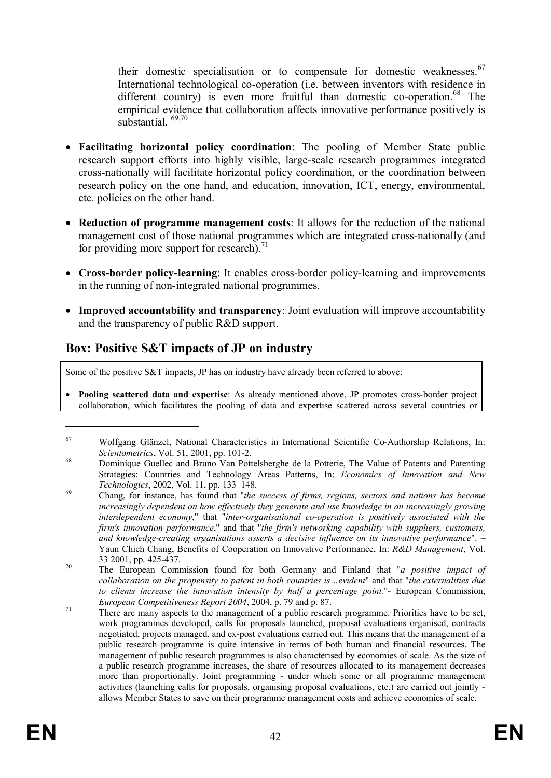their domestic specialisation or to compensate for domestic weaknesses.<sup>67</sup> International technological co-operation (i.e. between inventors with residence in different country) is even more fruitful than domestic co-operation.<sup>68</sup> The empirical evidence that collaboration affects innovative performance positively is substantial.<sup>69,70</sup>

- · **Facilitating horizontal policy coordination**: The pooling of Member State public research support efforts into highly visible, large-scale research programmes integrated cross-nationally will facilitate horizontal policy coordination, or the coordination between research policy on the one hand, and education, innovation, ICT, energy, environmental, etc. policies on the other hand.
- · **Reduction of programme management costs**: It allows for the reduction of the national management cost of those national programmes which are integrated cross-nationally (and for providing more support for research).<sup>71</sup>
- · **Cross-border policy-learning**: It enables cross-border policy-learning and improvements in the running of non-integrated national programmes.
- · **Improved accountability and transparency**: Joint evaluation will improve accountability and the transparency of public R&D support.

# **Box: Positive S&T impacts of JP on industry**

Some of the positive S&T impacts, JP has on industry have already been referred to above:

· **Pooling scattered data and expertise**: As already mentioned above, JP promotes cross-border project collaboration, which facilitates the pooling of data and expertise scattered across several countries or

<sup>67</sup> Wolfgang Glänzel, National Characteristics in International Scientific Co-Authorship Relations, In: *Scientometrics*, Vol. 51, 2001, pp. 101-2.

<sup>&</sup>lt;sup>68</sup> Dominique Guellec and Bruno Van Pottelsberghe de la Potterie, The Value of Patents and Patenting Strategies: Countries and Technology Areas Patterns, In: *Economics of Innovation and New Technologies*, 2002, Vol. 11, pp. 133–148.

<sup>69</sup> Chang, for instance, has found that "*the success of firms, regions, sectors and nations has become increasingly dependent on how effectively they generate and use knowledge in an increasingly growing interdependent economy*," that "*inter-organisational co-operation is positively associated with the firm's innovation performance*," and that "*the firm's networking capability with suppliers, customers, and knowledge-creating organisations asserts a decisive influence on its innovative performance*". – Yaun Chieh Chang, Benefits of Cooperation on Innovative Performance, In: *R&D Management*, Vol. 33 2001, pp. 425-437.

<sup>70</sup> The European Commission found for both Germany and Finland that "*a positive impact of collaboration on the propensity to patent in both countries is…evident*" and that "*the externalities due to clients increase the innovation intensity by half a percentage point.*"- European Commission, *European Competitiveness Report 2004*, 2004, p. 79 and p. 87.

<sup>&</sup>lt;sup>71</sup> There are many aspects to the management of a public research programme. Priorities have to be set, work programmes developed, calls for proposals launched, proposal evaluations organised, contracts negotiated, projects managed, and ex-post evaluations carried out. This means that the management of a public research programme is quite intensive in terms of both human and financial resources. The management of public research programmes is also characterised by economies of scale. As the size of a public research programme increases, the share of resources allocated to its management decreases more than proportionally. Joint programming - under which some or all programme management activities (launching calls for proposals, organising proposal evaluations, etc.) are carried out jointly allows Member States to save on their programme management costs and achieve economies of scale.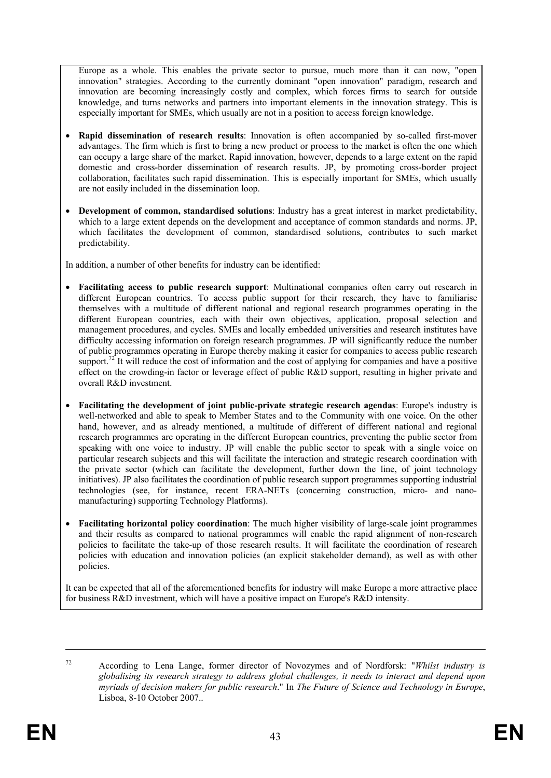Europe as a whole. This enables the private sector to pursue, much more than it can now, "open innovation" strategies. According to the currently dominant "open innovation" paradigm, research and innovation are becoming increasingly costly and complex, which forces firms to search for outside knowledge, and turns networks and partners into important elements in the innovation strategy. This is especially important for SMEs, which usually are not in a position to access foreign knowledge.

- · **Rapid dissemination of research results**: Innovation is often accompanied by so-called first-mover advantages. The firm which is first to bring a new product or process to the market is often the one which can occupy a large share of the market. Rapid innovation, however, depends to a large extent on the rapid domestic and cross-border dissemination of research results. JP, by promoting cross-border project collaboration, facilitates such rapid dissemination. This is especially important for SMEs, which usually are not easily included in the dissemination loop.
- · **Development of common, standardised solutions**: Industry has a great interest in market predictability, which to a large extent depends on the development and acceptance of common standards and norms. JP, which facilitates the development of common, standardised solutions, contributes to such market predictability.

In addition, a number of other benefits for industry can be identified:

- · **Facilitating access to public research support**: Multinational companies often carry out research in different European countries. To access public support for their research, they have to familiarise themselves with a multitude of different national and regional research programmes operating in the different European countries, each with their own objectives, application, proposal selection and management procedures, and cycles. SMEs and locally embedded universities and research institutes have difficulty accessing information on foreign research programmes. JP will significantly reduce the number of public programmes operating in Europe thereby making it easier for companies to access public research support.<sup>72</sup> It will reduce the cost of information and the cost of applying for companies and have a positive effect on the crowding-in factor or leverage effect of public R&D support, resulting in higher private and overall R&D investment.
- · **Facilitating the development of joint public-private strategic research agendas**: Europe's industry is well-networked and able to speak to Member States and to the Community with one voice. On the other hand, however, and as already mentioned, a multitude of different of different national and regional research programmes are operating in the different European countries, preventing the public sector from speaking with one voice to industry. JP will enable the public sector to speak with a single voice on particular research subjects and this will facilitate the interaction and strategic research coordination with the private sector (which can facilitate the development, further down the line, of joint technology initiatives). JP also facilitates the coordination of public research support programmes supporting industrial technologies (see, for instance, recent ERA-NETs (concerning construction, micro- and nanomanufacturing) supporting Technology Platforms).
- · **Facilitating horizontal policy coordination**: The much higher visibility of large-scale joint programmes and their results as compared to national programmes will enable the rapid alignment of non-research policies to facilitate the take-up of those research results. It will facilitate the coordination of research policies with education and innovation policies (an explicit stakeholder demand), as well as with other policies.

It can be expected that all of the aforementioned benefits for industry will make Europe a more attractive place for business R&D investment, which will have a positive impact on Europe's R&D intensity.

<sup>72</sup> According to Lena Lange, former director of Novozymes and of Nordforsk: "*Whilst industry is globalising its research strategy to address global challenges, it needs to interact and depend upon myriads of decision makers for public research*." In *The Future of Science and Technology in Europe*, Lisboa, 8-10 October 2007..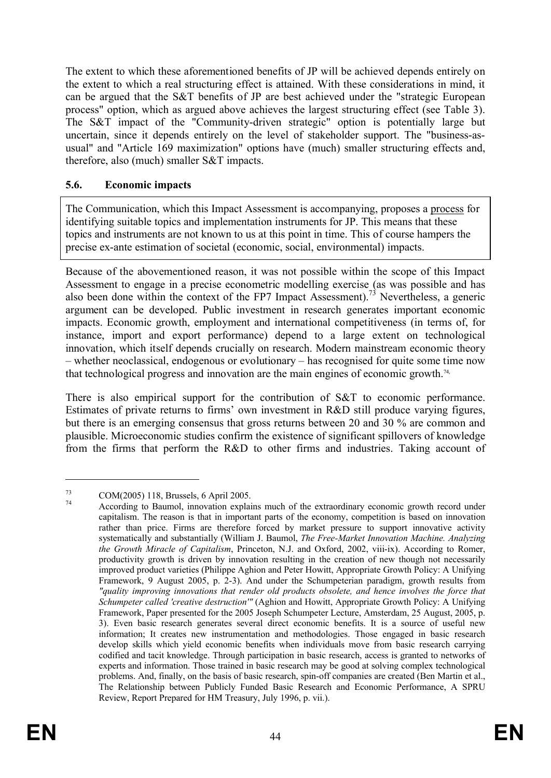The extent to which these aforementioned benefits of JP will be achieved depends entirely on the extent to which a real structuring effect is attained. With these considerations in mind, it can be argued that the S&T benefits of JP are best achieved under the "strategic European process" option, which as argued above achieves the largest structuring effect (see Table 3). The S&T impact of the "Community-driven strategic" option is potentially large but uncertain, since it depends entirely on the level of stakeholder support. The "business-asusual" and "Article 169 maximization" options have (much) smaller structuring effects and, therefore, also (much) smaller S&T impacts.

#### **5.6. Economic impacts**

The Communication, which this Impact Assessment is accompanying, proposes a process for identifying suitable topics and implementation instruments for JP. This means that these topics and instruments are not known to us at this point in time. This of course hampers the precise ex-ante estimation of societal (economic, social, environmental) impacts.

Because of the abovementioned reason, it was not possible within the scope of this Impact Assessment to engage in a precise econometric modelling exercise (as was possible and has also been done within the context of the FP7 Impact Assessment).<sup>73</sup> Nevertheless, a generic argument can be developed. Public investment in research generates important economic impacts. Economic growth, employment and international competitiveness (in terms of, for instance, import and export performance) depend to a large extent on technological innovation, which itself depends crucially on research. Modern mainstream economic theory – whether neoclassical, endogenous or evolutionary – has recognised for quite some time now that technological progress and innovation are the main engines of economic growth.<sup>74,</sup>

There is also empirical support for the contribution of S&T to economic performance. Estimates of private returns to firms' own investment in R&D still produce varying figures, but there is an emerging consensus that gross returns between 20 and 30 % are common and plausible. Microeconomic studies confirm the existence of significant spillovers of knowledge from the firms that perform the R&D to other firms and industries. Taking account of

<sup>73</sup> COM(2005) 118, Brussels, 6 April 2005.

According to Baumol, innovation explains much of the extraordinary economic growth record under capitalism. The reason is that in important parts of the economy, competition is based on innovation rather than price. Firms are therefore forced by market pressure to support innovative activity systematically and substantially (William J. Baumol, *The Free-Market Innovation Machine. Analyzing the Growth Miracle of Capitalism*, Princeton, N.J. and Oxford, 2002, viii-ix). According to Romer, productivity growth is driven by innovation resulting in the creation of new though not necessarily improved product varieties (Philippe Aghion and Peter Howitt, Appropriate Growth Policy: A Unifying Framework, 9 August 2005, p. 2-3). And under the Schumpeterian paradigm, growth results from *"quality improving innovations that render old products obsolete, and hence involves the force that Schumpeter called 'creative destruction'"* (Aghion and Howitt, Appropriate Growth Policy: A Unifying Framework, Paper presented for the 2005 Joseph Schumpeter Lecture, Amsterdam, 25 August, 2005, p. 3). Even basic research generates several direct economic benefits. It is a source of useful new information; It creates new instrumentation and methodologies. Those engaged in basic research develop skills which yield economic benefits when individuals move from basic research carrying codified and tacit knowledge. Through participation in basic research, access is granted to networks of experts and information. Those trained in basic research may be good at solving complex technological problems. And, finally, on the basis of basic research, spin-off companies are created (Ben Martin et al., The Relationship between Publicly Funded Basic Research and Economic Performance, A SPRU Review, Report Prepared for HM Treasury, July 1996, p. vii.).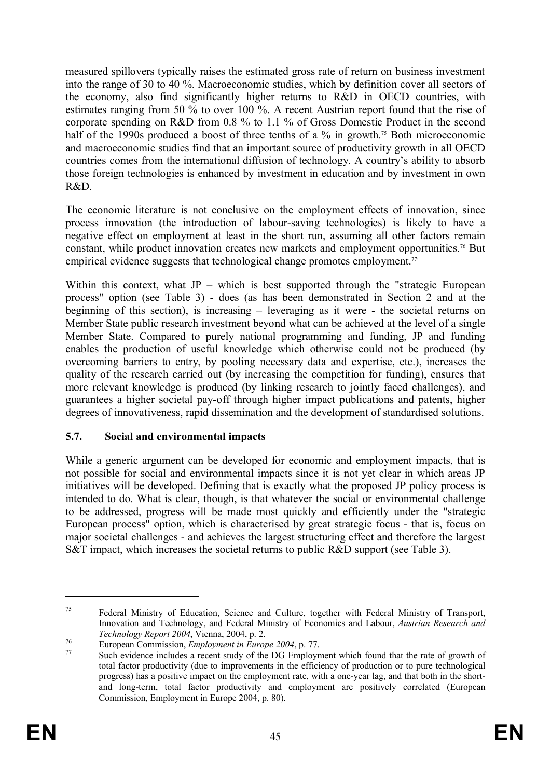measured spillovers typically raises the estimated gross rate of return on business investment into the range of 30 to 40 %. Macroeconomic studies, which by definition cover all sectors of the economy, also find significantly higher returns to R&D in OECD countries, with estimates ranging from 50 % to over 100 %. A recent Austrian report found that the rise of corporate spending on R&D from 0.8 % to 1.1 % of Gross Domestic Product in the second half of the 1990s produced a boost of three tenths of a % in growth.<sup>75</sup> Both microeconomic and macroeconomic studies find that an important source of productivity growth in all OECD countries comes from the international diffusion of technology. A country's ability to absorb those foreign technologies is enhanced by investment in education and by investment in own R&D.

The economic literature is not conclusive on the employment effects of innovation, since process innovation (the introduction of labour-saving technologies) is likely to have a negative effect on employment at least in the short run, assuming all other factors remain constant, while product innovation creates new markets and employment opportunities.<sup>76</sup> But empirical evidence suggests that technological change promotes employment.<sup>77</sup>

Within this context, what  $JP -$  which is best supported through the "strategic European process" option (see Table 3) - does (as has been demonstrated in Section 2 and at the beginning of this section), is increasing – leveraging as it were - the societal returns on Member State public research investment beyond what can be achieved at the level of a single Member State. Compared to purely national programming and funding, JP and funding enables the production of useful knowledge which otherwise could not be produced (by overcoming barriers to entry, by pooling necessary data and expertise, etc.), increases the quality of the research carried out (by increasing the competition for funding), ensures that more relevant knowledge is produced (by linking research to jointly faced challenges), and guarantees a higher societal pay-off through higher impact publications and patents, higher degrees of innovativeness, rapid dissemination and the development of standardised solutions.

# **5.7. Social and environmental impacts**

While a generic argument can be developed for economic and employment impacts, that is not possible for social and environmental impacts since it is not yet clear in which areas JP initiatives will be developed. Defining that is exactly what the proposed JP policy process is intended to do. What is clear, though, is that whatever the social or environmental challenge to be addressed, progress will be made most quickly and efficiently under the "strategic European process" option, which is characterised by great strategic focus - that is, focus on major societal challenges - and achieves the largest structuring effect and therefore the largest S&T impact, which increases the societal returns to public R&D support (see Table 3).

<sup>&</sup>lt;sup>75</sup> Federal Ministry of Education, Science and Culture, together with Federal Ministry of Transport, Innovation and Technology, and Federal Ministry of Economics and Labour, *Austrian Research and Technology Report 2004*, Vienna, 2004, p. 2.

<sup>76</sup> European Commission, *Employment in Europe 2004*, p. 77.

Such evidence includes a recent study of the DG Employment which found that the rate of growth of total factor productivity (due to improvements in the efficiency of production or to pure technological progress) has a positive impact on the employment rate, with a one-year lag, and that both in the shortand long-term, total factor productivity and employment are positively correlated (European Commission, Employment in Europe 2004, p. 80).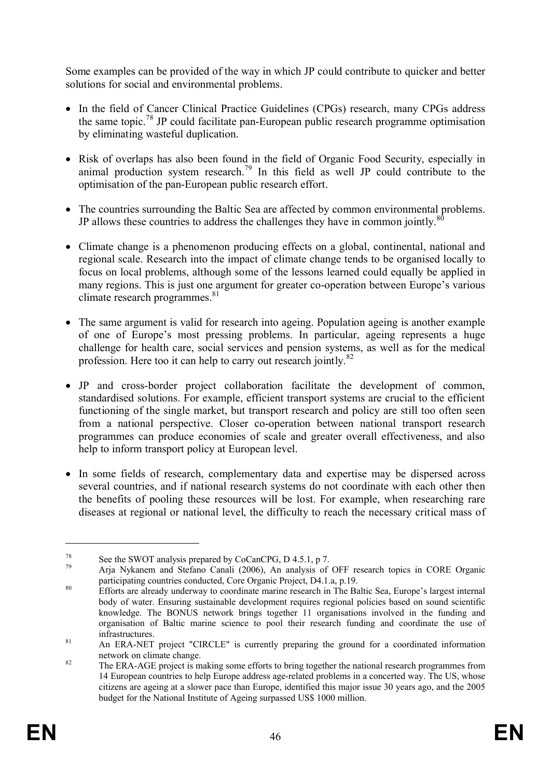Some examples can be provided of the way in which JP could contribute to quicker and better solutions for social and environmental problems.

- In the field of Cancer Clinical Practice Guidelines (CPGs) research, many CPGs address the same topic.<sup>78</sup> JP could facilitate pan-European public research programme optimisation by eliminating wasteful duplication.
- · Risk of overlaps has also been found in the field of Organic Food Security, especially in animal production system research.<sup>79</sup> In this field as well JP could contribute to the optimisation of the pan-European public research effort.
- · The countries surrounding the Baltic Sea are affected by common environmental problems. JP allows these countries to address the challenges they have in common jointly. $80$
- · Climate change is a phenomenon producing effects on a global, continental, national and regional scale. Research into the impact of climate change tends to be organised locally to focus on local problems, although some of the lessons learned could equally be applied in many regions. This is just one argument for greater co-operation between Europe's various climate research programmes. $81$
- The same argument is valid for research into ageing. Population ageing is another example of one of Europe's most pressing problems. In particular, ageing represents a huge challenge for health care, social services and pension systems, as well as for the medical profession. Here too it can help to carry out research jointly.<sup>82</sup>
- · JP and cross-border project collaboration facilitate the development of common, standardised solutions. For example, efficient transport systems are crucial to the efficient functioning of the single market, but transport research and policy are still too often seen from a national perspective. Closer co-operation between national transport research programmes can produce economies of scale and greater overall effectiveness, and also help to inform transport policy at European level.
- In some fields of research, complementary data and expertise may be dispersed across several countries, and if national research systems do not coordinate with each other then the benefits of pooling these resources will be lost. For example, when researching rare diseases at regional or national level, the difficulty to reach the necessary critical mass of

<sup>&</sup>lt;sup>78</sup> See the SWOT analysis prepared by CoCanCPG, D 4.5.1, p 7.

Arja Nykanem and Stefano Canali (2006), An analysis of OFF research topics in CORE Organic participating countries conducted, Core Organic Project, D4.1.a, p.19.

<sup>&</sup>lt;sup>80</sup> Efforts are already underway to coordinate marine research in The Baltic Sea, Europe's largest internal body of water. Ensuring sustainable development requires regional policies based on sound scientific knowledge. The BONUS network brings together 11 organisations involved in the funding and organisation of Baltic marine science to pool their research funding and coordinate the use of infrastructures.

<sup>&</sup>lt;sup>81</sup> An ERA-NET project "CIRCLE" is currently preparing the ground for a coordinated information network on climate change.

<sup>&</sup>lt;sup>82</sup> The ERA-AGE project is making some efforts to bring together the national research programmes from 14 European countries to help Europe address age-related problems in a concerted way. The US, whose citizens are ageing at a slower pace than Europe, identified this major issue 30 years ago, and the 2005 budget for the National Institute of Ageing surpassed US\$ 1000 million.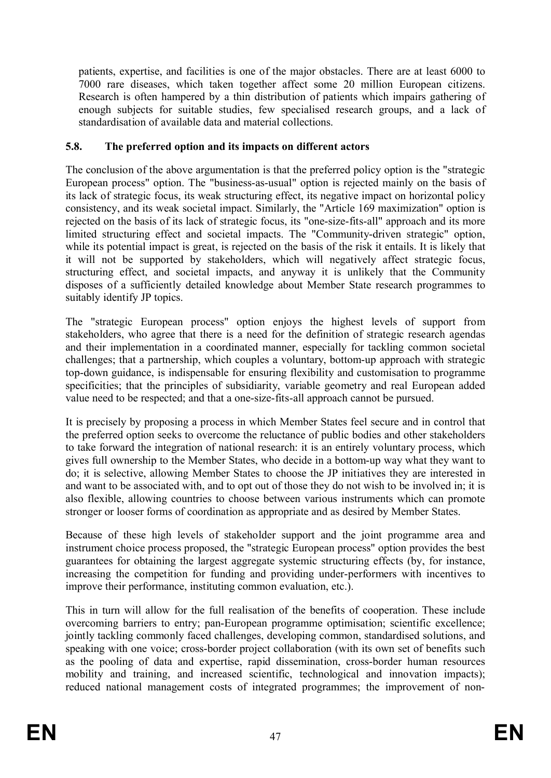patients, expertise, and facilities is one of the major obstacles. There are at least 6000 to 7000 rare diseases, which taken together affect some 20 million European citizens. Research is often hampered by a thin distribution of patients which impairs gathering of enough subjects for suitable studies, few specialised research groups, and a lack of standardisation of available data and material collections.

### **5.8. The preferred option and its impacts on different actors**

The conclusion of the above argumentation is that the preferred policy option is the "strategic European process" option. The "business-as-usual" option is rejected mainly on the basis of its lack of strategic focus, its weak structuring effect, its negative impact on horizontal policy consistency, and its weak societal impact. Similarly, the "Article 169 maximization" option is rejected on the basis of its lack of strategic focus, its "one-size-fits-all" approach and its more limited structuring effect and societal impacts. The "Community-driven strategic" option, while its potential impact is great, is rejected on the basis of the risk it entails. It is likely that it will not be supported by stakeholders, which will negatively affect strategic focus, structuring effect, and societal impacts, and anyway it is unlikely that the Community disposes of a sufficiently detailed knowledge about Member State research programmes to suitably identify JP topics.

The "strategic European process" option enjoys the highest levels of support from stakeholders, who agree that there is a need for the definition of strategic research agendas and their implementation in a coordinated manner, especially for tackling common societal challenges; that a partnership, which couples a voluntary, bottom-up approach with strategic top-down guidance, is indispensable for ensuring flexibility and customisation to programme specificities; that the principles of subsidiarity, variable geometry and real European added value need to be respected; and that a one-size-fits-all approach cannot be pursued.

It is precisely by proposing a process in which Member States feel secure and in control that the preferred option seeks to overcome the reluctance of public bodies and other stakeholders to take forward the integration of national research: it is an entirely voluntary process, which gives full ownership to the Member States, who decide in a bottom-up way what they want to do; it is selective, allowing Member States to choose the JP initiatives they are interested in and want to be associated with, and to opt out of those they do not wish to be involved in; it is also flexible, allowing countries to choose between various instruments which can promote stronger or looser forms of coordination as appropriate and as desired by Member States.

Because of these high levels of stakeholder support and the joint programme area and instrument choice process proposed, the "strategic European process" option provides the best guarantees for obtaining the largest aggregate systemic structuring effects (by, for instance, increasing the competition for funding and providing under-performers with incentives to improve their performance, instituting common evaluation, etc.).

This in turn will allow for the full realisation of the benefits of cooperation. These include overcoming barriers to entry; pan-European programme optimisation; scientific excellence; jointly tackling commonly faced challenges, developing common, standardised solutions, and speaking with one voice; cross-border project collaboration (with its own set of benefits such as the pooling of data and expertise, rapid dissemination, cross-border human resources mobility and training, and increased scientific, technological and innovation impacts); reduced national management costs of integrated programmes; the improvement of non-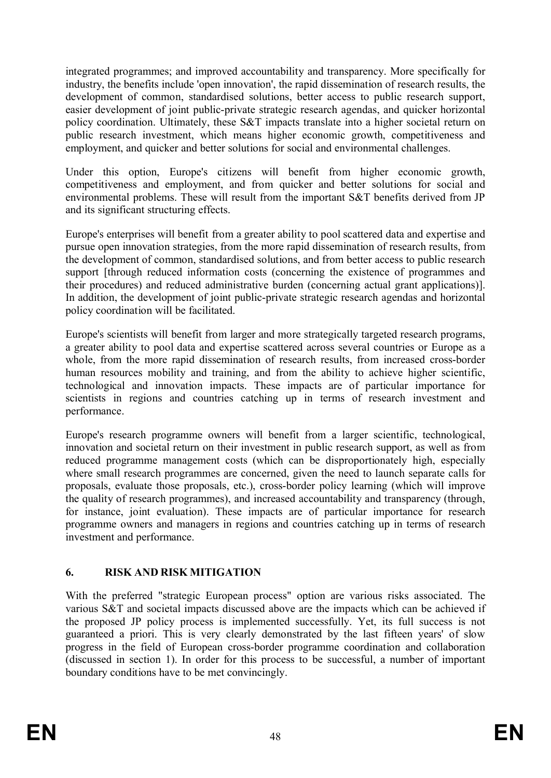integrated programmes; and improved accountability and transparency. More specifically for industry, the benefits include 'open innovation', the rapid dissemination of research results, the development of common, standardised solutions, better access to public research support, easier development of joint public-private strategic research agendas, and quicker horizontal policy coordination. Ultimately, these S&T impacts translate into a higher societal return on public research investment, which means higher economic growth, competitiveness and employment, and quicker and better solutions for social and environmental challenges.

Under this option, Europe's citizens will benefit from higher economic growth, competitiveness and employment, and from quicker and better solutions for social and environmental problems. These will result from the important S&T benefits derived from JP and its significant structuring effects.

Europe's enterprises will benefit from a greater ability to pool scattered data and expertise and pursue open innovation strategies, from the more rapid dissemination of research results, from the development of common, standardised solutions, and from better access to public research support [through reduced information costs (concerning the existence of programmes and their procedures) and reduced administrative burden (concerning actual grant applications)]. In addition, the development of joint public-private strategic research agendas and horizontal policy coordination will be facilitated.

Europe's scientists will benefit from larger and more strategically targeted research programs, a greater ability to pool data and expertise scattered across several countries or Europe as a whole, from the more rapid dissemination of research results, from increased cross-border human resources mobility and training, and from the ability to achieve higher scientific, technological and innovation impacts. These impacts are of particular importance for scientists in regions and countries catching up in terms of research investment and performance.

Europe's research programme owners will benefit from a larger scientific, technological, innovation and societal return on their investment in public research support, as well as from reduced programme management costs (which can be disproportionately high, especially where small research programmes are concerned, given the need to launch separate calls for proposals, evaluate those proposals, etc.), cross-border policy learning (which will improve the quality of research programmes), and increased accountability and transparency (through, for instance, joint evaluation). These impacts are of particular importance for research programme owners and managers in regions and countries catching up in terms of research investment and performance.

# **6. RISK AND RISK MITIGATION**

With the preferred "strategic European process" option are various risks associated. The various S&T and societal impacts discussed above are the impacts which can be achieved if the proposed JP policy process is implemented successfully. Yet, its full success is not guaranteed a priori. This is very clearly demonstrated by the last fifteen years' of slow progress in the field of European cross-border programme coordination and collaboration (discussed in section 1). In order for this process to be successful, a number of important boundary conditions have to be met convincingly.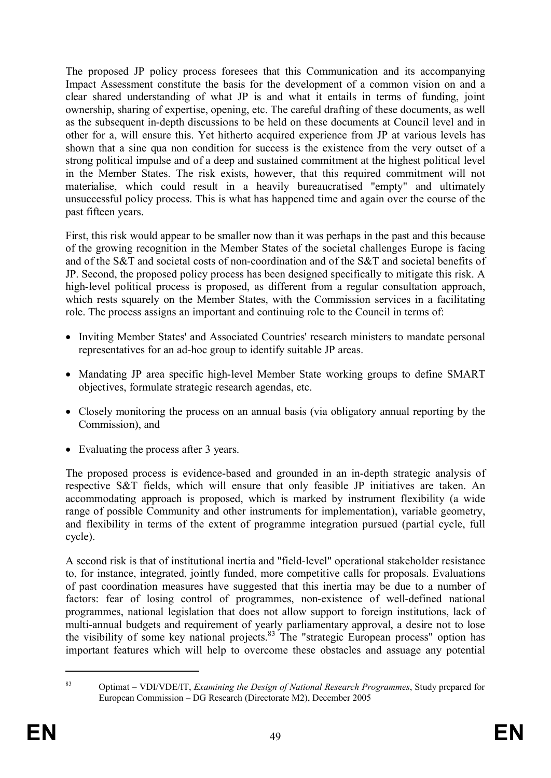The proposed JP policy process foresees that this Communication and its accompanying Impact Assessment constitute the basis for the development of a common vision on and a clear shared understanding of what JP is and what it entails in terms of funding, joint ownership, sharing of expertise, opening, etc. The careful drafting of these documents, as well as the subsequent in-depth discussions to be held on these documents at Council level and in other for a, will ensure this. Yet hitherto acquired experience from JP at various levels has shown that a sine qua non condition for success is the existence from the very outset of a strong political impulse and of a deep and sustained commitment at the highest political level in the Member States. The risk exists, however, that this required commitment will not materialise, which could result in a heavily bureaucratised "empty" and ultimately unsuccessful policy process. This is what has happened time and again over the course of the past fifteen years.

First, this risk would appear to be smaller now than it was perhaps in the past and this because of the growing recognition in the Member States of the societal challenges Europe is facing and of the S&T and societal costs of non-coordination and of the S&T and societal benefits of JP. Second, the proposed policy process has been designed specifically to mitigate this risk. A high-level political process is proposed, as different from a regular consultation approach, which rests squarely on the Member States, with the Commission services in a facilitating role. The process assigns an important and continuing role to the Council in terms of:

- Inviting Member States' and Associated Countries' research ministers to mandate personal representatives for an ad-hoc group to identify suitable JP areas.
- · Mandating JP area specific high-level Member State working groups to define SMART objectives, formulate strategic research agendas, etc.
- Closely monitoring the process on an annual basis (via obligatory annual reporting by the Commission), and
- Evaluating the process after 3 years.

The proposed process is evidence-based and grounded in an in-depth strategic analysis of respective S&T fields, which will ensure that only feasible JP initiatives are taken. An accommodating approach is proposed, which is marked by instrument flexibility (a wide range of possible Community and other instruments for implementation), variable geometry, and flexibility in terms of the extent of programme integration pursued (partial cycle, full cycle).

A second risk is that of institutional inertia and "field-level" operational stakeholder resistance to, for instance, integrated, jointly funded, more competitive calls for proposals. Evaluations of past coordination measures have suggested that this inertia may be due to a number of factors: fear of losing control of programmes, non-existence of well-defined national programmes, national legislation that does not allow support to foreign institutions, lack of multi-annual budgets and requirement of yearly parliamentary approval, a desire not to lose the visibility of some key national projects. $83$  The "strategic European process" option has important features which will help to overcome these obstacles and assuage any potential

<sup>83</sup> Optimat – VDI/VDE/IT, *Examining the Design of National Research Programmes*, Study prepared for European Commission – DG Research (Directorate M2), December 2005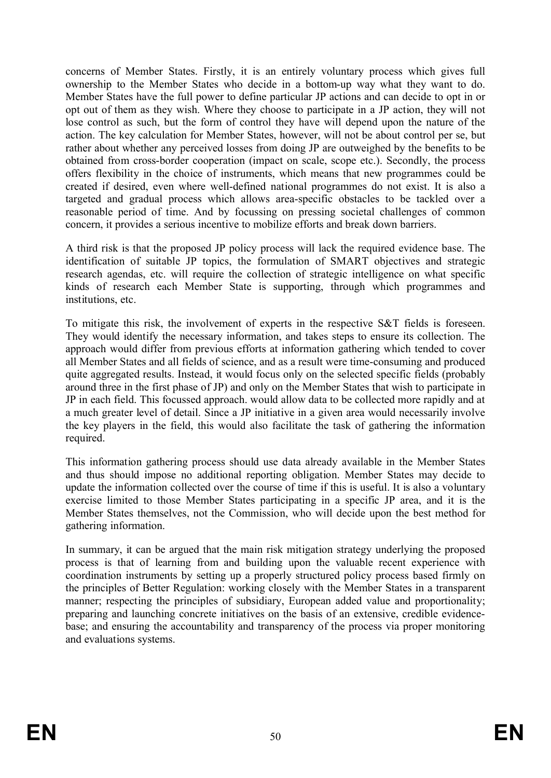concerns of Member States. Firstly, it is an entirely voluntary process which gives full ownership to the Member States who decide in a bottom-up way what they want to do. Member States have the full power to define particular JP actions and can decide to opt in or opt out of them as they wish. Where they choose to participate in a JP action, they will not lose control as such, but the form of control they have will depend upon the nature of the action. The key calculation for Member States, however, will not be about control per se, but rather about whether any perceived losses from doing JP are outweighed by the benefits to be obtained from cross-border cooperation (impact on scale, scope etc.). Secondly, the process offers flexibility in the choice of instruments, which means that new programmes could be created if desired, even where well-defined national programmes do not exist. It is also a targeted and gradual process which allows area-specific obstacles to be tackled over a reasonable period of time. And by focussing on pressing societal challenges of common concern, it provides a serious incentive to mobilize efforts and break down barriers.

A third risk is that the proposed JP policy process will lack the required evidence base. The identification of suitable JP topics, the formulation of SMART objectives and strategic research agendas, etc. will require the collection of strategic intelligence on what specific kinds of research each Member State is supporting, through which programmes and institutions, etc.

To mitigate this risk, the involvement of experts in the respective S&T fields is foreseen. They would identify the necessary information, and takes steps to ensure its collection. The approach would differ from previous efforts at information gathering which tended to cover all Member States and all fields of science, and as a result were time-consuming and produced quite aggregated results. Instead, it would focus only on the selected specific fields (probably around three in the first phase of JP) and only on the Member States that wish to participate in JP in each field. This focussed approach. would allow data to be collected more rapidly and at a much greater level of detail. Since a JP initiative in a given area would necessarily involve the key players in the field, this would also facilitate the task of gathering the information required.

This information gathering process should use data already available in the Member States and thus should impose no additional reporting obligation. Member States may decide to update the information collected over the course of time if this is useful. It is also a voluntary exercise limited to those Member States participating in a specific JP area, and it is the Member States themselves, not the Commission, who will decide upon the best method for gathering information.

In summary, it can be argued that the main risk mitigation strategy underlying the proposed process is that of learning from and building upon the valuable recent experience with coordination instruments by setting up a properly structured policy process based firmly on the principles of Better Regulation: working closely with the Member States in a transparent manner; respecting the principles of subsidiary, European added value and proportionality; preparing and launching concrete initiatives on the basis of an extensive, credible evidencebase; and ensuring the accountability and transparency of the process via proper monitoring and evaluations systems.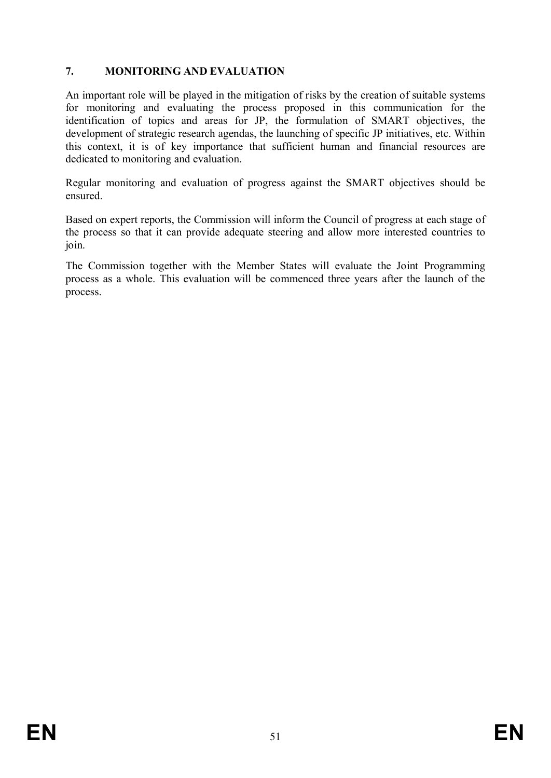# **7. MONITORING AND EVALUATION**

An important role will be played in the mitigation of risks by the creation of suitable systems for monitoring and evaluating the process proposed in this communication for the identification of topics and areas for JP, the formulation of SMART objectives, the development of strategic research agendas, the launching of specific JP initiatives, etc. Within this context, it is of key importance that sufficient human and financial resources are dedicated to monitoring and evaluation.

Regular monitoring and evaluation of progress against the SMART objectives should be ensured.

Based on expert reports, the Commission will inform the Council of progress at each stage of the process so that it can provide adequate steering and allow more interested countries to join.

The Commission together with the Member States will evaluate the Joint Programming process as a whole. This evaluation will be commenced three years after the launch of the process.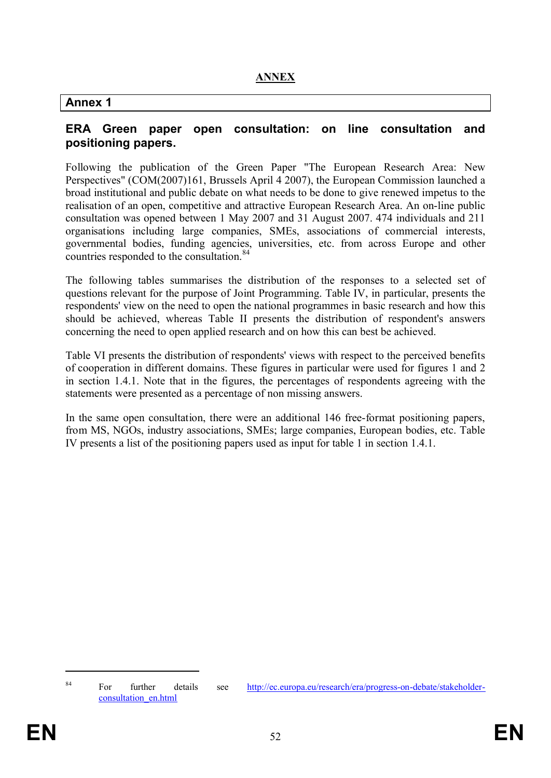# **Annex 1**

#### **ERA Green paper open consultation: on line consultation and positioning papers.**

Following the publication of the Green Paper "The European Research Area: New Perspectives" (COM(2007)161, Brussels April 4 2007), the European Commission launched a broad institutional and public debate on what needs to be done to give renewed impetus to the realisation of an open, competitive and attractive European Research Area. An on-line public consultation was opened between 1 May 2007 and 31 August 2007. 474 individuals and 211 organisations including large companies, SMEs, associations of commercial interests, governmental bodies, funding agencies, universities, etc. from across Europe and other countries responded to the consultation. 84

The following tables summarises the distribution of the responses to a selected set of questions relevant for the purpose of Joint Programming. Table IV, in particular, presents the respondents' view on the need to open the national programmes in basic research and how this should be achieved, whereas Table II presents the distribution of respondent's answers concerning the need to open applied research and on how this can best be achieved.

Table VI presents the distribution of respondents' views with respect to the perceived benefits of cooperation in different domains. These figures in particular were used for figures 1 and 2 in section 1.4.1. Note that in the figures, the percentages of respondents agreeing with the statements were presented as a percentage of non missing answers.

In the same open consultation, there were an additional 146 free-format positioning papers, from MS, NGOs, industry associations, SMEs; large companies, European bodies, etc. Table IV presents a list of the positioning papers used as input for table 1 in section 1.4.1.

<sup>&</sup>lt;sup>84</sup> For further details see http://ec.europa.eu/research/era/progress-on-debate/stakeholderconsultation\_en.html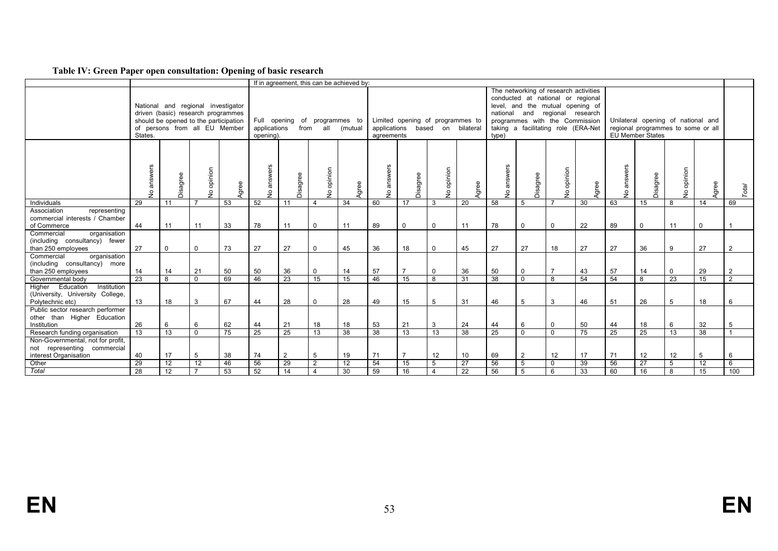#### **Table IV: Green Paper open consultation: Opening of basic research**

|                                                                                           |                 |                 |                                                                                                                                                    |                 |                          | If in agreement, this can be achieved by: |                          |                 |                          |                                                        |                          |                 |                    |                                                                                                                                                                                                |                          |       |               |                                                                                              |                          |             |                |
|-------------------------------------------------------------------------------------------|-----------------|-----------------|----------------------------------------------------------------------------------------------------------------------------------------------------|-----------------|--------------------------|-------------------------------------------|--------------------------|-----------------|--------------------------|--------------------------------------------------------|--------------------------|-----------------|--------------------|------------------------------------------------------------------------------------------------------------------------------------------------------------------------------------------------|--------------------------|-------|---------------|----------------------------------------------------------------------------------------------|--------------------------|-------------|----------------|
|                                                                                           | States.         |                 | National and regional investigator<br>driven (basic) research programmes<br>should be opened to the participation<br>of persons from all EU Member |                 | applications<br>opening) | Full opening of programmes to             | from all                 | (mutual         | agreements               | Limited opening of programmes to<br>applications based |                          | on bilateral    | national<br>type)  | The networking of research activities<br>conducted at national or regional<br>level, and the mutual opening of<br>and<br>programmes with the Commission<br>taking a facilitating role (ERA-Net | regional research        |       |               | Unilateral opening of national and<br>regional programmes to some or all<br>EU Member States |                          |             |                |
|                                                                                           | answers<br>ş    | Disagree        | opinion<br>Ş                                                                                                                                       | Agree           | swers<br>듦<br><u>و</u>   | Disagree                                  | opinion<br>$\frac{1}{2}$ | Agree           | answers<br>$\frac{1}{2}$ | Disagree                                               | opinion<br>$\frac{1}{2}$ | Agree           | answers<br>$\circ$ | Disagree                                                                                                                                                                                       | opinion<br>$\frac{1}{2}$ | Agree | answers<br>ءِ | Disagree                                                                                     | opinion<br>$\frac{1}{2}$ | Agree       | Total          |
| Individuals                                                                               | 29              | 11              | - 7                                                                                                                                                | 53              | 52                       | 11                                        | $\overline{4}$           | $\overline{34}$ | 60                       | 17                                                     | 3                        | 20              | 58                 | 5                                                                                                                                                                                              |                          | 30    | 63            | 15                                                                                           | 8                        | 14          | 69             |
| Association<br>representing<br>commercial interests / Chamber<br>of Commerce              | 44              | 11              | 11                                                                                                                                                 | 33              | 78                       | 11                                        | $\Omega$                 | 11              | 89                       | $\Omega$                                               | $\Omega$                 | 11              | 78                 | $\mathbf 0$                                                                                                                                                                                    | $\mathbf 0$              | 22    | 89            | $\mathbf 0$                                                                                  | 11                       | $\mathbf 0$ |                |
| Commercial<br>organisation<br>(including consultancy) fewer<br>than 250 employees         | 27              | $\mathbf 0$     | $\mathbf 0$                                                                                                                                        | 73              | 27                       | 27                                        | $\Omega$                 | 45              | 36                       | 18                                                     | $\Omega$                 | 45              | 27                 | 27                                                                                                                                                                                             | 18                       | 27    | 27            | 36                                                                                           | 9                        | 27          | $\overline{2}$ |
| organisation<br>Commercial<br>(including consultancy) more<br>than 250 employees          | 14              | 14              | 21                                                                                                                                                 | 50              | 50                       | 36                                        | $\Omega$                 | 14              | 57                       |                                                        | $\mathbf 0$              | 36              | 50                 | $\mathbf 0$                                                                                                                                                                                    | $\overline{7}$           | 43    | 57            | 14                                                                                           | $\mathbf 0$              | 29          | $\overline{2}$ |
| Governmental body                                                                         | 23              | 8               | $\mathbf 0$                                                                                                                                        | 69              | 46                       | 23                                        | 15                       | 15              | 46                       | 15                                                     | 8                        | 31              | 38                 | $\Omega$                                                                                                                                                                                       | 8                        | 54    | 54            | 8                                                                                            | 23                       | 15          | $\overline{2}$ |
| Higher Education<br>Institution<br>(University, University College,<br>Polytechnic etc)   | 13              | 18              | 3                                                                                                                                                  | 67              | 44                       | 28                                        | $\Omega$                 | 28              | 49                       | 15                                                     | 5                        | 31              | 46                 | 5                                                                                                                                                                                              | $\mathbf{3}$             | 46    | 51            | 26                                                                                           | 5                        | 18          | 6              |
| Public sector research performer<br>other than Higher Education<br>Institution            | 26              | 6               | 6                                                                                                                                                  | 62              | 44                       | 21                                        | 18                       | 18              | 53                       | 21                                                     | 3                        | 24              | 44                 | 6                                                                                                                                                                                              | $\mathbf 0$              | 50    | 44            | 18                                                                                           | 6                        | 32          | 5              |
| Research funding organisation                                                             | 13              | $\overline{13}$ | $\mathbf 0$                                                                                                                                        | $\overline{75}$ | 25                       | $\overline{25}$                           | $\overline{13}$          | $\overline{38}$ | 38                       | 13                                                     | 13                       | 38              | $\overline{25}$    | $\mathbf 0$                                                                                                                                                                                    | $\mathbf 0$              | 75    | 25            | 25                                                                                           | 13                       | 38          |                |
| Non-Governmental, not for profit,<br>not representing commercial<br>interest Organisation | 40              | 17              | 5                                                                                                                                                  | 38              | 74                       | $\overline{2}$                            | 5                        | 19              | 71                       |                                                        | 12                       | 10              | 69                 | $\overline{2}$                                                                                                                                                                                 | 12                       | 17    | 71            | 12                                                                                           | 12                       | 5           | 6              |
| Other                                                                                     | 29              | 12              | 12                                                                                                                                                 | 46              | 56                       | 29                                        | 2                        | 12              | 54                       | 15                                                     | 5                        | 27              | 56                 | 5                                                                                                                                                                                              | $\mathbf 0$              | 39    | 56            | 27                                                                                           | 5                        | 12          | 6              |
| Total                                                                                     | $\overline{28}$ | $\overline{12}$ | $\overline{7}$                                                                                                                                     | 53              | 52                       | 14                                        | $\overline{4}$           | 30              | 59                       | 16                                                     | $\overline{4}$           | $\overline{22}$ | 56                 | 5                                                                                                                                                                                              | 6                        | 33    | 60            | 16                                                                                           | $\overline{8}$           | 15          | 100            |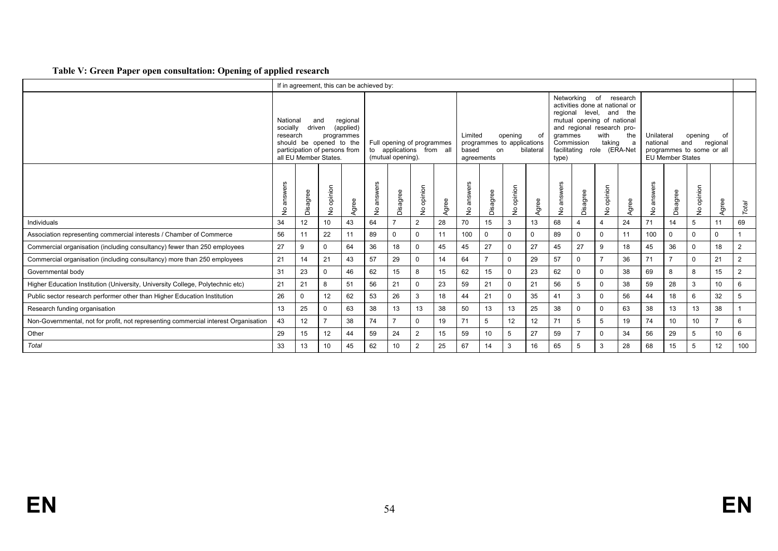#### **Table V: Green Paper open consultation: Opening of applied research**

|                                                                                     |                                                                                                                                                                                                                                                            |              |                                                                                          | If in agreement, this can be achieved by: |    |                   |                                                        |                          |                                |                                  |          |                          |                                                          |             |                                                                                                                                                                    |                      |                        |                                                      |                |                |                |
|-------------------------------------------------------------------------------------|------------------------------------------------------------------------------------------------------------------------------------------------------------------------------------------------------------------------------------------------------------|--------------|------------------------------------------------------------------------------------------|-------------------------------------------|----|-------------------|--------------------------------------------------------|--------------------------|--------------------------------|----------------------------------|----------|--------------------------|----------------------------------------------------------|-------------|--------------------------------------------------------------------------------------------------------------------------------------------------------------------|----------------------|------------------------|------------------------------------------------------|----------------|----------------|----------------|
|                                                                                     | National<br>socially<br>research                                                                                                                                                                                                                           | driven       | and<br>should be opened to the<br>participation of persons from<br>all EU Member States. | regional<br>(applied)<br>programmes       |    | (mutual opening). | Full opening of programmes<br>to applications from all |                          | Limited<br>based<br>agreements | programmes to applications<br>on | opening  | of<br>bilateral          | Networking<br>regional<br>grammes<br>Commission<br>type) |             | of<br>activities done at national or<br>level, and the<br>mutual opening of national<br>and regional research pro-<br>with<br>taking<br>facilitating role (ERA-Net | research<br>the<br>a | Unilateral<br>national | programmes to some or all<br><b>EU Member States</b> | opening<br>and | of<br>regional |                |
|                                                                                     | answers<br>answers<br>answers<br>opinion<br>opinion<br>opinion<br>Disagree<br>Disagree<br>Disagree<br>Agree<br>Agree<br>Agree<br>$\frac{1}{2}$<br>$\stackrel{\mathtt{o}}{z}$<br>$\frac{\circ}{2}$<br>$\frac{1}{2}$<br>$\tilde{z}$<br>$\stackrel{\circ}{z}$ |              |                                                                                          |                                           |    | answers<br>ş      | Disagree                                               | opinion<br>$\frac{1}{2}$ | Agree                          | answers<br>$\frac{1}{2}$         | Disagree | opinion<br>$\frac{1}{2}$ | Agree                                                    | Total       |                                                                                                                                                                    |                      |                        |                                                      |                |                |                |
| Individuals                                                                         | 34                                                                                                                                                                                                                                                         | 12           | 10 <sup>1</sup>                                                                          | 43                                        | 64 |                   | $\overline{2}$                                         | 28                       | 70                             | 15                               | 3        | 13                       | 68                                                       |             | 4                                                                                                                                                                  | 24                   | 71                     | 14                                                   | 5              | 11             | 69             |
| Association representing commercial interests / Chamber of Commerce                 | 56                                                                                                                                                                                                                                                         | 11           | 22                                                                                       | 11                                        | 89 | $\mathbf 0$       | 0                                                      | 11                       | 100                            | $\mathbf 0$                      |          | $\mathbf{0}$             | 89                                                       | $\mathbf 0$ | $\mathbf 0$                                                                                                                                                        | 11                   | 100                    | $\mathbf 0$                                          | $\Omega$       | $\Omega$       |                |
| Commercial organisation (including consultancy) fewer than 250 employees            | 27                                                                                                                                                                                                                                                         | 9            | $\mathbf 0$                                                                              | 64                                        | 36 | 18                | $\mathbf 0$                                            | 45                       | 45                             | 27                               | $\Omega$ | 27                       | 45                                                       | 27          | 9                                                                                                                                                                  | 18                   | 45                     | 36                                                   | $\mathbf 0$    | 18             | $\overline{2}$ |
| Commercial organisation (including consultancy) more than 250 employees             | 21                                                                                                                                                                                                                                                         | 14           | 21                                                                                       | 43                                        | 57 | 29                | 0                                                      | 14                       | 64                             | $\overline{7}$                   | $\Omega$ | 29                       | 57                                                       | $\mathbf 0$ | $\overline{7}$                                                                                                                                                     | 36                   | 71                     |                                                      | $\mathbf 0$    | 21             | $\overline{2}$ |
| Governmental body                                                                   | 31                                                                                                                                                                                                                                                         | 23           | $\mathbf 0$                                                                              | 46                                        | 62 | 15                | 8                                                      | 15                       | 62                             | 15                               |          | 23                       | 62                                                       | $\mathbf 0$ | 0                                                                                                                                                                  | 38                   | 69                     | 8                                                    | 8              | 15             | $\overline{2}$ |
| Higher Education Institution (University, University College, Polytechnic etc)      | 21                                                                                                                                                                                                                                                         | 21           | 8                                                                                        | 51                                        | 56 | 21                | $\Omega$                                               | 23                       | 59                             | 21                               |          | 21                       | 56                                                       | 5           | 0                                                                                                                                                                  | 38                   | 59                     | 28                                                   | 3              | 10             | 6              |
| Public sector research performer other than Higher Education Institution            | 26                                                                                                                                                                                                                                                         | <sup>0</sup> | 12                                                                                       | 62                                        | 53 | 26                | 3                                                      | 18                       | 44                             | 21                               | $\Omega$ | 35                       | 41                                                       | 3           | $\mathbf 0$                                                                                                                                                        | 56                   | 44                     | 18                                                   | 6              | 32             | 5              |
| Research funding organisation                                                       | 13                                                                                                                                                                                                                                                         | 25           | 0                                                                                        | 63                                        | 38 | 13                | 13                                                     | 38                       | 50                             | 13                               | 13       | 25                       | 38                                                       | $\Omega$    | 0                                                                                                                                                                  | 63                   | 38                     | 13                                                   | 13             | 38             |                |
| Non-Governmental, not for profit, not representing commercial interest Organisation | 43                                                                                                                                                                                                                                                         | 12           | $\overline{7}$                                                                           | 38                                        | 74 | $\overline{ }$    | $\mathbf 0$                                            | 19                       | 71                             | 5                                | 12       | 12                       | 71                                                       | 5           | 5                                                                                                                                                                  | 19                   | 74                     | 10                                                   | 10             |                | 6              |
| Other                                                                               | 29                                                                                                                                                                                                                                                         | 15           | 12                                                                                       | 44                                        | 59 | 24                | 2                                                      | 15                       | 59                             | 10                               | .5       | 27                       | 59                                                       |             | 0                                                                                                                                                                  | 34                   | 56                     | 29                                                   | 5              | 10             | 6              |
| Total                                                                               | 33                                                                                                                                                                                                                                                         | 13           | 10                                                                                       | 45                                        | 62 | 10                | $\overline{2}$                                         | 25                       | 67                             | 14                               | 3        | 16                       | 65                                                       | 5           | 3                                                                                                                                                                  | 28                   | 68                     | 15                                                   | 5              | 12             | 100            |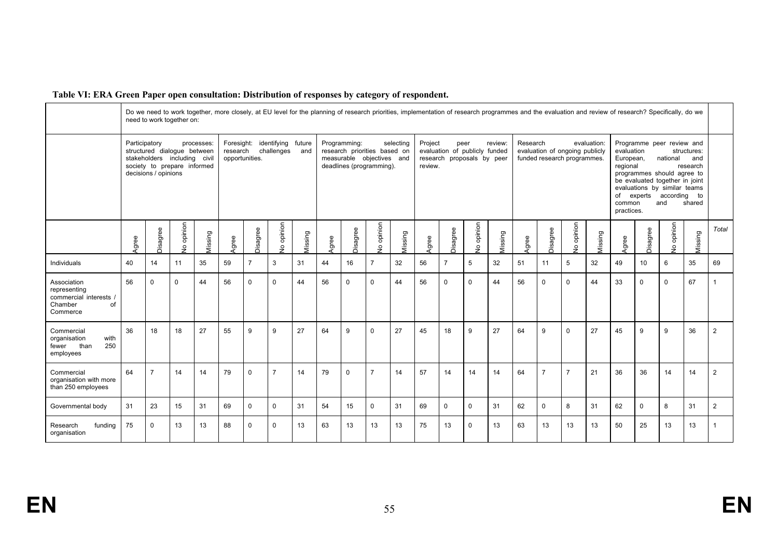|                                                                                    |               |                      | need to work together on:                                                                  |            |                        |                |                                  |         |       |              |                                                                                       |           |                    | Do we need to work together, more closely, at EU level for the planning of research priorities, implementation of research programmes and the evaluation and review of research? Specifically, do we |             |         |          |                |                                                               |             |                                                                   |                                                                                                                                                   |                          |                                          |                |
|------------------------------------------------------------------------------------|---------------|----------------------|--------------------------------------------------------------------------------------------|------------|------------------------|----------------|----------------------------------|---------|-------|--------------|---------------------------------------------------------------------------------------|-----------|--------------------|------------------------------------------------------------------------------------------------------------------------------------------------------------------------------------------------------|-------------|---------|----------|----------------|---------------------------------------------------------------|-------------|-------------------------------------------------------------------|---------------------------------------------------------------------------------------------------------------------------------------------------|--------------------------|------------------------------------------|----------------|
|                                                                                    | Participatory | decisions / opinions | structured dialogue between<br>stakeholders including civil<br>society to prepare informed | processes: | Foresight:<br>research | opportunities. | identifying future<br>challenges | and     |       | Programming: | research priorities based on<br>measurable objectives and<br>deadlines (programming). | selecting | Project<br>review. | evaluation of publicly funded<br>research proposals by peer                                                                                                                                          | peer        | review: | Research |                | evaluation of ongoing publicly<br>funded research programmes. | evaluation: | evaluation<br>European,<br>regional<br>of<br>common<br>practices. | Programme peer review and<br>programmes should agree to<br>be evaluated together in joint<br>evaluations by similar teams<br>experts according to | national<br>and          | structures:<br>and<br>research<br>shared |                |
|                                                                                    | Agree         | Disagree             | opinion<br>$\frac{1}{2}$                                                                   | dissing    | Agree                  | Disagree       | opinion<br>ءِ                    | dissing | Agree | Disagree     | do opinion                                                                            | Vissing   | Agree              | Disagree                                                                                                                                                                                             | do opinion  | dissing | Agree    | Disagree       | opinion<br>$\frac{1}{2}$                                      | dissing     | Agree                                                             | Disagree                                                                                                                                          | opinion<br>$\frac{1}{2}$ | Vissing                                  | Total          |
| Individuals                                                                        | 40            | 14                   | 11                                                                                         | 35         | 59                     | 7              | 3                                | 31      | 44    | 16           | $\overline{7}$                                                                        | 32        | 56                 | $\overline{7}$                                                                                                                                                                                       | 5           | 32      | 51       | 11             | 5                                                             | 32          | 49                                                                | 10                                                                                                                                                | 6                        | 35                                       | 69             |
| Association<br>representing<br>commercial interests /<br>Chamber<br>of<br>Commerce | 56            | $\mathbf 0$          | $\Omega$                                                                                   | 44         | 56                     | $\Omega$       | $\mathbf 0$                      | 44      | 56    | 0            | $\mathbf 0$                                                                           | 44        | 56                 | $\mathbf 0$                                                                                                                                                                                          | $\Omega$    | 44      | 56       | $\mathbf 0$    | $\Omega$                                                      | 44          | 33                                                                | $\mathbf 0$                                                                                                                                       | $\mathbf 0$              | 67                                       |                |
| Commercial<br>with<br>organisation<br>250<br>than<br>fewer<br>employees            | 36            | 18                   | 18                                                                                         | 27         | 55                     | 9              | 9                                | 27      | 64    | 9            | $\mathbf 0$                                                                           | 27        | 45                 | 18                                                                                                                                                                                                   | 9           | 27      | 64       | 9              | $\mathbf 0$                                                   | 27          | 45                                                                | 9                                                                                                                                                 | 9                        | 36                                       | $\overline{2}$ |
| Commercial<br>organisation with more<br>than 250 employees                         | 64            | $\overline{7}$       | 14                                                                                         | 14         | 79                     | $\Omega$       | $\overline{7}$                   | 14      | 79    | $\mathbf 0$  | $\overline{7}$                                                                        | 14        | 57                 | 14                                                                                                                                                                                                   | 14          | 14      | 64       | $\overline{7}$ | $\overline{7}$                                                | 21          | 36                                                                | 36                                                                                                                                                | 14                       | 14                                       | $\overline{2}$ |
| Governmental body                                                                  | 31            | 23                   | 15                                                                                         | 31         | 69                     | $\Omega$       | $\mathbf 0$                      | 31      | 54    | 15           | 0                                                                                     | 31        | 69                 | 0                                                                                                                                                                                                    | $\mathbf 0$ | 31      | 62       | $\mathbf 0$    | 8                                                             | 31          | 62                                                                | $\mathbf 0$                                                                                                                                       | 8                        | 31                                       | $\overline{2}$ |
| funding<br>Research<br>organisation                                                | 75            | 0                    | 13                                                                                         | 13         | 88                     | $\Omega$       | $\Omega$                         | 13      | 63    | 13           | 13                                                                                    | 13        | 75                 | 13                                                                                                                                                                                                   | $\Omega$    | 13      | 63       | 13             | 13                                                            | 13          | 50                                                                | 25                                                                                                                                                | 13                       | 13                                       |                |

#### **Table VI: ERA Green Paper open consultation: Distribution of responses by category of respondent.**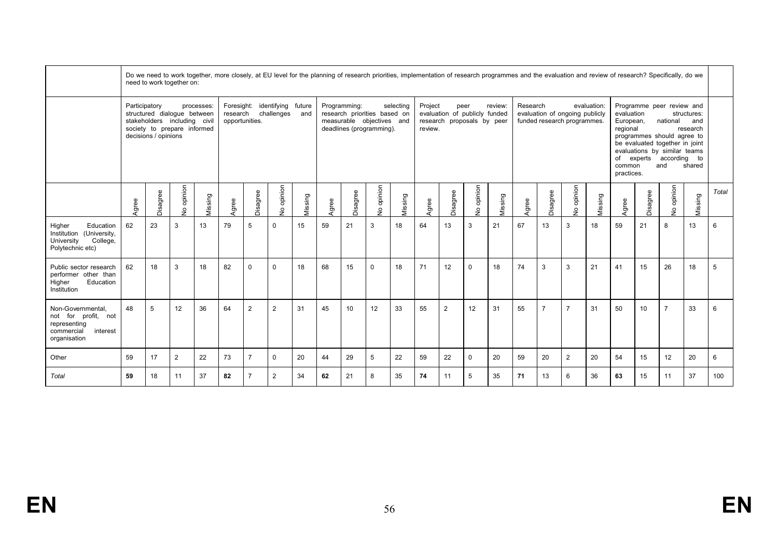|                                                                                                    |               | Do we need to work together, more closely, at EU level for the planning of research priorities, implementation of research programmes and the evaluation and review of research? Specifically, do we<br>need to work together on: |                                                                                            |            |                            |                |                                      |               |       |                 |                                                                                       |           |                                |                               |                           |         |          |                |                                                               |             |                                                                   |          |                                                                                                                                                                      |                                          |       |
|----------------------------------------------------------------------------------------------------|---------------|-----------------------------------------------------------------------------------------------------------------------------------------------------------------------------------------------------------------------------------|--------------------------------------------------------------------------------------------|------------|----------------------------|----------------|--------------------------------------|---------------|-------|-----------------|---------------------------------------------------------------------------------------|-----------|--------------------------------|-------------------------------|---------------------------|---------|----------|----------------|---------------------------------------------------------------|-------------|-------------------------------------------------------------------|----------|----------------------------------------------------------------------------------------------------------------------------------------------------------------------|------------------------------------------|-------|
|                                                                                                    | Participatory | decisions / opinions                                                                                                                                                                                                              | structured dialogue between<br>stakeholders including civil<br>society to prepare informed | processes: | research<br>opportunities. |                | Foresight: identifying<br>challenges | future<br>and |       | Programming:    | research priorities based on<br>measurable objectives and<br>deadlines (programming). | selecting | Project<br>research<br>review. | evaluation of publicly funded | peer<br>proposals by peer | review: | Research |                | evaluation of ongoing publicly<br>funded research programmes. | evaluation: | evaluation<br>European,<br>regional<br>of<br>common<br>practices. |          | Programme peer review and<br>national<br>programmes should agree to<br>be evaluated together in joint<br>evaluations by similar teams<br>experts according to<br>and | structures:<br>and<br>research<br>shared |       |
|                                                                                                    | Agree         | Disagree                                                                                                                                                                                                                          | opinion<br>$\frac{\circ}{2}$                                                               | Missing    | Agree                      | Disagree       | opinion<br>ş                         | Missing       | Agree | Disagree        | No opinion                                                                            | Missing   | Agree                          | Disagree                      | opinion<br>$\overline{2}$ | Missing | Agree    | Disagree       | opinion<br>$\overline{z}$                                     | Missing     | Agree                                                             | Disagree | opinion<br>$\frac{9}{2}$                                                                                                                                             | Missing                                  | Total |
| Higher<br>Education<br>(University,<br>Institution<br>College,<br>University<br>Polytechnic etc)   | 62            | 23                                                                                                                                                                                                                                | 3                                                                                          | 13         | 79                         | 5              | 0                                    | 15            | 59    | 21              | 3                                                                                     | 18        | 64                             | 13                            | 3                         | 21      | 67       | 13             | 3                                                             | 18          | 59                                                                | 21       | 8                                                                                                                                                                    | 13                                       | 6     |
| Public sector research<br>performer other than<br>Education<br>Higher<br>Institution               | 62            | 18                                                                                                                                                                                                                                | 3                                                                                          | 18         | 82                         | $\Omega$       | 0                                    | 18            | 68    | 15              | $\mathbf{0}$                                                                          | 18        | 71                             | 12                            | $\mathbf 0$               | 18      | 74       | 3              | 3                                                             | 21          | 41                                                                | 15       | 26                                                                                                                                                                   | 18                                       | 5     |
| Non-Governmental.<br>not for profit, not<br>representing<br>commercial<br>interest<br>organisation | 48            | 5                                                                                                                                                                                                                                 | 12                                                                                         | 36         | 64                         | $\overline{2}$ | $\overline{2}$                       | 31            | 45    | 10 <sup>1</sup> | 12                                                                                    | 33        | 55                             | $\overline{2}$                | 12                        | 31      | 55       | $\overline{7}$ | $\overline{7}$                                                | 31          | 50                                                                | 10       | $\overline{7}$                                                                                                                                                       | 33                                       | 6     |
| Other                                                                                              | 59            | 17                                                                                                                                                                                                                                | $\overline{2}$                                                                             | 22         | 73                         | $\overline{7}$ | 0                                    | 20            | 44    | 29              | 5                                                                                     | 22        | 59                             | 22                            | $\mathbf 0$               | 20      | 59       | 20             | $\overline{2}$                                                | 20          | 54                                                                | 15       | 12                                                                                                                                                                   | 20                                       | 6     |
| Total                                                                                              | 59            | 18                                                                                                                                                                                                                                | 11                                                                                         | 37         | 82                         | $\overline{7}$ | $\overline{2}$                       | 34            | 62    | 21              | 8                                                                                     | 35        | 74                             | 11                            | 5                         | 35      | 71       | 13             | 6                                                             | 36          | 63                                                                | 15       | 11                                                                                                                                                                   | 37                                       | 100   |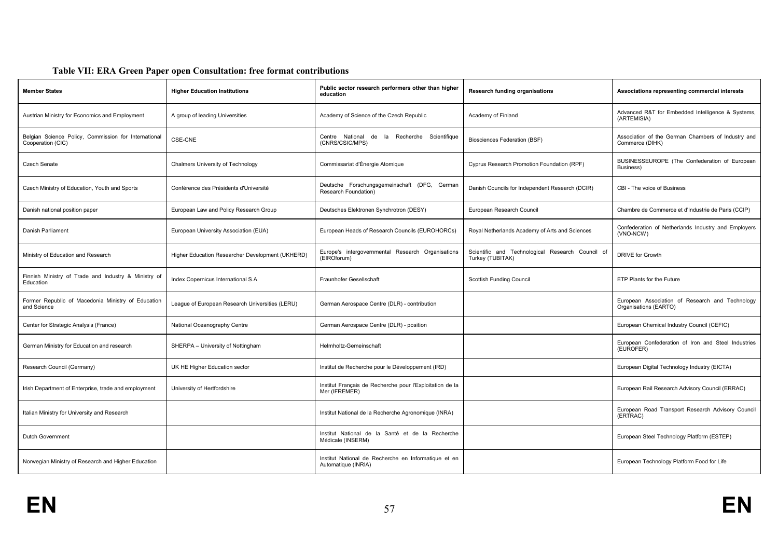#### **Table VII: ERA Green Paper open Consultation: free format contributions**

| <b>Member States</b>                                                      | <b>Higher Education Institutions</b>             | Public sector research performers other than higher<br>education            | <b>Research funding organisations</b>                                | Associations representing commercial interests                           |
|---------------------------------------------------------------------------|--------------------------------------------------|-----------------------------------------------------------------------------|----------------------------------------------------------------------|--------------------------------------------------------------------------|
| Austrian Ministry for Economics and Employment                            | A group of leading Universities                  | Academy of Science of the Czech Republic                                    | Academy of Finland                                                   | Advanced R&T for Embedded Intelligence & Systems,<br>(ARTEMISIA)         |
| Belgian Science Policy, Commission for International<br>Cooperation (CIC) | <b>CSE-CNE</b>                                   | Centre National de la Recherche Scientifique<br>(CNRS/CSIC/MPS)             | <b>Biosciences Federation (BSF)</b>                                  | Association of the German Chambers of Industry and<br>Commerce (DIHK)    |
| <b>Czech Senate</b>                                                       | <b>Chalmers University of Technology</b>         | Commissariat d'Énergie Atomique                                             | Cyprus Research Promotion Foundation (RPF)                           | BUSINESSEUROPE (The Confederation of European<br>Business)               |
| Czech Ministry of Education, Youth and Sports                             | Conférence des Présidents d'Université           | Deutsche Forschungsgemeinschaft (DFG, German<br>Research Foundation)        | Danish Councils for Independent Research (DCIR)                      | CBI - The voice of Business                                              |
| Danish national position paper                                            | European Law and Policy Research Group           | Deutsches Elektronen Synchrotron (DESY)                                     | European Research Council                                            | Chambre de Commerce et d'Industrie de Paris (CCIP)                       |
| Danish Parliament                                                         | European University Association (EUA)            | European Heads of Research Councils (EUROHORCs)                             | Royal Netherlands Academy of Arts and Sciences                       | Confederation of Netherlands Industry and Employers<br>(VNO-NCW)         |
| Ministry of Education and Research                                        | Higher Education Researcher Development (UKHERD) | Europe's intergovernmental Research Organisations<br>(EIROforum)            | Scientific and Technological Research Council of<br>Turkey (TUBITAK) | <b>DRIVE for Growth</b>                                                  |
| Finnish Ministry of Trade and Industry & Ministry of<br>Education         | Index Copernicus International S.A               | Fraunhofer Gesellschaft                                                     | <b>Scottish Funding Council</b>                                      | ETP Plants for the Future                                                |
| Former Republic of Macedonia Ministry of Education<br>and Science         | League of European Research Universities (LERU)  | German Aerospace Centre (DLR) - contribution                                |                                                                      | European Association of Research and Technology<br>Organisations (EARTO) |
| Center for Strategic Analysis (France)                                    | National Oceanography Centre                     | German Aerospace Centre (DLR) - position                                    |                                                                      | European Chemical Industry Council (CEFIC)                               |
| German Ministry for Education and research                                | SHERPA - University of Nottingham                | Helmholtz-Gemeinschaft                                                      |                                                                      | European Confederation of Iron and Steel Industries<br>(EUROFER)         |
| Research Council (Germany)                                                | UK HE Higher Education sector                    | Institut de Recherche pour le Développement (IRD)                           |                                                                      | European Digital Technology Industry (EICTA)                             |
| Irish Department of Enterprise, trade and employment                      | University of Hertfordshire                      | Institut Français de Recherche pour l'Exploitation de la<br>Mer (IFREMER)   |                                                                      | European Rail Research Advisory Council (ERRAC)                          |
| Italian Ministry for University and Research                              |                                                  | Institut National de la Recherche Agronomique (INRA)                        |                                                                      | European Road Transport Research Advisory Council<br>(ERTRAC)            |
| <b>Dutch Government</b>                                                   |                                                  | Institut National de la Santé et de la Recherche<br>Médicale (INSERM)       |                                                                      | European Steel Technology Platform (ESTEP)                               |
| Norwegian Ministry of Research and Higher Education                       |                                                  | Institut National de Recherche en Informatique et en<br>Automatique (INRIA) |                                                                      | European Technology Platform Food for Life                               |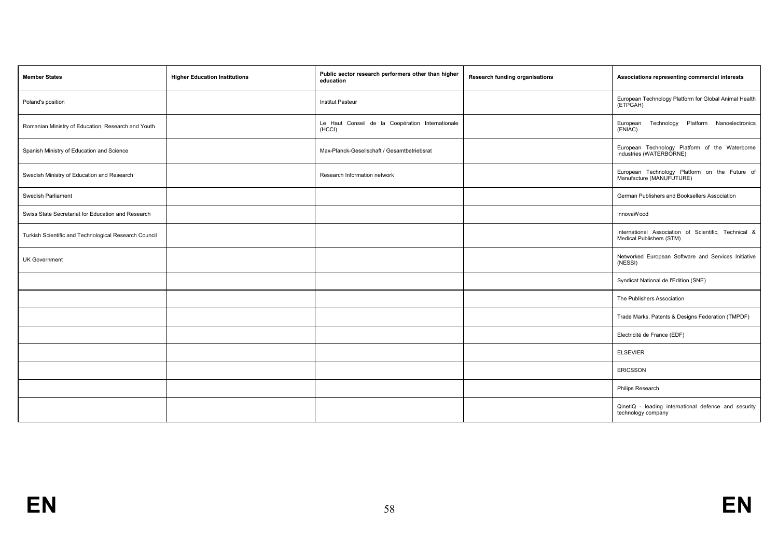| <b>Member States</b>                                  | <b>Higher Education Institutions</b> | Public sector research performers other than higher<br>education | <b>Research funding organisations</b> | Associations representing commercial interests                                   |
|-------------------------------------------------------|--------------------------------------|------------------------------------------------------------------|---------------------------------------|----------------------------------------------------------------------------------|
| Poland's position                                     |                                      | <b>Institut Pasteur</b>                                          |                                       | European Technology Platform for Global Animal Health<br>(ETPGAH)                |
| Romanian Ministry of Education, Research and Youth    |                                      | Le Haut Conseil de la Coopération Internationale<br>(HCCI)       |                                       | Technology Platform Nanoelectronics<br>European<br>(ENIAC)                       |
| Spanish Ministry of Education and Science             |                                      | Max-Planck-Gesellschaft / Gesamtbetriebsrat                      |                                       | European Technology Platform of the Waterborne<br>Industries (WATERBORNE)        |
| Swedish Ministry of Education and Research            |                                      | Research Information network                                     |                                       | European Technology Platform on the Future of<br>Manufacture (MANUFUTURE)        |
| Swedish Parliament                                    |                                      |                                                                  |                                       | German Publishers and Booksellers Association                                    |
| Swiss State Secretariat for Education and Research    |                                      |                                                                  |                                       | InnovaWood                                                                       |
| Turkish Scientific and Technological Research Council |                                      |                                                                  |                                       | International Association of Scientific, Technical &<br>Medical Publishers (STM) |
| <b>UK Government</b>                                  |                                      |                                                                  |                                       | Networked European Software and Services Initiative<br>(NESSI)                   |
|                                                       |                                      |                                                                  |                                       | Syndicat National de l'Edition (SNE)                                             |
|                                                       |                                      |                                                                  |                                       | The Publishers Association                                                       |
|                                                       |                                      |                                                                  |                                       | Trade Marks, Patents & Designs Federation (TMPDF)                                |
|                                                       |                                      |                                                                  |                                       | Electricité de France (EDF)                                                      |
|                                                       |                                      |                                                                  |                                       | <b>ELSEVIER</b>                                                                  |
|                                                       |                                      |                                                                  |                                       | <b>ERICSSON</b>                                                                  |
|                                                       |                                      |                                                                  |                                       | Philips Research                                                                 |
|                                                       |                                      |                                                                  |                                       | QinetiQ - leading international defence and security<br>technology company       |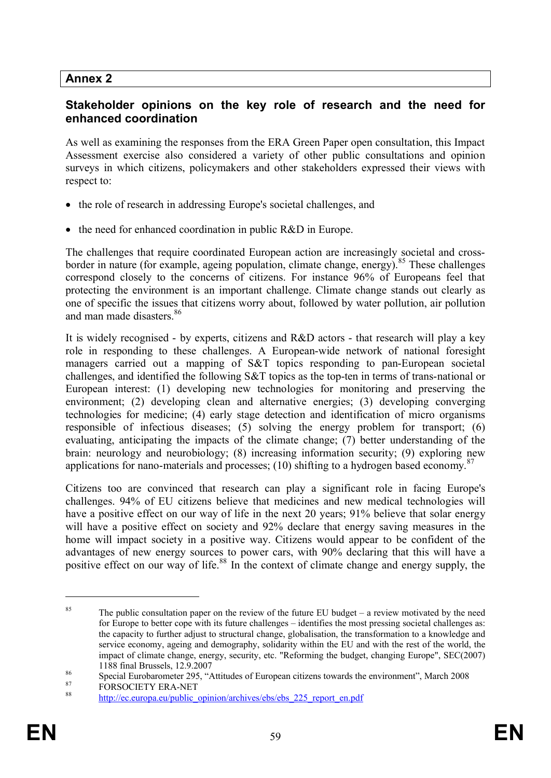# **Annex 2**

# **Stakeholder opinions on the key role of research and the need for enhanced coordination**

As well as examining the responses from the ERA Green Paper open consultation, this Impact Assessment exercise also considered a variety of other public consultations and opinion surveys in which citizens, policymakers and other stakeholders expressed their views with respect to:

- the role of research in addressing Europe's societal challenges, and
- the need for enhanced coordination in public R&D in Europe.

The challenges that require coordinated European action are increasingly societal and crossborder in nature (for example, ageing population, climate change, energy).<sup>85</sup> These challenges correspond closely to the concerns of citizens. For instance 96% of Europeans feel that protecting the environment is an important challenge. Climate change stands out clearly as one of specific the issues that citizens worry about, followed by water pollution, air pollution and man made disasters<sup>86</sup>

It is widely recognised - by experts, citizens and R&D actors - that research will play a key role in responding to these challenges. A European-wide network of national foresight managers carried out a mapping of S&T topics responding to pan-European societal challenges, and identified the following S&T topics as the top-ten in terms of trans-national or European interest: (1) developing new technologies for monitoring and preserving the environment; (2) developing clean and alternative energies; (3) developing converging technologies for medicine; (4) early stage detection and identification of micro organisms responsible of infectious diseases; (5) solving the energy problem for transport; (6) evaluating, anticipating the impacts of the climate change; (7) better understanding of the brain: neurology and neurobiology; (8) increasing information security; (9) exploring new applications for nano-materials and processes; (10) shifting to a hydrogen based economy.<sup>87</sup>

Citizens too are convinced that research can play a significant role in facing Europe's challenges. 94% of EU citizens believe that medicines and new medical technologies will have a positive effect on our way of life in the next 20 years; 91% believe that solar energy will have a positive effect on society and 92% declare that energy saving measures in the home will impact society in a positive way. Citizens would appear to be confident of the advantages of new energy sources to power cars, with 90% declaring that this will have a positive effect on our way of life.<sup>88</sup> In the context of climate change and energy supply, the

<sup>&</sup>lt;sup>85</sup> The public consultation paper on the review of the future EU budget – a review motivated by the need for Europe to better cope with its future challenges – identifies the most pressing societal challenges as: the capacity to further adjust to structural change, globalisation, the transformation to a knowledge and service economy, ageing and demography, solidarity within the EU and with the rest of the world, the impact of climate change, energy, security, etc. "Reforming the budget, changing Europe", SEC(2007) 1188 final Brussels, 12.9.2007

<sup>&</sup>lt;sup>86</sup><br>Special Eurobarometer 295, "Attitudes of European citizens towards the environment", March 2008<br>Representative Data NET

 $\frac{87}{88}$  FORSOCIETY ERA-NET

http://ec.europa.eu/public\_opinion/archives/ebs/ebs\_225\_report\_en.pdf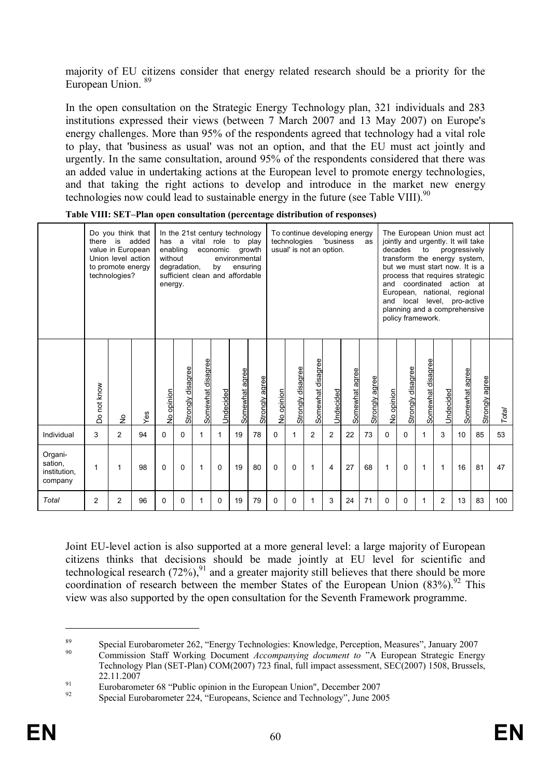majority of EU citizens consider that energy related research should be a priority for the European Union.<sup>89</sup>

In the open consultation on the Strategic Energy Technology plan, 321 individuals and 283 institutions expressed their views (between 7 March 2007 and 13 May 2007) on Europe's energy challenges. More than 95% of the respondents agreed that technology had a vital role to play, that 'business as usual' was not an option, and that the EU must act jointly and urgently. In the same consultation, around 95% of the respondents considered that there was an added value in undertaking actions at the European level to promote energy technologies, and that taking the right actions to develop and introduce in the market new energy technologies now could lead to sustainable energy in the future (see Table VIII). $90$ 

|                                               | there       | Do you think that<br>is<br>value in European<br>Union level action<br>to promote energy<br>technologies? | added | has a<br>without<br>energy. | enabling<br>degradation, |                   | economic<br>by | In the 21st century technology<br>vital role to play<br>environmental<br>ensuring<br>sufficient clean and affordable | growth         |            | technologies      | usual' is not an option. | 'business      | To continue developing energy | as             | and<br>and | The European Union must act<br>jointly and urgently. It will take<br>decades<br>transform the energy system,<br>but we must start now. It is a<br>process that requires strategic<br>European, national, regional<br>local<br>planning and a comprehensive<br>policy framework. | to<br>coordinated action at | level,    | progressively<br>pro-active |                |       |
|-----------------------------------------------|-------------|----------------------------------------------------------------------------------------------------------|-------|-----------------------------|--------------------------|-------------------|----------------|----------------------------------------------------------------------------------------------------------------------|----------------|------------|-------------------|--------------------------|----------------|-------------------------------|----------------|------------|---------------------------------------------------------------------------------------------------------------------------------------------------------------------------------------------------------------------------------------------------------------------------------|-----------------------------|-----------|-----------------------------|----------------|-------|
|                                               | Do not know | $\frac{1}{2}$                                                                                            | Yes   | No opinion                  | Strongly disagree        | Somewhat disagree | Undecided      | Somewhat agree                                                                                                       | Strongly agree | No opinion | Strongly disagree | Somewhat disagree        | Undecided      | Somewhat agree                | Strongly agree | No opinion | <b>Strongly disagree</b>                                                                                                                                                                                                                                                        | Somewhat disagree           | Undecided | agree<br>Somewhat           | Strongly agree | Total |
| Individual                                    | 3           | 2                                                                                                        | 94    | 0                           | 0                        | 1                 | $\mathbf{1}$   | 19                                                                                                                   | 78             | 0          | $\mathbf{1}$      | $\overline{2}$           | $\overline{2}$ | 22                            | 73             | 0          | $\Omega$                                                                                                                                                                                                                                                                        |                             | 3         | 10                          | 85             | 53    |
| Organi-<br>sation,<br>institution,<br>company | 1           | 1                                                                                                        | 98    | 0                           | $\Omega$                 | 1                 | $\Omega$       | 19                                                                                                                   | 80             | $\Omega$   | 0                 | 1                        | 4              | 27                            | 68             | 1          | $\Omega$                                                                                                                                                                                                                                                                        | 1                           | 1         | 16                          | 81             | 47    |
| Total                                         | 2           | 2                                                                                                        | 96    | 0                           | 0                        | 1                 | 0              | 19                                                                                                                   | 79             | 0          | 0                 | 1                        | 3              | 24                            | 71             | 0          | 0                                                                                                                                                                                                                                                                               |                             | 2         | 13                          | 83             | 100   |

**Table VIII: SET–Plan open consultation (percentage distribution of responses)**

Joint EU-level action is also supported at a more general level: a large majority of European citizens thinks that decisions should be made jointly at EU level for scientific and technological research (72%),<sup>91</sup> and a greater majority still believes that there should be more coordination of research between the member States of the European Union  $(83\%)$ .<sup>92</sup> This view was also supported by the open consultation for the Seventh Framework programme.

<sup>&</sup>lt;sup>89</sup> Special Eurobarometer 262, "Energy Technologies: Knowledge, Perception, Measures", January 2007 <sup>90</sup> Commission Staff Working Document *Accompanying document to* "A European Strategic Energy Technology Plan (SET-Plan) COM(2007) 723 final, full impact assessment, SEC(2007) 1508, Brussels, 22.11.2007

<sup>&</sup>lt;sup>91</sup> Eurobarometer 68 "Public opinion in the European Union", December 2007

Special Eurobarometer 224, "Europeans, Science and Technology", June 2005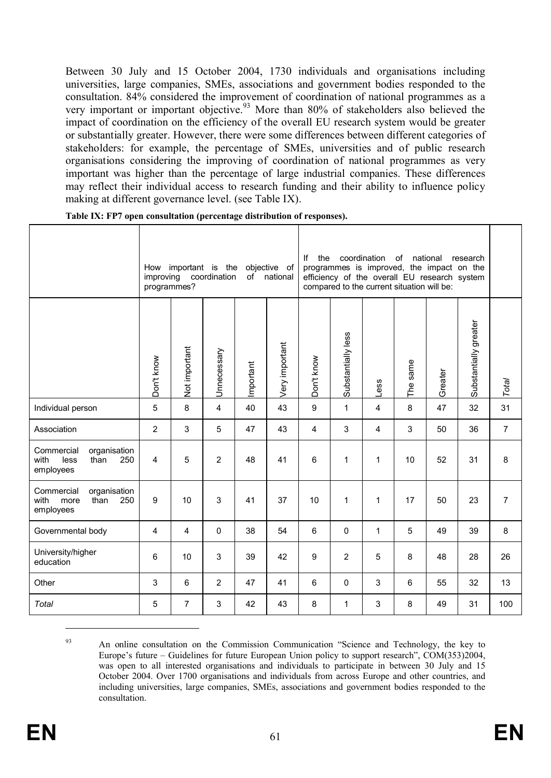Between 30 July and 15 October 2004, 1730 individuals and organisations including universities, large companies, SMEs, associations and government bodies responded to the consultation. 84% considered the improvement of coordination of national programmes as a very important or important objective.<sup>93</sup> More than 80% of stakeholders also believed the impact of coordination on the efficiency of the overall EU research system would be greater or substantially greater. However, there were some differences between different categories of stakeholders: for example, the percentage of SMEs, universities and of public research organisations considering the improving of coordination of national programmes as very important was higher than the percentage of large industrial companies. These differences may reflect their individual access to research funding and their ability to influence policy making at different governance level. (see Table IX).

|                                                                        | How<br>improving<br>programmes? |                | important is the<br>coordination |           | objective of<br>of national | lf<br>the  |                    | coordination<br>programmes is improved, the impact on the<br>efficiency of the overall EU research system<br>compared to the current situation will be: | of             | national | research              |                |
|------------------------------------------------------------------------|---------------------------------|----------------|----------------------------------|-----------|-----------------------------|------------|--------------------|---------------------------------------------------------------------------------------------------------------------------------------------------------|----------------|----------|-----------------------|----------------|
|                                                                        | Don't know                      | Not important  | Unnecessary                      | Important | Very important              | Don't know | Substantially less | Less                                                                                                                                                    | The same       | Greater  | Substantially greater | Total          |
| Individual person                                                      | 5                               | 8              | 4                                | 40        | 43                          | 9          | $\mathbf{1}$       | 4                                                                                                                                                       | 8              | 47       | 32                    | 31             |
| Association                                                            | $\overline{2}$                  | 3              | 5                                | 47        | 43                          | 4          | 3                  | 4                                                                                                                                                       | $\mathfrak{S}$ | 50       | 36                    | $\overline{7}$ |
| Commercial<br>organisation<br>with<br>less<br>than<br>250<br>employees | $\overline{4}$                  | 5              | $\overline{2}$                   | 48        | 41                          | 6          | $\mathbf{1}$       | $\mathbf{1}$                                                                                                                                            | 10             | 52       | 31                    | 8              |
| Commercial<br>organisation<br>with<br>than<br>250<br>more<br>employees | $\boldsymbol{9}$                | 10             | 3                                | 41        | 37                          | 10         | 1                  | $\mathbf{1}$                                                                                                                                            | 17             | 50       | 23                    | $\overline{7}$ |
| Governmental body                                                      | $\overline{4}$                  | $\overline{4}$ | $\pmb{0}$                        | 38        | 54                          | 6          | $\mathbf 0$        | 1                                                                                                                                                       | 5              | 49       | 39                    | 8              |
| University/higher<br>education                                         | 6                               | 10             | 3                                | 39        | 42                          | 9          | $\overline{2}$     | 5                                                                                                                                                       | 8              | 48       | 28                    | 26             |
| Other                                                                  | 3                               | 6              | $\overline{2}$                   | 47        | 41                          | 6          | $\Omega$           | 3                                                                                                                                                       | 6              | 55       | 32                    | 13             |
| Total                                                                  | 5                               | $\overline{7}$ | 3                                | 42        | 43                          | 8          | 1                  | 3                                                                                                                                                       | 8              | 49       | 31                    | 100            |

**Table IX: FP7 open consultation (percentage distribution of responses).**

<sup>&</sup>lt;sup>93</sup> An online consultation on the Commission Communication "Science and Technology, the key to Europe's future – Guidelines for future European Union policy to support research", COM(353)2004, was open to all interested organisations and individuals to participate in between 30 July and 15 October 2004. Over 1700 organisations and individuals from across Europe and other countries, and including universities, large companies, SMEs, associations and government bodies responded to the consultation.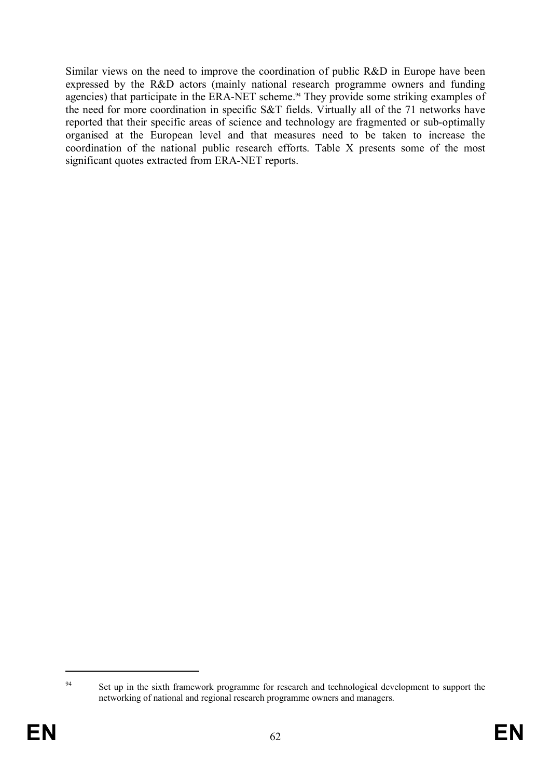Similar views on the need to improve the coordination of public R&D in Europe have been expressed by the R&D actors (mainly national research programme owners and funding agencies) that participate in the ERA-NET scheme. <sup>94</sup> They provide some striking examples of the need for more coordination in specific S&T fields. Virtually all of the 71 networks have reported that their specific areas of science and technology are fragmented or sub-optimally organised at the European level and that measures need to be taken to increase the coordination of the national public research efforts. Table X presents some of the most significant quotes extracted from ERA-NET reports.

<sup>&</sup>lt;sup>94</sup> Set up in the sixth framework programme for research and technological development to support the networking of national and regional research programme owners and managers.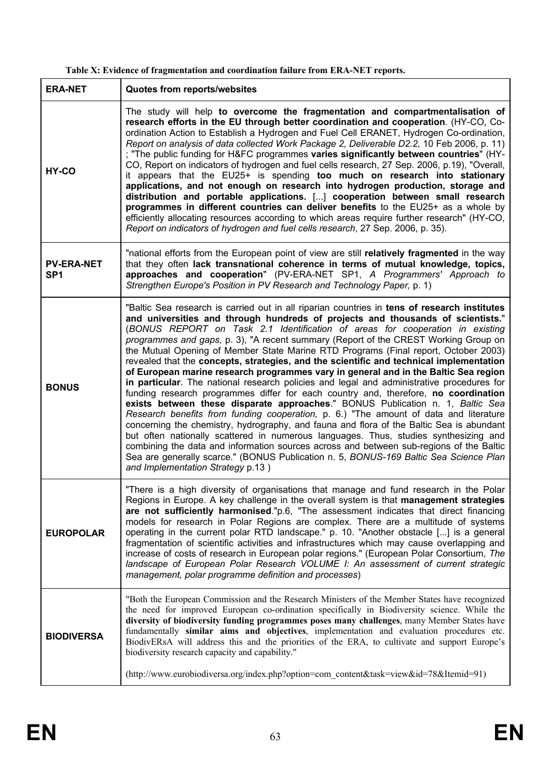| Table X: Evidence of fragmentation and coordination failure from ERA-NET reports. |  |
|-----------------------------------------------------------------------------------|--|
|-----------------------------------------------------------------------------------|--|

| <b>ERA-NET</b>                       | Quotes from reports/websites                                                                                                                                                                                                                                                                                                                                                                                                                                                                                                                                                                                                                                                                                                                                                                                                                                                                                                                                                                                                                                                                                                                                                                                                                                                                                                                                                                                 |
|--------------------------------------|--------------------------------------------------------------------------------------------------------------------------------------------------------------------------------------------------------------------------------------------------------------------------------------------------------------------------------------------------------------------------------------------------------------------------------------------------------------------------------------------------------------------------------------------------------------------------------------------------------------------------------------------------------------------------------------------------------------------------------------------------------------------------------------------------------------------------------------------------------------------------------------------------------------------------------------------------------------------------------------------------------------------------------------------------------------------------------------------------------------------------------------------------------------------------------------------------------------------------------------------------------------------------------------------------------------------------------------------------------------------------------------------------------------|
| HY-CO                                | The study will help to overcome the fragmentation and compartmentalisation of<br>research efforts in the EU through better coordination and cooperation. (HY-CO, Co-<br>ordination Action to Establish a Hydrogen and Fuel Cell ERANET, Hydrogen Co-ordination,<br>Report on analysis of data collected Work Package 2, Deliverable D2.2, 10 Feb 2006, p. 11)<br>; "The public funding for H&FC programmes varies significantly between countries" (HY-<br>CO, Report on indicators of hydrogen and fuel cells research, 27 Sep. 2006, p.19), "Overall,<br>it appears that the EU25+ is spending too much on research into stationary<br>applications, and not enough on research into hydrogen production, storage and<br>distribution and portable applications. [] cooperation between small research<br>programmes in different countries can deliver benefits to the EU25+ as a whole by<br>efficiently allocating resources according to which areas require further research" (HY-CO,<br>Report on indicators of hydrogen and fuel cells research, 27 Sep. 2006, p. 35).                                                                                                                                                                                                                                                                                                                              |
| <b>PV-ERA-NET</b><br>SP <sub>1</sub> | "national efforts from the European point of view are still relatively fragmented in the way<br>that they often lack transnational coherence in terms of mutual knowledge, topics,<br>approaches and cooperation" (PV-ERA-NET SP1, A Programmers' Approach to<br>Strengthen Europe's Position in PV Research and Technology Paper, p. 1)                                                                                                                                                                                                                                                                                                                                                                                                                                                                                                                                                                                                                                                                                                                                                                                                                                                                                                                                                                                                                                                                     |
| <b>BONUS</b>                         | "Baltic Sea research is carried out in all riparian countries in tens of research institutes<br>and universities and through hundreds of projects and thousands of scientists."<br>(BONUS REPORT on Task 2.1 Identification of areas for cooperation in existing<br>programmes and gaps, p. 3), "A recent summary (Report of the CREST Working Group on<br>the Mutual Opening of Member State Marine RTD Programs (Final report, October 2003)<br>revealed that the concepts, strategies, and the scientific and technical implementation<br>of European marine research programmes vary in general and in the Baltic Sea region<br>in particular. The national research policies and legal and administrative procedures for<br>funding research programmes differ for each country and, therefore, no coordination<br>exists between these disparate approaches." BONUS Publication n. 1, Baltic Sea<br>Research benefits from funding cooperation, p. 6.) "The amount of data and literature<br>concerning the chemistry, hydrography, and fauna and flora of the Baltic Sea is abundant<br>but often nationally scattered in numerous languages. Thus, studies synthesizing and<br>combining the data and information sources across and between sub-regions of the Baltic<br>Sea are generally scarce." (BONUS Publication n. 5, BONUS-169 Baltic Sea Science Plan<br>and Implementation Strategy p.13) |
| <b>EUROPOLAR</b>                     | "There is a high diversity of organisations that manage and fund research in the Polar<br>Regions in Europe. A key challenge in the overall system is that management strategies<br>are not sufficiently harmonised."p.6, "The assessment indicates that direct financing<br>models for research in Polar Regions are complex. There are a multitude of systems<br>operating in the current polar RTD landscape." p. 10. "Another obstacle [] is a general<br>fragmentation of scientific activities and infrastructures which may cause overlapping and<br>increase of costs of research in European polar regions." (European Polar Consortium, The<br>landscape of European Polar Research VOLUME I: An assessment of current strategic<br>management, polar programme definition and processes)                                                                                                                                                                                                                                                                                                                                                                                                                                                                                                                                                                                                          |
| <b>BIODIVERSA</b>                    | "Both the European Commission and the Research Ministers of the Member States have recognized<br>the need for improved European co-ordination specifically in Biodiversity science. While the<br>diversity of biodiversity funding programmes poses many challenges, many Member States have<br>fundamentally similar aims and objectives, implementation and evaluation procedures etc.<br>BiodivERsA will address this and the priorities of the ERA, to cultivate and support Europe's<br>biodiversity research capacity and capability."<br>(http://www.eurobiodiversa.org/index.php?option=com_content&task=view&id=78&Itemid=91)                                                                                                                                                                                                                                                                                                                                                                                                                                                                                                                                                                                                                                                                                                                                                                       |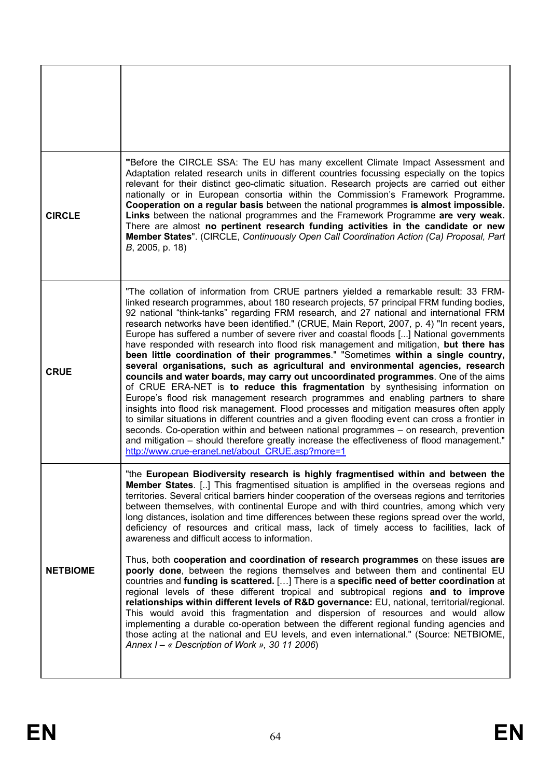| <b>CIRCLE</b>   | "Before the CIRCLE SSA: The EU has many excellent Climate Impact Assessment and<br>Adaptation related research units in different countries focussing especially on the topics<br>relevant for their distinct geo-climatic situation. Research projects are carried out either<br>nationally or in European consortia within the Commission's Framework Programme.<br>Cooperation on a regular basis between the national programmes is almost impossible.<br>Links between the national programmes and the Framework Programme are very weak.<br>There are almost no pertinent research funding activities in the candidate or new<br>Member States". (CIRCLE, Continuously Open Call Coordination Action (Ca) Proposal, Part<br>B, 2005, p. 18)                                                                                                                                                                                                                                                                                                                                                                                                                                                                                                                                                                                                                                                                                                 |
|-----------------|---------------------------------------------------------------------------------------------------------------------------------------------------------------------------------------------------------------------------------------------------------------------------------------------------------------------------------------------------------------------------------------------------------------------------------------------------------------------------------------------------------------------------------------------------------------------------------------------------------------------------------------------------------------------------------------------------------------------------------------------------------------------------------------------------------------------------------------------------------------------------------------------------------------------------------------------------------------------------------------------------------------------------------------------------------------------------------------------------------------------------------------------------------------------------------------------------------------------------------------------------------------------------------------------------------------------------------------------------------------------------------------------------------------------------------------------------|
| <b>CRUE</b>     | "The collation of information from CRUE partners yielded a remarkable result: 33 FRM-<br>linked research programmes, about 180 research projects, 57 principal FRM funding bodies,<br>92 national "think-tanks" regarding FRM research, and 27 national and international FRM<br>research networks have been identified." (CRUE, Main Report, 2007, p. 4) "In recent years,<br>Europe has suffered a number of severe river and coastal floods [] National governments<br>have responded with research into flood risk management and mitigation, but there has<br>been little coordination of their programmes." "Sometimes within a single country,<br>several organisations, such as agricultural and environmental agencies, research<br>councils and water boards, may carry out uncoordinated programmes. One of the aims<br>of CRUE ERA-NET is to reduce this fragmentation by synthesising information on<br>Europe's flood risk management research programmes and enabling partners to share<br>insights into flood risk management. Flood processes and mitigation measures often apply<br>to similar situations in different countries and a given flooding event can cross a frontier in<br>seconds. Co-operation within and between national programmes - on research, prevention<br>and mitigation – should therefore greatly increase the effectiveness of flood management."<br>http://www.crue-eranet.net/about CRUE.asp?more=1 |
| <b>NETBIOME</b> | "the European Biodiversity research is highly fragmentised within and between the<br>Member States. [] This fragmentised situation is amplified in the overseas regions and<br>territories. Several critical barriers hinder cooperation of the overseas regions and territories<br>between themselves, with continental Europe and with third countries, among which very<br>long distances, isolation and time differences between these regions spread over the world,<br>deficiency of resources and critical mass, lack of timely access to facilities, lack of<br>awareness and difficult access to information.<br>Thus, both cooperation and coordination of research programmes on these issues are<br>poorly done, between the regions themselves and between them and continental EU<br>countries and funding is scattered. [] There is a specific need of better coordination at<br>regional levels of these different tropical and subtropical regions and to improve<br>relationships within different levels of R&D governance: EU, national, territorial/regional.<br>This would avoid this fragmentation and dispersion of resources and would allow<br>implementing a durable co-operation between the different regional funding agencies and<br>those acting at the national and EU levels, and even international." (Source: NETBIOME,<br>Annex $I - \alpha$ Description of Work », 30 11 2006)                              |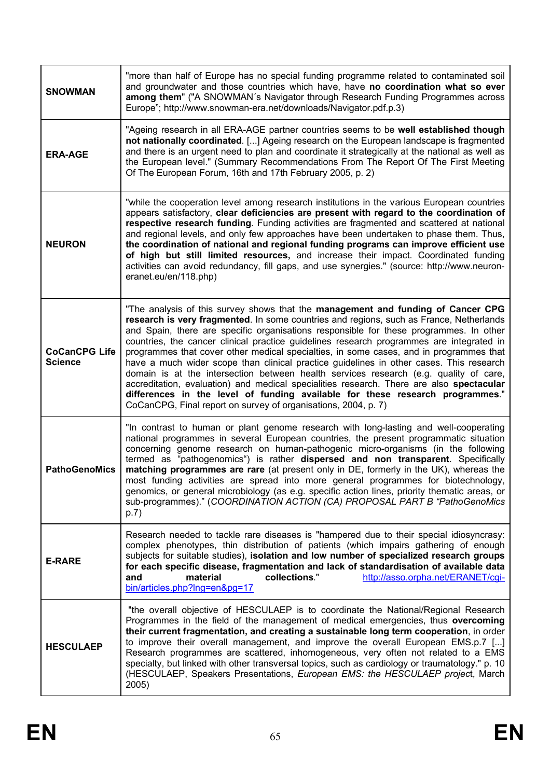| <b>SNOWMAN</b>                         | "more than half of Europe has no special funding programme related to contaminated soil<br>and groundwater and those countries which have, have no coordination what so ever<br>among them" ("A SNOWMAN's Navigator through Research Funding Programmes across<br>Europe"; http://www.snowman-era.net/downloads/Navigator.pdf.p.3)                                                                                                                                                                                                                                                                                                                                                                                                                                                                                                                                                             |
|----------------------------------------|------------------------------------------------------------------------------------------------------------------------------------------------------------------------------------------------------------------------------------------------------------------------------------------------------------------------------------------------------------------------------------------------------------------------------------------------------------------------------------------------------------------------------------------------------------------------------------------------------------------------------------------------------------------------------------------------------------------------------------------------------------------------------------------------------------------------------------------------------------------------------------------------|
| <b>ERA-AGE</b>                         | "Ageing research in all ERA-AGE partner countries seems to be well established though<br>not nationally coordinated. [] Ageing research on the European landscape is fragmented<br>and there is an urgent need to plan and coordinate it strategically at the national as well as<br>the European level." (Summary Recommendations From The Report Of The First Meeting<br>Of The European Forum, 16th and 17th February 2005, p. 2)                                                                                                                                                                                                                                                                                                                                                                                                                                                           |
| <b>NEURON</b>                          | "while the cooperation level among research institutions in the various European countries<br>appears satisfactory, clear deficiencies are present with regard to the coordination of<br>respective research funding. Funding activities are fragmented and scattered at national<br>and regional levels, and only few approaches have been undertaken to phase them. Thus,<br>the coordination of national and regional funding programs can improve efficient use<br>of high but still limited resources, and increase their impact. Coordinated funding<br>activities can avoid redundancy, fill gaps, and use synergies." (source: http://www.neuron-<br>eranet.eu/en/118.php)                                                                                                                                                                                                             |
| <b>CoCanCPG Life</b><br><b>Science</b> | "The analysis of this survey shows that the management and funding of Cancer CPG<br>research is very fragmented. In some countries and regions, such as France, Netherlands<br>and Spain, there are specific organisations responsible for these programmes. In other<br>countries, the cancer clinical practice guidelines research programmes are integrated in<br>programmes that cover other medical specialties, in some cases, and in programmes that<br>have a much wider scope than clinical practice guidelines in other cases. This research<br>domain is at the intersection between health services research (e.g. quality of care,<br>accreditation, evaluation) and medical specialities research. There are also spectacular<br>differences in the level of funding available for these research programmes."<br>CoCanCPG, Final report on survey of organisations, 2004, p. 7) |
| <b>PathoGenoMics</b>                   | "In contrast to human or plant genome research with long-lasting and well-cooperating<br>national programmes in several European countries, the present programmatic situation<br>concerning genome research on human-pathogenic micro-organisms (in the following<br>termed as "pathogenomics") is rather dispersed and non transparent. Specifically<br>matching programmes are rare (at present only in DE, formerly in the UK), whereas the<br>most funding activities are spread into more general programmes for biotechnology,<br>genomics, or general microbiology (as e.g. specific action lines, priority thematic areas, or<br>sub-programmes)." (COORDINATION ACTION (CA) PROPOSAL PART B "PathoGenoMics<br>p.7)                                                                                                                                                                   |
| <b>E-RARE</b>                          | Research needed to tackle rare diseases is "hampered due to their special idiosyncrasy:<br>complex phenotypes, thin distribution of patients (which impairs gathering of enough<br>subjects for suitable studies), isolation and low number of specialized research groups<br>for each specific disease, fragmentation and lack of standardisation of available data<br>and<br>material<br>collections."<br>http://asso.orpha.net/ERANET/cgi-<br>bin/articles.php?lng=en&pg=17                                                                                                                                                                                                                                                                                                                                                                                                                 |
| <b>HESCULAEP</b>                       | "the overall objective of HESCULAEP is to coordinate the National/Regional Research<br>Programmes in the field of the management of medical emergencies, thus overcoming<br>their current fragmentation, and creating a sustainable long term cooperation, in order<br>to improve their overall management, and improve the overall European EMS.p.7 []<br>Research programmes are scattered, inhomogeneous, very often not related to a EMS<br>specialty, but linked with other transversal topics, such as cardiology or traumatology." p. 10<br>(HESCULAEP, Speakers Presentations, European EMS: the HESCULAEP project, March<br>2005)                                                                                                                                                                                                                                                     |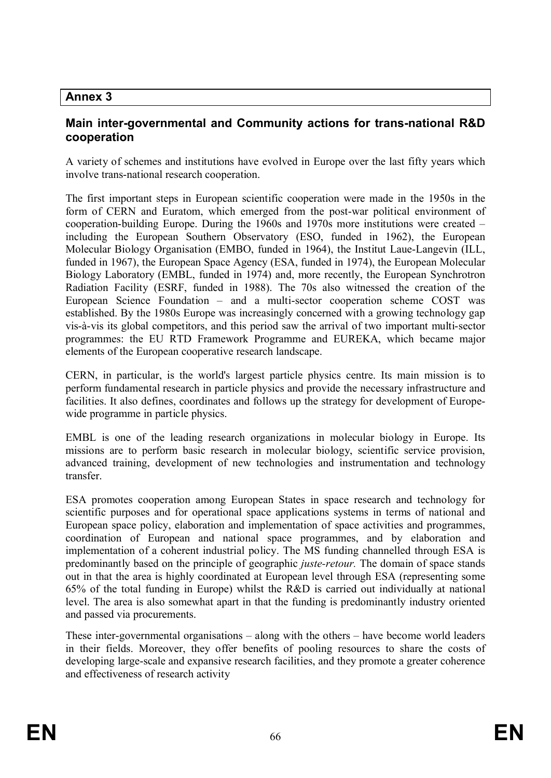# **Annex 3**

# **Main inter-governmental and Community actions for trans-national R&D cooperation**

A variety of schemes and institutions have evolved in Europe over the last fifty years which involve trans-national research cooperation.

The first important steps in European scientific cooperation were made in the 1950s in the form of CERN and Euratom, which emerged from the post-war political environment of cooperation-building Europe. During the 1960s and 1970s more institutions were created – including the European Southern Observatory (ESO, funded in 1962), the European Molecular Biology Organisation (EMBO, funded in 1964), the Institut Laue-Langevin (ILL, funded in 1967), the European Space Agency (ESA, funded in 1974), the European Molecular Biology Laboratory (EMBL, funded in 1974) and, more recently, the European Synchrotron Radiation Facility (ESRF, funded in 1988). The 70s also witnessed the creation of the European Science Foundation – and a multi-sector cooperation scheme COST was established. By the 1980s Europe was increasingly concerned with a growing technology gap vis-à-vis its global competitors, and this period saw the arrival of two important multi-sector programmes: the EU RTD Framework Programme and EUREKA, which became major elements of the European cooperative research landscape.

CERN, in particular, is the world's largest particle physics centre. Its main mission is to perform fundamental research in particle physics and provide the necessary infrastructure and facilities. It also defines, coordinates and follows up the strategy for development of Europewide programme in particle physics.

EMBL is one of the leading research organizations in molecular biology in Europe. Its missions are to perform basic research in molecular biology, scientific service provision, advanced training, development of new technologies and instrumentation and technology transfer.

ESA promotes cooperation among European States in space research and technology for scientific purposes and for operational space applications systems in terms of national and European space policy, elaboration and implementation of space activities and programmes, coordination of European and national space programmes, and by elaboration and implementation of a coherent industrial policy. The MS funding channelled through ESA is predominantly based on the principle of geographic *juste-retour.* The domain of space stands out in that the area is highly coordinated at European level through ESA (representing some 65% of the total funding in Europe) whilst the R&D is carried out individually at national level. The area is also somewhat apart in that the funding is predominantly industry oriented and passed via procurements.

These inter-governmental organisations – along with the others – have become world leaders in their fields. Moreover, they offer benefits of pooling resources to share the costs of developing large-scale and expansive research facilities, and they promote a greater coherence and effectiveness of research activity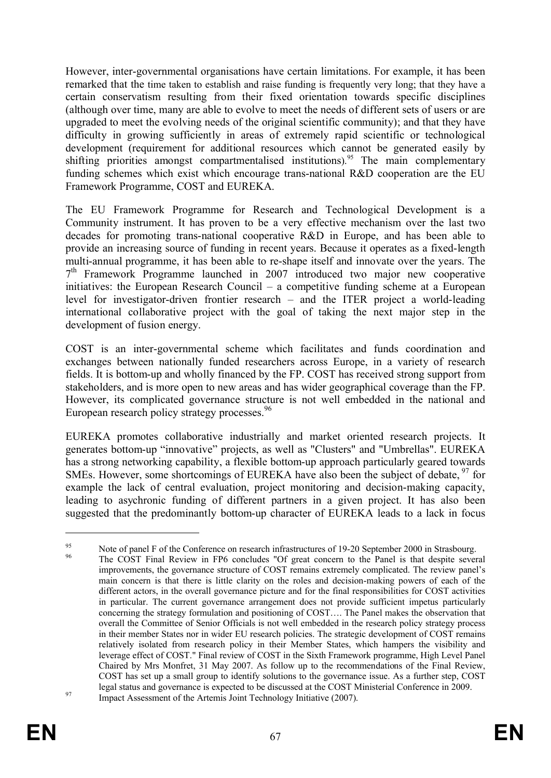However, inter-governmental organisations have certain limitations. For example, it has been remarked that the time taken to establish and raise funding is frequently very long; that they have a certain conservatism resulting from their fixed orientation towards specific disciplines (although over time, many are able to evolve to meet the needs of different sets of users or are upgraded to meet the evolving needs of the original scientific community); and that they have difficulty in growing sufficiently in areas of extremely rapid scientific or technological development (requirement for additional resources which cannot be generated easily by shifting priorities amongst compartmentalised institutions).<sup>95</sup> The main complementary funding schemes which exist which encourage trans-national R&D cooperation are the EU Framework Programme, COST and EUREKA.

The EU Framework Programme for Research and Technological Development is a Community instrument. It has proven to be a very effective mechanism over the last two decades for promoting trans-national cooperative R&D in Europe, and has been able to provide an increasing source of funding in recent years. Because it operates as a fixed-length multi-annual programme, it has been able to re-shape itself and innovate over the years. The 7<sup>th</sup> Framework Programme launched in 2007 introduced two major new cooperative initiatives: the European Research Council – a competitive funding scheme at a European level for investigator-driven frontier research – and the ITER project a world-leading international collaborative project with the goal of taking the next major step in the development of fusion energy.

COST is an inter-governmental scheme which facilitates and funds coordination and exchanges between nationally funded researchers across Europe, in a variety of research fields. It is bottom-up and wholly financed by the FP. COST has received strong support from stakeholders, and is more open to new areas and has wider geographical coverage than the FP. However, its complicated governance structure is not well embedded in the national and European research policy strategy processes.<sup>96</sup>

EUREKA promotes collaborative industrially and market oriented research projects. It generates bottom-up "innovative" projects, as well as "Clusters" and "Umbrellas". EUREKA has a strong networking capability, a flexible bottom-up approach particularly geared towards SMEs. However, some shortcomings of EUREKA have also been the subject of debate,  $97$  for example the lack of central evaluation, project monitoring and decision-making capacity, leading to asychronic funding of different partners in a given project. It has also been suggested that the predominantly bottom-up character of EUREKA leads to a lack in focus

<sup>&</sup>lt;sup>95</sup><br>Note of panel F of the Conference on research infrastructures of 19-20 September 2000 in Strasbourg. The COST Final Review in FP6 concludes "Of great concern to the Panel is that despite several improvements, the governance structure of COST remains extremely complicated. The review panel's main concern is that there is little clarity on the roles and decision-making powers of each of the different actors, in the overall governance picture and for the final responsibilities for COST activities in particular. The current governance arrangement does not provide sufficient impetus particularly concerning the strategy formulation and positioning of COST…. The Panel makes the observation that overall the Committee of Senior Officials is not well embedded in the research policy strategy process in their member States nor in wider EU research policies. The strategic development of COST remains relatively isolated from research policy in their Member States, which hampers the visibility and leverage effect of COST." Final review of COST in the Sixth Framework programme, High Level Panel Chaired by Mrs Monfret, 31 May 2007. As follow up to the recommendations of the Final Review, COST has set up a small group to identify solutions to the governance issue. As a further step, COST legal status and governance is expected to be discussed at the COST Ministerial Conference in 2009. <sup>97</sup><br>Impact Assessment of the Artemis Joint Technology Initiative (2007).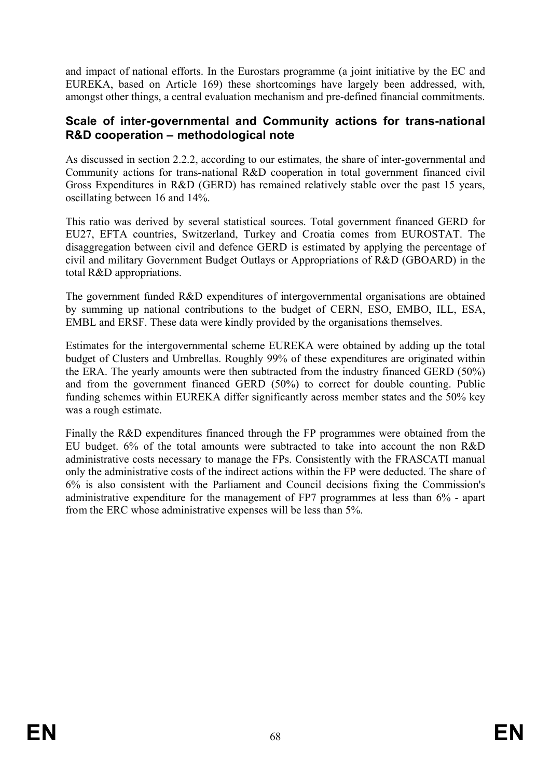and impact of national efforts. In the Eurostars programme (a joint initiative by the EC and EUREKA, based on Article 169) these shortcomings have largely been addressed, with, amongst other things, a central evaluation mechanism and pre-defined financial commitments.

### **Scale of inter-governmental and Community actions for trans-national R&D cooperation – methodological note**

As discussed in section 2.2.2, according to our estimates, the share of inter-governmental and Community actions for trans-national R&D cooperation in total government financed civil Gross Expenditures in R&D (GERD) has remained relatively stable over the past 15 years, oscillating between 16 and 14%.

This ratio was derived by several statistical sources. Total government financed GERD for EU27, EFTA countries, Switzerland, Turkey and Croatia comes from EUROSTAT. The disaggregation between civil and defence GERD is estimated by applying the percentage of civil and military Government Budget Outlays or Appropriations of R&D (GBOARD) in the total R&D appropriations.

The government funded R&D expenditures of intergovernmental organisations are obtained by summing up national contributions to the budget of CERN, ESO, EMBO, ILL, ESA, EMBL and ERSF. These data were kindly provided by the organisations themselves.

Estimates for the intergovernmental scheme EUREKA were obtained by adding up the total budget of Clusters and Umbrellas. Roughly 99% of these expenditures are originated within the ERA. The yearly amounts were then subtracted from the industry financed GERD (50%) and from the government financed GERD (50%) to correct for double counting. Public funding schemes within EUREKA differ significantly across member states and the 50% key was a rough estimate.

Finally the R&D expenditures financed through the FP programmes were obtained from the EU budget. 6% of the total amounts were subtracted to take into account the non R&D administrative costs necessary to manage the FPs. Consistently with the FRASCATI manual only the administrative costs of the indirect actions within the FP were deducted. The share of 6% is also consistent with the Parliament and Council decisions fixing the Commission's administrative expenditure for the management of FP7 programmes at less than 6% - apart from the ERC whose administrative expenses will be less than 5%.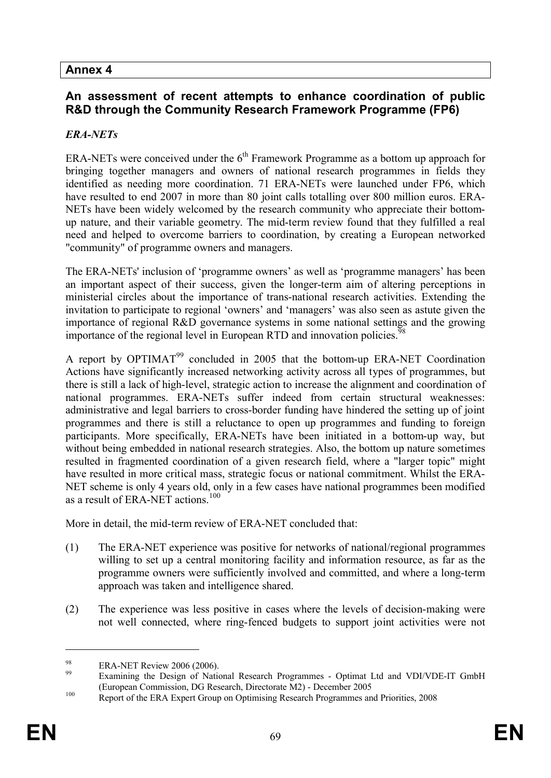# **Annex 4**

# **An assessment of recent attempts to enhance coordination of public R&D through the Community Research Framework Programme (FP6)**

#### *ERA-NETs*

ERA-NETs were conceived under the  $6<sup>th</sup>$  Framework Programme as a bottom up approach for bringing together managers and owners of national research programmes in fields they identified as needing more coordination. 71 ERA-NETs were launched under FP6, which have resulted to end 2007 in more than 80 joint calls totalling over 800 million euros. ERA-NETs have been widely welcomed by the research community who appreciate their bottomup nature, and their variable geometry. The mid-term review found that they fulfilled a real need and helped to overcome barriers to coordination, by creating a European networked "community" of programme owners and managers.

The ERA-NETs' inclusion of 'programme owners' as well as 'programme managers' has been an important aspect of their success, given the longer-term aim of altering perceptions in ministerial circles about the importance of trans-national research activities. Extending the invitation to participate to regional 'owners' and 'managers' was also seen as astute given the importance of regional R&D governance systems in some national settings and the growing importance of the regional level in European RTD and innovation policies.<sup>98</sup>

A report by  $OPTIMAT<sup>99</sup>$  concluded in 2005 that the bottom-up ERA-NET Coordination Actions have significantly increased networking activity across all types of programmes, but there is still a lack of high-level, strategic action to increase the alignment and coordination of national programmes. ERA-NETs suffer indeed from certain structural weaknesses: administrative and legal barriers to cross-border funding have hindered the setting up of joint programmes and there is still a reluctance to open up programmes and funding to foreign participants. More specifically, ERA-NETs have been initiated in a bottom-up way, but without being embedded in national research strategies. Also, the bottom up nature sometimes resulted in fragmented coordination of a given research field, where a "larger topic" might have resulted in more critical mass, strategic focus or national commitment. Whilst the ERA-NET scheme is only 4 years old, only in a few cases have national programmes been modified as a result of ERA-NET actions.<sup>100</sup>

More in detail, the mid-term review of ERA-NET concluded that:

- (1) The ERA-NET experience was positive for networks of national/regional programmes willing to set up a central monitoring facility and information resource, as far as the programme owners were sufficiently involved and committed, and where a long-term approach was taken and intelligence shared.
- (2) The experience was less positive in cases where the levels of decision-making were not well connected, where ring-fenced budgets to support joint activities were not

 $^{98}$  ERA-NET Review 2006 (2006).

Examining the Design of National Research Programmes - Optimat Ltd and VDI/VDE-IT GmbH (European Commission, DG Research, Directorate M2) - December 2005

<sup>&</sup>lt;sup>100</sup> Report of the ERA Expert Group on Optimising Research Programmes and Priorities, 2008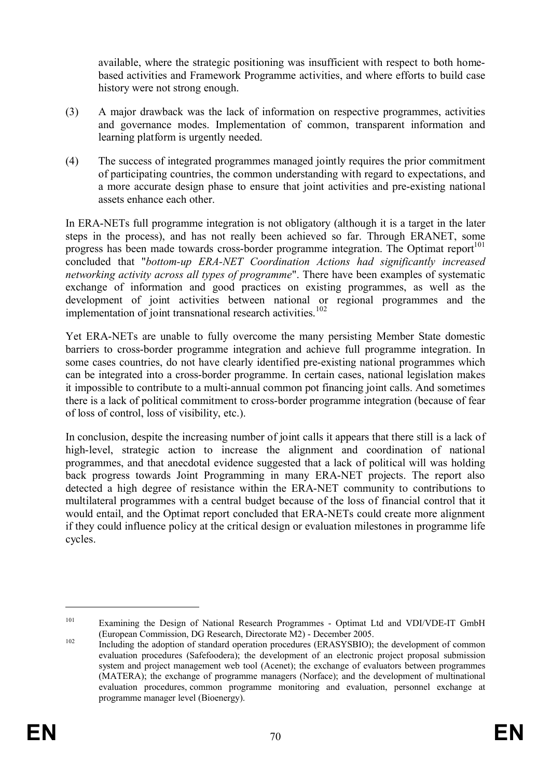available, where the strategic positioning was insufficient with respect to both homebased activities and Framework Programme activities, and where efforts to build case history were not strong enough.

- (3) A major drawback was the lack of information on respective programmes, activities and governance modes. Implementation of common, transparent information and learning platform is urgently needed.
- (4) The success of integrated programmes managed jointly requires the prior commitment of participating countries, the common understanding with regard to expectations, and a more accurate design phase to ensure that joint activities and pre-existing national assets enhance each other.

In ERA-NETs full programme integration is not obligatory (although it is a target in the later steps in the process), and has not really been achieved so far. Through ERANET, some progress has been made towards cross-border programme integration. The Optimat report<sup>101</sup> concluded that "*bottom-up ERA-NET Coordination Actions had significantly increased networking activity across all types of programme*". There have been examples of systematic exchange of information and good practices on existing programmes, as well as the development of joint activities between national or regional programmes and the implementation of joint transnational research activities.<sup>102</sup>

Yet ERA-NETs are unable to fully overcome the many persisting Member State domestic barriers to cross-border programme integration and achieve full programme integration. In some cases countries, do not have clearly identified pre-existing national programmes which can be integrated into a cross-border programme. In certain cases, national legislation makes it impossible to contribute to a multi-annual common pot financing joint calls. And sometimes there is a lack of political commitment to cross-border programme integration (because of fear of loss of control, loss of visibility, etc.).

In conclusion, despite the increasing number of joint calls it appears that there still is a lack of high-level, strategic action to increase the alignment and coordination of national programmes, and that anecdotal evidence suggested that a lack of political will was holding back progress towards Joint Programming in many ERA-NET projects. The report also detected a high degree of resistance within the ERA-NET community to contributions to multilateral programmes with a central budget because of the loss of financial control that it would entail, and the Optimat report concluded that ERA-NETs could create more alignment if they could influence policy at the critical design or evaluation milestones in programme life cycles.

<sup>&</sup>lt;sup>101</sup> Examining the Design of National Research Programmes - Optimat Ltd and VDI/VDE-IT GmbH (European Commission, DG Research, Directorate M2) - December 2005.

<sup>&</sup>lt;sup>102</sup> Including the adoption of standard operation procedures (ERASYSBIO); the development of common evaluation procedures (Safefoodera); the development of an electronic project proposal submission system and project management web tool (Acenet); the exchange of evaluators between programmes (MATERA); the exchange of programme managers (Norface); and the development of multinational evaluation procedures, common programme monitoring and evaluation, personnel exchange at programme manager level (Bioenergy).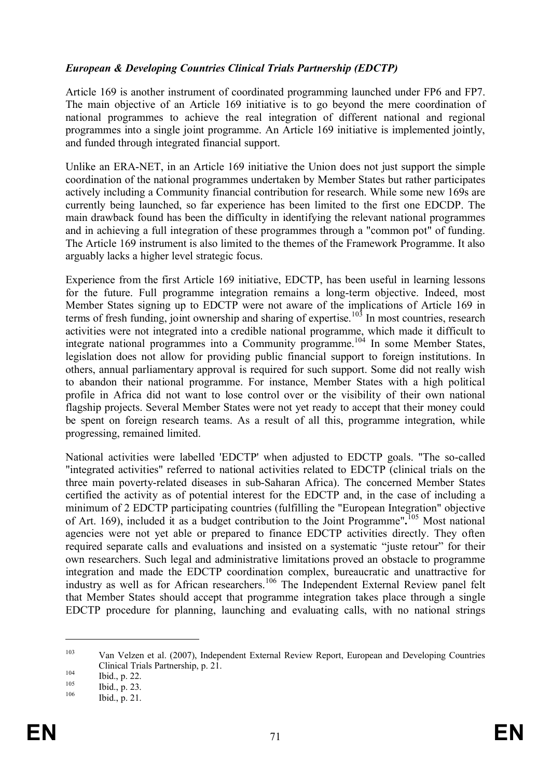#### *European & Developing Countries Clinical Trials Partnership (EDCTP)*

Article 169 is another instrument of coordinated programming launched under FP6 and FP7. The main objective of an Article 169 initiative is to go beyond the mere coordination of national programmes to achieve the real integration of different national and regional programmes into a single joint programme. An Article 169 initiative is implemented jointly, and funded through integrated financial support.

Unlike an ERA-NET, in an Article 169 initiative the Union does not just support the simple coordination of the national programmes undertaken by Member States but rather participates actively including a Community financial contribution for research. While some new 169s are currently being launched, so far experience has been limited to the first one EDCDP. The main drawback found has been the difficulty in identifying the relevant national programmes and in achieving a full integration of these programmes through a "common pot" of funding. The Article 169 instrument is also limited to the themes of the Framework Programme. It also arguably lacks a higher level strategic focus.

Experience from the first Article 169 initiative, EDCTP, has been useful in learning lessons for the future. Full programme integration remains a long-term objective. Indeed, most Member States signing up to EDCTP were not aware of the implications of Article 169 in terms of fresh funding, joint ownership and sharing of expertise.<sup>103</sup> In most countries, research activities were not integrated into a credible national programme, which made it difficult to integrate national programmes into a Community programme.<sup>104</sup> In some Member States, legislation does not allow for providing public financial support to foreign institutions. In others, annual parliamentary approval is required for such support. Some did not really wish to abandon their national programme. For instance, Member States with a high political profile in Africa did not want to lose control over or the visibility of their own national flagship projects. Several Member States were not yet ready to accept that their money could be spent on foreign research teams. As a result of all this, programme integration, while progressing, remained limited.

National activities were labelled 'EDCTP' when adjusted to EDCTP goals. "The so-called "integrated activities" referred to national activities related to EDCTP (clinical trials on the three main poverty-related diseases in sub-Saharan Africa). The concerned Member States certified the activity as of potential interest for the EDCTP and, in the case of including a minimum of 2 EDCTP participating countries (fulfilling the "European Integration" objective of Art. 169), included it as a budget contribution to the Joint Programme"**.** <sup>105</sup> Most national agencies were not yet able or prepared to finance EDCTP activities directly. They often required separate calls and evaluations and insisted on a systematic "juste retour" for their own researchers. Such legal and administrative limitations proved an obstacle to programme integration and made the EDCTP coordination complex, bureaucratic and unattractive for industry as well as for African researchers.<sup>106</sup> The Independent External Review panel felt that Member States should accept that programme integration takes place through a single EDCTP procedure for planning, launching and evaluating calls, with no national strings

<sup>103</sup> Van Velzen et al. (2007), Independent External Review Report, European and Developing Countries Clinical Trials Partnership, p. 21.

 $\frac{104}{105}$  Ibid., p. 22.

 $\frac{105}{106}$  Ibid., p. 23.

Ibid., p. 21.